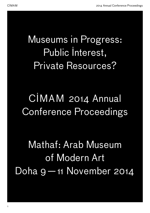## Museums in Progress: Public Interest, Private Resources?

## CIMAM 2014 Annual Conference Proceedings

Mathaf: Arab Museum of Modern Art Doha 9—11 November 2014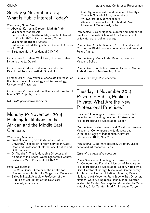### Sunday 9 November 2014 What Is Public Interest Today?

*Welcoming Speeches:*

- Abdellah Karroum, Director, Mathaf: Arab Museum of Modern Art
- Her Excellency Sheikha Al Mayassa bint Hamad bin Khalifa Al-Thani, chairperson, Qatar Museums Board of Trustees
- Catherine Robert-Hauglustaine, General Director of ICOM
- Bartomeu Marí, President of CIMAM

*Perspective 1:* Graham W. J. Beal, Director, Detroit Institute of Arts, Detroit

*Perspective 2:* Maria Lind, curator and writer, Director of Tensta Konsthall, Stockholm

*Perspective 3:* Olav Velthuis, Associate Professor at the Department of Sociology and Anthropology, University of Amsterdam

*Perspective 4:* Rana Sadik, collector and Director of MinRASY Projects, Kuwait

*Q&A with perspective speakers*

### Monday 10 November 2014 Building Institutions in the African and the Middle East **Contexts**

*Welcoming Remarks:*

- Gerd Nonneman, SFS Qatar (Georgetown University), School of Foreign Service in Qatar, Dean and Professor of International Politics and Gulf Studies
- Dr Abdulla Al-Thani, Managing Director and Member of the Board, Qatar Leadership Centre.
- Bartomeu Marí, President of CIMAM

### *Panel Discussion:*

- Ute Meta Bauer, Director of the Centre for Contemporary Art (CCA), Singapore. Moderator
- Salwa Mikdadi, Associate Professor of the Practice of Art History at the New York University Abu Dhabi
- <span id="page-1-0"></span>CIMAM 2014 Annual Conference Proceedings
	- Gabi Ngcobo, curator and member of faculty at The Wits School of Arts, University of Witswatersrand, Johannesburg
	- Abdellah Karroum, Director, Mathaf: Arab Museum of Modern Art, Doha

*Perspective 1:* Gabi Ngcobo, curator and member of faculty at The Wits School of Arts, University of Witswatersrand, Johannesburg

*Perspective 2:* Suha Shoman, Artist, Founder and Chair of the Khalid Shoman Foundation and Darat al Funun, Amman

*Perspective 3:* Zeina Arida, Director, Sursock Museum, Beirut.

*Perspective 4:* Abdellah Karroum, Director, Mathaf: Arab Museum of Modern Art, Doha.

*Q&A with perspective speakers*

### Tuesday 11 November 2014 Private to Public, Public to Private: What Are the New Professional Practices?

*Keynote 1:* Luiz Augusto Teixeira de Freitas, Art collector and founding member of Teixeira de Freitas Rodrigues e Associados, Lisbon

*Perspective 1:* Kate Fowle, Chief Curator at Garage Museum of Contemporary Art, Moscow and Director-at-large at Independent Curators International (ICI), New York

*Perspective 2:* Bernard Blistène, Director, Musée national d'art moderne, Paris

### *Q&A with perspective speakers*

*Panel Discussion*: Luiz Augusto Teixeira de Freitas, Art Collector and Founding Member of Teixeira de Freitas Rodrigues e Associados, Lisbon. Kate Fowle, Chief Curator at Garage Museum of Contemporary Art, Moscow. Bernard Blistène, Director, Musée National d'Art Moderne, Paris.Eugene Tan, Director, National Gallery Singapore.Fionn Meade, Curator, Walker Art Center, Minneapolis. Moderated by Mami Kataoka, Chief Curator, Mori Art Museum, Tokyo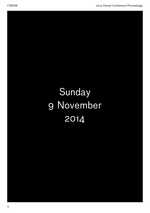# Sunday 9 November 2014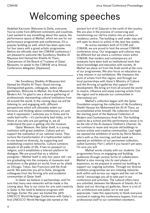### Welcoming speeches

Abdellah Karroum: Welcome to Doha, everyone. You've come from different continents and countries. I just wanted to say something about this space, the performance space at Mathaf, which we use for our performance programme and conferences. It's a popular building as well, which has been open now for four years with a great artistic programme. Before we officially start the CIMAM conference I am pleased to welcome Her Excellency Sheikha Al Mayassa bint Hamad bin Khalifa Al-Thani, Chairperson of the Board of Trustees of Qatar Museums, to speak to the CIMAM 2014 Annual Conference delegates. [Applause]

Her Excellency Sheikha Al Mayassa bint Hamad bin Khalifa Al-Thani: Good morning. Distinguished guests, colleagues, ladies and gentlemen. Welcome to Mathaf, the Arab Museum of Modern Art. I'm glad to see a diverse gathering of professionals representing cultural institutions from all around the world. In the coming days we will be listening to, and engaging with, different perspectives which will ultimately widen our horizons and thinking about contemporary art and what it represents. I welcome you to Doha and its really bad traffic — it's particularly bad today, so for those of you who are just getting in, we all understand the pain in getting into the museum.

Qatar Museum, like Qatar itself, is a young institution with great ambition. Culture and art support the realisation of our national vision. They nurture the transformation of a hydrocarbon nation to one based on diversity, by supporting and establishing creative networks. Culture connects people of all walks of life. It has no passport or religion, and it establishes a tolerant platform for dialogue. We are proud that as a relative youngster—Mathaf itself is only four years old—we are graduating into the company of museums and institutions in the global art world, from as far afield as Chicago, Tokyo, San Francisco and the Arab world. We welcome you all to Doha, alongside colleagues from the thriving arts and academic communities of Qatar itself.

In Qatar we believe in partnerships, and I'm sure that many new networks will be made in the coming days. Key to our vision for arts and creativity in Qatar is the need to balance progress with heritage. Earlier this year we hosted the 38th UNESCO World Heritage Conference with Qatar's first UNESCO World Heritage site named at the

ancient fort of Al Zubarah in the north of the country. We are also in the process of conserving and transforming our old fire station into an artists-inresidency centre. The building is well under way and will open its doors to artists in the next few weeks.

As active members both of ICOM and CIMAM, we are proud to host the annual CIMAM conference 2014. Our languages and cultures may be different but we share a common vision within CIMAM: that modern and contemporary art museums have been built as institutional tools that share knowledge and education with society. At Mathaf we place art from the Arab world at the core of our programmes. We also focus on education as a key mission in our exhibitions. We champion the work of artists from this region, and through our local partnerships with Qatar's Ministry of Culture and the thriving art galleries that support this development. We bring art from all around the world to inspire, influence and equip aspiring artists from the region and to educate our communities in international art.

Mathaf's collection began with the Qatar Foundation acquiring the collection of His Excellency Sheikh Hassan bin Mohammed bin Ali Al Thani, an accomplished artist himself. His collection formed the starting point of the National Collection of Modern and Contemporary Arab Art. This building used to be a school and this performance venue is to be the site of the Al-Jazeera Children's Channel. So we continue to reuse and recycle old buildings to nurture artists and creative communities. Last night we opened the exhibition of works by Shirin Neshat, who's with us this morning, and last week we opened an exhibition of our permanent collection, called *Summary Part I*, which if you haven't yet seen, I'm sure you will.

Mathaf works closely with our students. Our programmes focus on engaging and building audiences through various forms of collaboration. Mathaf is also moving into its next phase of expansion, as we prepare to extend our building to support our ongoing activities. Through our diverse exhibition programmes we are initiating networks both within and across our region and the rest of the world. I encourage you all to take part in our conference and activities. The cultural offers here are unlimited, between the Museum of Islamic Art in Qatar and our thriving art galleries, there is a lot of art, architecture and public art to see and appreciate. I take this opportunity to thank everyone involved in making this conference happen, from our professional staff to our committed volunteers.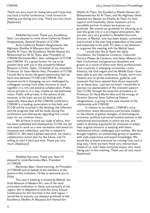Thank you very much for being here and I hope that you have a fruitful conference. I look forward to meeting you during your stay. Thank you very much. [Applause]

Abdellah Karroum: Thank you, Excellency. Now I am pleased to invite Anne-Catherine Robert-Hauglustaine, General Director of ICOM.

Anne-Catherine Robert-Hauglustaine: Her Highness Sheikha Al Mayassa bint Hamad bin Khalifa Al-Thani, His Excellency Sheikh Hassan bin Mohammed bin Ali Al-Thani, dear President of CIMAM Bartomeu Marí, dear colleagues of ICOM and CIMAM. It's a great honour for me to be present here with you in this wonderful Mathaf Museum in Doha, Qatar. On behalf of our president, Professor Dr Hans-Martin Hinz, President of ICOM, I would like to stress the good relationship that we have now between ICOM and CIMAM. Our museum world is changing; we are challenged by colleagues coming from other horizons to work together in a rich and positive collaboration. Public versus private is, in a way, maybe an old-fashioned vision. Public with private, in the sphere of the museum, is the topic we are all dealing with, especially these days at the CIMAM conference. CIMAM is a leading association in this field, and ICOM will be involved in the thinking, the reflection and the progress that will be made during this conference and afterwards regarding this crucial topic for our common future.

We all have in mind our code of ethics, that has been published and displayed by ICOM, but we now need to work on a new normative instrument for museums and collections, and this is related to UNESCO. We need a global approach, we need a collaboration action plan for the future, and I'm willing to start it here and now. Thank you very much. [Applause]

Abdellah Karroum: Thank you. Now I'm pleased to invite Bartomeu Marí, President of CIMAM.

Bartomeu Marí: Good morning. As President of CIMAM and on behalf of the members of the board of this institution, I'd like to welcome you to Doha.

This year's meeting is hosted by Mathaf, the Arab Museum of Modern Art, one of the most prominent institutions in Qatar and certainly of the region. We're delighted to hold this 2014 Annual Conference for the first time in the Gulf region. I would like to express our deepest gratitude to Her Excellency Sheikha Al Mayassa bint Hamad bin

Khalifa Al-Thani, His Excellency Sheikh Hassan bin Mohammed bin Ali Al-Thani, and His Highness Sheik Abdullah bin Nasser bin Khalifa Al-Thani for their support and hospitality. Qatar museums are an incredible partner to whom we express our gratitude. We extend our gratitude for allowing us to visit this great city in a privileged atmosphere. We are also very very grateful to Abdellah Karroum, Director of Mathaf, who has been deeply committed and involved in the year-long preparation of this event, and especially to his staff. It's been a real pleasure to organise this meeting with the Mathaf team.

I would also like to thank the Getty Foundation, the Fundación Cisneros, Colección Patricia Phelps de Cisneros, and Qatar Museum for their involvement and generous donations and grants as a result of which over thirty professionals from countries in emerging economies—Latin America, the Gulf region and the Middle East—have been able to join this conference. Finally, we're very thankful also to all the institutions, galleries and museums that have opened their doors especially for us these days. Last but not least, I would like to express our appreciation of the renewed support that ICOM, through the assertive presidency of Professor Dr Hans-Martin Hinz and the energy of Director General Anne-Catherine Robert-Hauglustaine, is giving in this new impulse of the relationship with CIMAM.

In relation to its subject, CIMAM's 2014 conference raises discussions and focuses studies on the effects of global changes, of technological, economic, political and social transformations in the institutional environments in which we live, and seeks to develop arguments for museums to adapt their original missions in keeping with these institutional ethics, challenges and realities. We have brought together an outstanding group of speakers with wide experience and expert knowledge. We would like to thank everyone for coming from such a long way. I think we have three very intense days ahead of us, and I hope everyone enjoys very much taking part in this meeting. Thank you all very much. [Applause]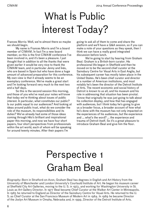# What Is Public Interest Today?

Frances Morris: Well, we're almost there so maybe we should begin.

My name is Frances Morris and I'm a board member of CIMAM. In fact I'm a new board member, so this is the first CIMAM conference I've been involved in, and it's been a pleasure. I just thought that in addition to all the thanks that were given earlier it would be very nice to thank the CIMAM team, and in particular Jenny and Inés, who are based in Spain but who have done a huge amount of advanced preparation for this conference. My own view is that it already seems to be an exemplary conference. We've made a great start and I'm looking forward very much to the next two and a half days.

So this is the second session this morning, and those of you who've read your notes will know that today we're thinking about issues of public interest. In particular, what constitutes our public? Is our public equal to our audiences? And looking at ideas around public trust, what do we consider the role of the museum, its responsibilities and its duties? We've already had some of those ideas coming through Hito's brilliant and inspirational paper this morning, and now we have four short papers, four short perspectives from professionals within the art world, each of whom will be speaking for around twenty minutes. After their papers I'm

going to ask all of them to come and share the platform and we'll have a Q&A session, so if you can make a note of your questions as they speak, then I think we can have a really good integrated discussion before lunch.

We're going to start by hearing from Graham Beal. Graham is a British-born curator. His professional life began in Sheffield and then he moved on to be the second chief curator at the Sainsbury Centre for Visual Arts in East Anglia, but his subsequent career has mostly taken place in the United States. He's been chief curator and director at a number of American institutions, and most notably he's been the director of the Detroit Institute of Arts. The recent economic and social history of Detroit is known to us all, and his museum and his role in addressing that situation has been pivotal. I know that originally he was just going to talk about his collection display, and how that has engaged with audiences, but I think today he's going to give us a broader focus, a broader account of how what he's done with the museum has not only impacted on the experiences of his audiences, but the experience and ... what's the word? ... the experience and trauma of Detroit itself. So it's a great pleasure to introduce Graham Beal and give him the floor.

### Perspective 1 Graham Beal

*Biography*: Born in Stratford-on-Avon, Graham Beal has degrees in English and Art History from the University of Manchester and London University's Courtauld Institute of Art. He began his museum career at Sheffield City Art Galleries, moving to the U. S. in 1973, and working for Washington University in St. Louis as Art Gallery Director. In 1977 Beal became Chief Curator at the Walker Art Center in Minneapolis. In 1983 he returned to England as Director of the Sainsbury Centre for Visual Arts. He returned to the U. S. as Chief Curator at the San Francisco Museum of Modern Art in 1984. In 1989 he became Director of the Joslyn Art Museum in Omaha, Nebraska and, in 1999, Director of the Detroit Institute of Arts.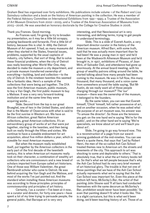Graham Beal has organised over forty exhibitions. His publications include volume 1 of the *Robert and Lisa Sainsbury* collection and a book on the history of American painting in the collection. He was a member of the Federal Advisory Committee on International Exhibitions from 1991–1995; a Trustee of the Association of Art Museum Directors from 2002–2005; and a Trustee of the American Association of Museums from 2003–2006. He was awarded an honorary doctorate by the College for Creative Studies in 2008.

Thank you Frances. Good morning.

As Frances said, I'm going to try to broaden my presentation, so it may be a little bit scrappy, jumping backwards and forwards. First a little bit of history, because this is vital. In 1885 the Detroit Museum of Art opened. It had, as many museums did when they started in the States, financial issues, problems, supported by the usual captains of industry, city fathers, that sort of thing. But to solve these financial problems, when the city of Detroit was really booming after World War One, they decided to make the museum a city department, and a private museum transferred ownership of everything—building, land and collection—to the city of Detroit. In the nineteen twenties this seemed like a fantastic idea. Here's a sample of the collections that were being put together. The DIA was the first American museum, public museum, to buy a Van Gogh, the first public museum to buy a Matisse. It was a very very forward-looking institution and at the same time they were acquiring works ...

Slide. Second from the top is our great Brueghel, one of two in the United States, and above that is the Master of Osservanza with what is said to be the first sunrise in Western art. We have an African collection, great Native American collections, great American collections. It's an extraordinary group of works of art that were put together, starting in the twenties, and then being built on really through the fifties and sixties. We continue to have a sizeable endowment for art acquisition, about five million dollars a year, which is sizeable for most American museums.

But when the museum really established itself, put together by the American collectors in the early part of the first decade of the twentieth century, this is when American art museums really took on their character, a combination of wealthy art collectors who are connoisseurs and a new breed of scholars imported from Europe called art historians. One of those was William Valentiner, the great Rembrandt scholar who came to Detroit. He was behind acquiring the Van Gogh and the Matisse, and most of the works I've just pointed out. And the standard when installing these American museums was according to those principles: principles of connoisseurship and principles of art history.

Certainly, I as a curator—I've been at it now, as a curator and director, for forty-one years—have spent a lot of my time trying to persuade people, the general public, that Baroque art is very very

interesting, and that Neoclassical art is very interesting, and defining terms, trying to get people to understand terminology.

Slide. This is a slide of Everett Austin, a very important director-curator in the history of the American museum. Alfred Barr, with some truth, said that he was actually more important than he had been! He was a young man in 1927 and he'd been at the Wadsworth Atheneum Museum and he'd brought in, in 1927, exhibitions of Picasso, of Joan Miró, of Salvador Dalí, and attendance had gone up enormously. At the annual board meeting, with his group of wealthy patrons sitting around the table, he started talking about how many people had been coming to the museum. He was in full flow, this many thousand, that many thousand, and a voice came from somewhere around the table saying, 'But Mr Austin, do we really want all of those people charging through our museum?' The 'our' museum — there was the ownership of the museum, it belonged to the founders.

By the same token, you can see that Everett himself, 'Chick' himself, felt rather possessive of art, and on another occasion, when he was asked what the purpose of an art museum was, his answer was 'To amuse the director'. So those are the tensions you get: on the one hand we're saying 'We're for the public', and on the other hand we're saying 'We're specialists, we know about art and we'll teach you about art'.

Slide. I'm going to go way forward now. This is a reconstruction of a page from our awardwinning guidebook of the mid-nineties. You can see there's a quote there, that says that 'Led by Robert Henri, the men of the so-called Ash Can School treated themes new to American art: the streets and tenements of the city. This approach to art was shocking to some and deplorable to others.' That is absolutely true, that is what the art history books tell us. So that's what we tell people because that's why the Ash Can School had its very very brief moment of art historical glory. The trouble is that not one of those paintings that we have of the Ash Can School actually represents what we're saying that the Ash Can School was important for. Even this piece at the bottom left here, *McSorley's Bar*, the artist of that painting John Sloane said 'If all bars had conducted themselves with the same decorum as McSorley's Bar, prohibition would never have been possible.' So even that painting doesn't fit what it looks like. This is a slight caricature, but this is what we'd been doing, we'd been teaching history of art. Those of us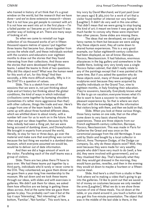who trained in history of art think that it's a great window on the world, but the research that we have done—and we've done extensive research—shows that it is not how you get people to connect with art. It is not how we went into art in the first place  $-1<sup>'</sup>m$ a failed painter so I became an art historian! It was another way of looking at art. There are many ways of looking at art.

So when we came to reinstall our huge collection of six thousand works of art in fifteen thousand square metres of space I put together three teams that became four, drawn together from across the whole staff, and these individuals worked with the curators and educators over eighteen months to draw out the stories that they found interesting from their collections. And those were the stories that were developed through these teams. I asked the teams to think of two questions: Why did this object exist? What was the human need for this work of art, for this thing? And then secondly, a little more difficult actually, Why is it in the DIA? It's a question of values.

Slide. This is a sketch from one of the sessions that we were in, not just thinking about style and art history but thinking about the global conditions, the kind of ways in which individual civilisations come together by bumping shoulders (sometimes it's rather more aggressive than that) with other cultures, things like trade and war. Here's a page from one of the team leader's books. We came up with about three hundred different ideas, which we whittled down to about ninety, with a number left over for us to work on in the future. And when we got our ideas together, because by this time, nobody had seen a thing yet, but we were being accused of dumbing down, and Disneyfication. We brought in experts from around the world, literally, to stay for two or three days, go over the material and make sure that everything was current, because the last thing we wanted in a dumbed-down museum, which everyone assumed we would be, would be to deliver out of date information.

And then we did a huge amount of work on the visitor. Paralleling each of the staff teams was a group of visitors.

Slide. There are two jokes there I'll have to pass over. We had these teams put together by a third party, individuals who'd rarely or never come to the DIA. They volunteered; we gave them dinner and we gave them a year-long free membership to the museum. We sat down and we took these teams through our ideas, with slides and with exercises in galleries. We didn't ask them for ideas, we asked them how effective are we being in getting these ideas across. And at the same time we gave them games to play. You probably can't see it but at the top it says 'Interesting', 'Not interesting'; at the bottom, 'Familiar', 'Not familiar'. This work here, a

tiny ivory by David Marchand, we'd just paid (over ten years ago) \$ 365,000 for a work of art that a visitor found neither of interest nor very familiar [Laughter]. It didn't do very well in this one either. That didn't mean that we were going to stop buying this kind of art; it meant we knew it was going to be much harder to convey why these were important than other pieces. Some slides are missing there.

The ideas that we developed, we could give fancy names to them but because we were asking why these objects exist, they all came down to shared human experiences. This is a very good example, our Italian eighteenth-century collection had been displayed, as we all know: Baroque, Rococo, Neoclassicism. It had fabulous, enormous altarpieces in the big gallery and somewhere in the middle there, looking very very lonely was a single Rococo Italian cabinet, that didn't really relate to any of the paintings except that it was painted at the same time. But if you asked the question why do these objects exist, many of those paintings and sculptures exist because they were acquired by wealthy individuals on the Grand Tour, nine to eighteen months, in Italy finishing their education. They're souvenirs, basically. Everybody knows what it's like to go on vacation; everyone knows what it's like to want to have a souvenir to remember that pleasant experience by. So that is where we start. We start with the knowledge, with the information that visitors bring with them, and then we build on that.

Slide. When you look at these various things, those fancy names on one side, that on the other come down to very basic shared human experiences. These are three objects from our French eighteenth-century collection, Baroque, Rococo, Neoclassicism. This was made in Paris for Catherine the Great and was once on the ceremonial passage from the old Hermitage. It was sold by Stalin and bought by a local collector in Detroit, Anna Thompson Dodge, of the Dodge car company. So, why do these objects exist? Well, they exist because they were made for very wealthy people who didn't have very much to do (well, a few did, they were involved with government), and so they ritualised their day. That's basically what they did: they would get dressed in the morning, they would have parties, *reveilles*, and then in the evening they would sit down to maybe a fourteen or a fifteencourse meal.

Slide. And here's a shot from a studio in New York where we're making a video that's going to go into the galleries. I'd like to point out that we saved a lot of money on costumes because we only needed the arms [Laughter]. What we do is we show three courses of one of these meals. You sit down at the table, or you stand around it, you touch a button and you get this five-minute presentation. The object that was in the middle of the last slide is there, in the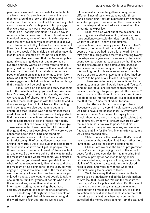panoramic view, and the candlesticks on the table are back there. So people could look at this, and then turn around and look at the objects, and understand that these are not just fantasy things that stood on someone's mantelpiece to fill up a gap; they were used, they were how people ritualised. This is like a Thanksgiving dinner, as you'd say in America, a formal meal with lots of rules attached to it. And, of course, some of the critical descriptions made the new museum with its interactive displays sound like a pinball alley! I show this slide because I think it's not too terribly intrusive and an expert walking in there wouldn't be unduly disturbed or have his meditations interrupted by that particular table.

We also discovered that the American public, generally speaking, does not read more than a hundred and fifty words, so if you want to make a point you'd better get it across within a hundred and fifty words. The point of our labels is not to give people information as much as to make them look back, look at the works of art for themselves. So we make suggestions, bullet points of the kind of things that the gallery will be dealing with.

Slide. Here's an example of a story that came out of the collection. Sorry, you can't see. We have four Picassos, all portraits of his friends, and here we have a bank of photographs. Visitors are asked to match these photographs with the portraits and in doing so we get them to look back at the painting. And in doing so we also get them to begin to understand that Picasso was not doing stuff that a child of six could do; that these were actually portraits, that there were connections between the character and the appearance of each of those individuals.

Slide. Then we have things like this Eye Spy. These are mounted lower down for children, and they go and look for these objects. Why were we so concerned about this? I had long-standing professional concerns. Detroit is the ultimate un-tourist town; 1% of our audience comes from around the world, 80% of our audience comes from three counties, so if we can't get the people from three counties to come back, we don't have much of an audience. So the whole point of this was to make the museum a place where you came, you engaged on your terms, you slowed down, you didn't do the whole of the museum in forty-five minutes and check the museum off as being done for the year, but you engaged — you saw a small part of the museum, and we hope that you'll want to come back because you enjoyed it enough. We want to get people to talk to one another: families, groups of people who share the same values, giving them a little bit of information, getting them talking about these objects, we learned, is one of the crucial factors.

I should say, although there are a couple of slides that I skipped, that while we were doing all this work over a four-year period we had two

full-time evaluators in the galleries doing various different kinds of tests: we came up with three panels describing Abstract Expressionism and then we asked people to comment on them, so as much work in interpretation and education went into this as curatorial expertise.

Slide. We also went out of the museum. This is a programme called Inside Out, where we took reproductions—we stole this idea from the National Gallery of London—and we put pictures, reproductions, in surprising places. This is Detroit's Coliseum, the defunct railroad station. For the first couple of years we had to do a lot of work; by the third year, this programme that was affecting twenty townships every year was run entirely by that slight young woman down there, because by that time we had the arts groups of the communities engaged. We have communities lining  $up$  — we thought that this would go on for three years or so and people would get bored, but we have communities lined up for 2017 to be part of our Inside Out programme.

These are high-quality reproductions. Thirty years ago, as a curator, I would have said 'You can't send out reproductions like that representing the museum, you've got to get people into the museum!' Well, that's what this does; to a large extent, it gets people to come into the museum. It also makes them feel that the DIA has reached out to them.

The DIA has chronic financial problems. Because we were in a very difficult state we decided we had to have a tax passed in 2012. Everybody knows how much Americans like paying taxes. People thought we were crazy, but polls told us that the community by now felt enough ownership with the museum that a tax would pass. And it did; it passed resoundingly in two counties, and we have financial stability for the first time in forty years, and we've also reached out…

Slide. There are the headlines, that's me and my chairman on the election night. I was rather more joyful than I was on the recent election night!

Slides. Here we have the kind of programmes that we're now doing: paying for all of the school buses for the three counties, for them to bring their children in; paying for coaches to bring senior citizens and others; carrying out programmes with victims of Alzheimer's, Iraq veterans with closed head injuries, and working with the Children's Hospital, taking the museum to them.

Well, the money that was passed in the tax comes to an organisation called the Detroit Institute of Arts Inc. that I work for. We run the museum for the city, we're not a public institution. But this meant that when the emergency manager came in and decided that he might sell the collection, to sell the collection he would have to cancel the contract with the private organisation; when that contract is cancelled, the money stops coming from the tax, and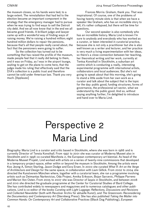the museum closes, so his hands were tied, to a large extent. The reinstallation that had led to the election became an important component in the strategy that the emergency manager had to pursue when he was trying to find ways to sell the Detroit city debt. And we all now know that in the end we all became good friends. A brilliant judge and lawyer came up with a wonderful way of finding ways of raising money. We're raising a hundred million; eight hundred million dollars to repair the pensions, because that's all that people really cared about, the fact that the pensioners were going to suffer.

So the collection has turned out to be something that has raised the profile of the museum, made people feel that it really did belong to them, and it was on Friday, as I was in the airport lounge, waiting to get on the plane to come here, that the judge made his ruling that effectively said that the DIA's collection is a public trust and therefore cannot be sold under American law. Thank you very much. [Applause]

Frances Morris: Graham, thank you. That was inspirational. Of course, one of the problems of having twenty-minute slots is that when we have a speaker like Graham, who has an incredible story to tell, it's rather collapsed, but there will be time for questions.

Our second speaker is also somebody who has an incredible history. Maria Lind is known I'm sure to anybody and everybody who has worked as a curator, or been interested in curatorial practice, because she is not only a practitioner but she is also well known as a writer and lecturer, and her practice is very much a living experimentation with her ideas, so there's a close connection between her teaching, her theoretical writing and her work, currently at Tentsa Konsthall in Stockholm, a suburban art centre which is conducting a really, interesting experimental programme with international artists, collaborators and local audiences. But she's not going to speak about that this morning, she's going to stand a little aside from her own work as a curator and talk about the subject that is the topic for the day: public good, funding structures, forms of governance, the professional art sector, what we understand by the public good. And so, without saying anything further, I'm delighted to introduce and hand over to Maria Lind.

## Perspective 2 Maria Lind

Biography: Maria Lind is a curator and critic based in Stockholm, where she was born in 1966 and is currently Director of Tensta Konsthall. From 1997 to 2001 she was curator at Moderna Museet also in Stockholm and in 1998 co-curated Manifesta 2, the European contemporary art biennial. As head of the Moderna Museet Projekt, Lind worked with artists on a series of twenty-nine commissions that developed in a temporary project-space, either within or beyond the museum in Stockholm. Among the artists were Koo Jeong A, Simon Starling, Jason Dodge and Esra Ersen. In 2000 she curated *What If: Art on the Verge of Architecture and Design* for the same space, in collaboration with Liam Gillick. From 2002 to 2004 she directed the Kunstverein München where, together with a curatorial team, she ran a programme involving artists such as Deimantas Narkevicius, Oda Projesi, Annika Eriksson, Bojan Sarcevic, Philippe Parreno and Marion Von Osten. From 2005 to 2007 she was Director of Iaspis in Stockholm, and between 2008 and 2010 she directed the graduate programme at the Center for Curatorial Studies of Bard College. She has contributed widely to newspapers and magazines and to numerous catalogues and other publications. Lind is co-editor of the books *Curating with Light Luggage: Reflections, Discussions and Revisions* and *Collected Newsletter* (both with Revolver Archiv für aktuelle Kunst), and *The Greenroom: Reconsidering the Documentary and Contemporary Art* (Sternberg Press). She has also published *Taking the Matter into Common Hands: On Contemporary Art and Collaborative Practices* (Black Dog Publishing), *European*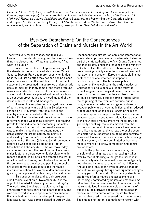*Cultural Policies 2015: A Report with Scenarios on the Future of Public Funding for Contemporary Art in Europe* (Iaspis and eipcp). Recent co-edited publications include *Contemporary Art and Its Commercial Markets: A Report on Current Conditions and Future Scenarios*, and Performing the Curatorial: Within and Beyond Art, (both Sternberg Press). In 2009 she received the Walter Hopps Award for Curatorial Achievement, and in autumn 2010 Sternberg Press published *Selected Maria Lind Writings*.

### Bye-Bye Detachment: On the Consequences of the Separation of Brains and Muscles in the Art World

Thank you very much Frances, and thank you Graham. Extremely interesting, and I'm sure we have things to discuss later: What is an audience? And what is a public?

Where do revolutions happen nowadays? In the streets, is the most immediate answer: Ontario Square, Zuccutti Park and more recently on Maidan Square. But just as often they happen behind closed doors, far away from the visibility of outdoor public space and the presumed transparency of democratic decision-making. In fact, some of the most profound revolutions take place where television cameras are absent and iPhones are placed just out of reach, or are not even present, at board meetings and of the desks of bureaucrats and managers.

A revolutionary plan that changed the course of both the economy and politics in Sweden was shaped on 21 November 1985 in a villa in the countryside near Stockholm. The board of the Central Bank of Sweden met there in order to come to terms with the weakening economy, decreasing profits for the industry, and increasing unemployment defining that period. The board's solution was to make the bank sector autonomous by deregulating the credit market, an initiative endorsed by Olof Palme's social democratic government of the time (this was just three months before he was shot and killed in the street in Stockholm in February 1986). As we know today, such decisions about the credit market have been major factors in global economic developments in recent decades. In turn, this has affected the world of art in profound ways, both fuelling the boom of the commercial art market and pushing the public art sector towards budget cuts and increased instrumentalisation. For example, demands on integration, crime prevention, learning, job creation, etc.

This unspectacular and largely unknown albeit radical event on 21 November 1985 is the object of the artist Andjeas Ejiksson's work, *1985*. The work takes the shape of a play featuring the characters who took part in the board meeting, and was conceived as a site-specific performance for the villa itself and its surrounding picturesque landscape. *1985* was commissioned in 2011 by Lisa

Rosendahl, then director of Iaspis, the international artists' studio programme in Sweden, which itself is part of a state authority, the Arts Grants Committee, and falls directly under the influence of the Ministry of Culture. That the influence of bureaucracy has been growing rapidly since the advent of new public management in Western Europe is palpable in most sectors of society, whether the impact is revolutionary or not. The term 'new public management' was coined in the early nineties by Christopher Hood, a specialist in the study of executive government regulation and public sector reform in order to describe the shift from the so-called progressive public administration. Since the beginning of the twentieth century, public progressive administration instigated a division between public and private activities, and introduced procedures such as the arm's-length principle to avoid corruption and nepotism. Neo-liberal market solutions based on economic rationalism are central to the new public management methodology and, generally speaking, focus has moved from the process to the result. Administrators have become more like managers, and whereas the public sector was historically understood as being democratically governed, having attractive goals and a functioning juridical system, it is now dominated by business models where efficiency, competition and control are loadstars.

In the public sector and elsewhere, the principle of serving has been increasingly taken over by that of steering, although the increase in responsibility which comes with steering is typically not followed by an equal amount of real influence. And as part of this, it can even be argued that art and culture are going through paradigmatic changes in many parts of the world. Both funding structures and forms of governance and assessment are increasingly dominated by beliefs and mechanisms taken from the corporate sector. Funding is openly instrumentalised in very many places, in terms of public sources, private donations and foundation money, and even bureaucrats require treatment of the kind that used to be reserved for private donors. The smooshing factor is something to reckon with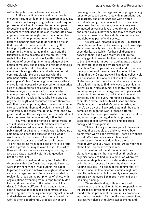within the public sector these days as well.

At the same time, more and more people encounter art, at art fairs and mainstream museums, the former now having a long history of catering to professional art sector's need for lectures, panel discussions and even workshops. Simultaneously, phenomena which used to be clearly separated now appear evermore entangled with one another, like the public and the private; there is a problematic pattern emerging, that has to do with the division that these developments create — namely, the forking of paths with at least two streams, the majors and the minors, the mainstream and the tributaries, or the muscles and the brains, if you wish. Gilles Deleuze and Félix Guattari developed the notion of becoming minor as a critique of the notion of majority and minority in ordinary language and their attachment to the idea of claiming identities. Bearing Kafka in mind, who neither felt comfortable with the pro-Jews nor with the dominant Austro-Hungarian power structure, the philosophers' claim 'becoming minor' as an ethical choice is not necessarily connected to the numerical size of a group but to a relational difference between majors and minors. On the schoolyard of contemporary art, this can be translated as the brains and the muscles: those who have and use physical strength and resources and are therefore, with their basic approach, able to reach out to wider circles, dominate them and decide the overall rules of the game, and those who actually invent the new games and find the settings for them, but who do not have the power to become widely influential.

So, what does this forking of paths mean for art institutions which understand themselves as art and artists-centred, who want to rely on producing public good for citizens, or simply want to become a common? And here the question is also what it would mean to shift some of the terms of the discussion in general, and of our conference. To shift the terms from public and private to profit and non-profit, but maybe even further; to start to think about the commons as a way of sharing but also as a way of actually starting to question property relations.

Without speaking directly for Cluster, the discussions that the Cluster participants have had were in my mind when I was putting this paper together. Cluster is a network of eight contemporary visual arts organisations that are each located in residential areas on the peripheries of cities, with organisations extending from Europe to the Middle East, and one member of the network in Holon (Israel). Although different in size and structure, each organisation is focused on commissioning, producing and presenting contemporary art in an art and artists-centred manner, and the nature of the work is often experimental, process-driven and

involving research. The organisations' programming tends to be based on working with international and local artists, and often engages with diverse individuals and groups on local levels. They have been described as runways, being uniquely well connected on various levels, globally and locally, and other levels in between, and they are more and more rare cases of a physical place of encounters and debate as part of civil society.

Cluster was initiated in June 2011 in order to facilitate internal and public exchange of knowledge about how these types of institutions function and, secondarily, to establish further collaborations between them, but it was really crucial first to actually get to know each other in detail. In addition to this, the long-term goal is to collaborate between the network, to increase awareness of the institutions' and organisations' work and to focus on the importance of the outcome. And one of the things that the Cluster network has done collectively is a publication: this one, which is called *Cluster: Dialectionary*. I will pass it around later and you can take a look. It aims to find new ways to position the network's activities and, more broadly, the work of contemporary visual arts organisations, particularly in relation to wider social, political and cultural concerns. There are very interesting essays by, for example, Andrea Phillips, Mark Fisher and Nina Möntmann, and the artist Marion von Osten, and there's also a set of keywords that might be useful, compiled through the work of these different institutions by the people involved — artists, curators and other people engaged with the projects. Examples of such keywords are emancipation, energy and estrangement.

Slides. This is just to give you a little insight into who these people are and what we've been doing when we've been travelling. There's a website as well. We have here a neck dilemma of presentations (when you don't have the screen in front of view and you have to keep turning your neck all the time), so please excuse me.

One effect of the aforementioned paradigmatic changes is that many of us, through our organisations, are tied up in a situation where we have to juggle public and private fund-raising in order both to generate income and diversify our funding sources. The boom of the commercial art market since the late nineteen nineties might not directly pertain to us, but indirectly we're deeply affected by the overall changes in the field of art, including funding.

We're also dealing with new forms of governance, and in addition to being responsible for the artistic programme in our institutions we're faced with the prominent feature in this process, at least in north-western Europe, the ever-present and impressive volume of reviews, assessments and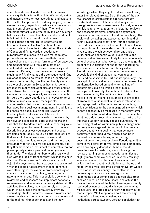controls of different kinds. I suspect that many of you are quite familiar with all this. We count, weigh and measure more or less everything, and evaluate the results. The protocols for doing so go by various names: review, inspection, certification, revision and quality control are some of them. The field of contemporary art is as affected by this as any other field, as we know from healthcare and education. It is felt both in how art works, and in how organisations operate. But in contrast to art historian Benjamin Buchloh's notion of the administration of aesthetics, describing the attitude of Conceptual Art towards procedures or bureaucracy, it is more to do with methodology, protocols and rituals than with aesthetics in a classical sense. It is the performance of bureaucracy and management. All of this amounts to an accelerated formalism in terms of reviewing and assessing. But why do we review and assess so much today? And what are the consequences? One explanation has to do with so-called organisation making. For example, over the last twenty years or so the public sector in Sweden has undergone a process through which agencies and other entities have strived to become proper organisations in the sense of becoming generally known and accounted for. And then, understandably, it is necessary to be definable, measurable and manageable, characteristics that come from steering mechanisms borrowed from business management. In addition to this there has been, in a place like Sweden, a tendency to decentralise, which has led to responsibility moving downwards in the hierarchy. Reviews and assessments are useful for making sure that this freedom is not used in the wrong way, or for attempting to prevent disorder. So this is a descriptive use: unless you inspect and assess, problems might occur, so you'd better take care of that yourself. But as we know, reviews and assessments often lead to a demand for more, and presumably better, reviews and assessments, and they then become an instrument of control, a tool for pre-emptively making people do what you want them to do. The idea of numbers works really well also with the idea of transparency, which is the new doctrine. Perhaps we don't talk as much about objectivity anymore but transparency is a buzzword. When this logic of assessment tries to dominate over other logics, for example professional logics specific to each field of activity, an imaginary rationality emerges. This is especially true when the reviewers and assessors can implement sanctions. As reviewers and assessors can rarely delve into the activities themselves, they have to rely on reports, which, in turn, make the bureaucracy grow by stimulating rituals of control. However, reviews and assessments are often made too narrowly to amount to the real learning experiences, and the new

knowledge which they might produce doesn't really enter the relevant arenas. So at the end of the day, real change in organisations happens through established power relations and ideology, not through reviews and assessments. And yet, whereas politicians tend to hang on to the idea that reviews and assessments signal action and engagement, they are in fact replacing political responsibility. The society of reviewing and assessing has, in and of itself, revolutionised everything from the shape of the workday of many a civil servant to how activities in the public sector are understood. So at stake here is value, and a clash between different kinds of value, such as economic value, public value and deferred value. We are not likely to be able to evade cultural assessments, but we can try and change the amount of evaluations and the terms according to which we as art institutions are being valued. Therefore values as such come to the foreground, especially the kind of values that can account for—and be sensitive to—art and its specificity. The concept of public value can for example be useful as an alternative, based on quality, to the kind of quantifiable values on which a lot of public management now rely. The notion of public value was developed by the political scientist Mark H. Moore in the early nineties as an equivalent to the shareholders value model in the corporate sphere, but repurposed for the public sector something which contributes to the common good in ways which cannot necessarily be measured in monetary terms.

The historian of ideas Sven-Eric Liedman has identified a dangerous phenomenon as part of all of this that is at play, namely pseudo-quantities, the flourishing of which within new public management he firmly warns against. According to Liedman, a pseudo-quantity is a quality that can be more accurately described verbally than it can be in material or concrete terms, either through description or more expressively. Pseudo-quantities come in two different forms, simple and composite, which are equally deceptive. Simple pseudoquantities are, for instance, stars following the review of a film; composite pseudo-quantities are slightly more complex, such as university rankings, where a number of criteria such as amounts of articles written, quantity of citations attributed and Nobel Prizes won filter into a grading system whose precision is just illusionary. The conflict here is between quantification and well-grounded judgements about complicated and complex areas such as education and healthcare, and art, as the former has subsumed the latter. Language is simply replaced by numbers and this is contrary to what Mikael Löfgren states as an urgent necessity in the recent report 'No Exceptions' about the working value of small and medium-sized visual art institutions across Sweden. Lergian concludes that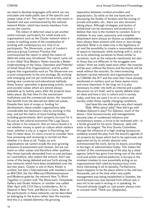we need to develop languages with which we can articulate and make public use of the specific and unique value of art. This report for now only exists in Swedish and was commissioned by the national network Klister, which has twenty members from across the country.

The notion of deferred value is yet another useful concept, particularly for small-scale arts organisations such as the Cluster network when it comes to tackling some of the complexities of working with contemporary art. One of its participants, The Showroom, is part of London's advocacy group Common Practice that commissioned the report in which the notion of deferred value was introduced. The report came out in 2011 titled 'Size Matters: Notes towards a Better Understanding of the Value, Operation and Potential of Small Visual Arts Organisations', and its author argues that organisation such as The Showroom are crucial components to the arts ecology. By working with emerging and not yet confirmed artists, and by testing new curatorial and educational methods, these 'brains' specialise in generating artistic, social and societal values which are almost always palpable up to twenty years after the projects have taken place. By that time it's the mainstream institutions and the commercial sector, the 'muscles' that benefit from the desired but deferred values. Despite their lack of scope or funding for development, these smaller organisations take considerable but necessary risks by working in this way, and yet the matrix of most funding bodies, including governments, don't properly account for it. So just as the cultural economist Pier Luigi Sacco has shown in his research, that on macro-levels it is not whether money is spent on culture which matters most, whether a city or a region is flourishing, but how it's been done, it's more crucial to consider here how assessing and reviewing is carried out than whether it is done at all. Today, as arts organisations we cannot evade the ever-growing presence of assessment and reviews, but we can insist on other values and therefore other qualities than those typically demanded from us and perhaps, as I said before, also reduce the amount. And I see some of this being debated and put forth among the new networks which have been established over the last few years. Cluster is one of them, Klister is another, but also L'Internationale with members such as MACBA, the Van ABernard Blistèneemuseum and Moderna galerija, the network How To Work Together in London with The Showroom, Chisenhale Gallery and Studio Voltaire, or another one called After April with CCA Derry-Londonderry, Art in General in New York, and Beirut in Cairo. Most of the participants in these networks can be described as belonging to the brains rather than the muscles. And this is a related dilemma: the growing

separation between content-providers and popularisers. So while on the one hand we're discussing the fluidity of borders and the mixing of private and public, etc., there are also divisions taking place. Although strategies and tactics of withdrawal can be necessary and productive, I believe that now is the moment to connect. Even to mobilise. In any case, autonomy and complete attachment were always an illusion as stakeholders have always been present with more or less strings attached. What is at stake now is the legitimacy of art and the possibility to create a reasonable amount of space to manoeuver while working with it, and to do so by attaching ourselves to those similar to ourselves, such as the networks mentioned, but also to those that are different. In the struggles over values I think we really need each other: the muscles will be poor without the brains and the brains will be weak without the muscles. So interconnecting between various networks and organisations such as CIMAM, the IKT and the ones that I have already mentioned on matters such as these seems more and more important. In the long run it is also necessary to enter into both an internal and a public discussion on art itself, and to openly debate what art does and how it sits in culture and in society today, and how we want it to sit in culture and society under these rapidly changing conditions.

I just have this one slide and a very short remark. Slide. What about *1985*? How did it go with Andjeas Ejiksson's play? For Ejiksson, much of the above—how bureaucracies and managements become sites of condensed influence and revolutionary power, a force to be reckoned with—is a fertile ground for his work. However, *1985* still waits to be staged. The Arts Grants Committee, through the influence of a high-ranking bureaucrat, suddenly erased the play from the board's agenda of art projects by Iaspis which had to be approved, and approved not by its artistic director who commissioned the work, but by its board, according to the logic of administration today. This makes the context of the commissioning of the play by a state agency (which has gone from being one of the most vivid and artists-centred platforms in Europe in the nineteen nineties to now essentially acting as an organisational shell ruled by bureaucracy) even more interesting in all its banality. Furthermore, laspis happens to be the place where in the mid-two thousands, just at the time when new public management was being established in Sweden, the word bureaucracy was banned from official use; it was not to be used in writing or in speaking. As Foucault already taught us, real power always tries to conceal itself. Thank you. [Applause].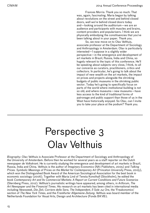Frances Morris: Thank you so much. That was, again, fascinating. Maria began by talking about revolutions on the street and behind closed doors, well we're behind closed doors today and—looking around the auditorium—we are an audience and participants with muscles and brains, content-providers and popularisers. I think we are physically embodying the constituencies that you've been talking about in your paper. Thank you.

So, we now move on to Olav Velthuis, associate professor at the Department of Sociology and Anthropology in Amsterdam. Olav is particularly interested—I suppose in a slightly wider perspective—in the emergence and development of art markets in Brazil, Russia, India and China, so hugely relevant to the topic of this conference. He'll be speaking about subjects very close, I think, to all our concerns as curators, practitioners, critics and collectors. In particular, he's going to talk about the impact of new wealth on the art markets, the impact on prices and projects alongside the shrinking budgets of public museums in the shrinking public sector. Today he's going to specifically focus on parts of the world where institutional building is not so old, and where museums—new museums—have less access to the kind of traditional forms of patronage and public support than those of us in the West have historically enjoyed. So Olav, can I invite you to take your place at the podium? Thank you.

## Perspective 3 Olav Velthuis

*Biography*: Olav Velthuis is Associate Professor at the Department of Sociology and Anthropology of the University of Amsterdam. Before then he worked for several years as a staff reporter on the Dutch newspaper *de Volkskrant*. He is currently studying the emergence and development of art markets in Brazil, Russia, India and China. Velthuis is the author of *Imaginary Economics* (NAi Publishers, 2005) and *Talking Prices. Symbolic Meanings of Prices on the Market for Contemporary Art (Princeton University Press, 2005),* which won the Distinguished Book Award of the American Sociological Association for the best book in economic sociology (2006). Together with Maria Lind of Tensta Konsthall (Stockholm), he edited the book *Contemporary Art and Its Commercial Markets: A Report on Current Conditions and Future Scenarios*  (Sternberg Press, 2012). Velthuis's journalistic writings have appeared, among others, in *Artforum*, *The Art Newspaper* and the *Financial Times*. His research on art markets has been cited in international media including *Newsweek*, *Die Zeit*, *Corriere della Sera*, *The Independent*, *Il Sole 24 Ore*, the 'Freakonomics' section of *The New York Times*, and the *Frankfurter Allgemeine Zeitung*. Velthuis was board member of the Netherlands Foundation for Visual Arts, Design and Architecture (Fonds BKVB).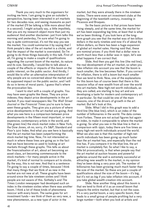Thank you very much to the organisers for inviting me here. I am going to give an outsider's perspective, having been interested in art markets for two decades now, and seeing museums as part of the market (I'll be talking a little more about that in a second). I might actually say, a little impolitely, that you are my research object more than just my audience! And another disclaimer: just from talks this morning and yesterday, I'm sure what I'm going to say is quite controversial, it's not the way you see the market. You could summarise it by saying that I think people's idea of the art market is a cliché, and that the impact of the market is overstated. So I'm going to do three things basically in this talk. First of all, I'm going to make a couple of qualifications regarding the current boom of the market, its nature and its size. Secondly, I would like to talk about a couple of the effects or impacts of this boom on the public interest, on the public sector. And thirdly, I would like to offer an alternative interpretation of why people are so concerned about the market and its supposed impact on the public sector, and I will do so in terms of moral panic. I guess that's where the provocation lies.

I want to start with a couple of graphs. You may have seen graphs like these. They are price indexes; they depict price developments in the art market. If you read newspapers like *The Wall Street Journal* or the *Financial Times* you're sure to have seen these graphs. They give you a picture of where price developments in the art market are going. And what you see here is a comparison between price developments in the fifteen most important, or most expensive, contemporary artists in the world, and (the green line) the stock market index in New York, the Dow Jones, oh no, sorry, it's S&P, Standard and Poor's 500 Index. And what you see here is basically that the art market has been outperforming the stock market big time. Now, I'm not interested so much in where these lines are going as in the fact that we have become so used to looking at art markets through these graphs. This tells us about the financialisation of art, about art becoming an asset class, art becoming commensurate to the stock markets — for many people active in the market, it's kind of normal to compare art to stocks. By the way, this is not new. And that is a sentence I'm going to say a couple of times, because I think that many things that we think of as new in the market are not new at all. These graphs have been around since the late nineteen sixties and I think people are not aware of this. Sotheby's and *The Times London* newspaper had developed such an index in the nineteen sixties when there was another boom. I think a lot of these kinds of phenomena reoccur with every boom. The same goes for art investment funds — we think of them as very new, a new phenomenon, as a new type of actor in the

market, but they were already there in the nineteen sixties. There were even art investment clubs at the beginning of the twentieth century, investing in Picassos and Braques.

So the basic picture is that prices have been rising steeply, and at the same time, the market for art has been expanding big time, at least that is what we've been thinking. If you look here at the longterm graph you see that the market was of ten billion dollars in the early nineties and now it's of about 65 billion dollars, so there has been a huge expansion of global art market sales. Having said that, these are nominal prices: if you think that a dollar now is worth much less than a dollar was in 1990, let's see what happens if we correct that.

Slide. And then you get this line (the red line), the real development of the art market, so when you take inflation into account you see that the boom is much smaller, the line becomes flatter. If you correct for inflation, there is still a boom but much smaller than we tend to think. Now, one of the explanations for this boom has of course been that there is this massive influx of new wealth from all over the world into art markets. New high-net-worth individuals, as they are called, are starting to buy art and are developing a taste for modern and contemporary art in particular. So that could be one of the main reasons, one of the drivers of growth in the art market. But let's look at this.

Slide. What I did in this graph was to add a third line (the blue line), which is an index of the number of billionaires in the world. The data comes from Forbes. These are not actual figures but again an index, to make it comparable to where the market is going. So what you see in the blue line is that in comparison with 1990, today there are five times as many high-net-worth individuals around the world. What we also see is that this number of high-networth individuals has been going up much faster than the art market has, and especially than the red line has. If you compare it to the blue line, the art market is completely flat. So what I like to say, a little bit provocatively, is that when people say that the art market at auction houses and powerful galleries around the wall is extremely successful at attracting new wealth to the market, in my opinion they've been doing a very poor job. The number of billionaires has been growing much much faster than the size of the market. So these are just a couple of qualifications about the size of the boom — it's big, but it's not as big if you take inflation into account, if you take global wealth creation into account.

Slide. Now another thing about this boom is that we tend to think of it as an overall boom that impacts the entire market, but that is not the case. It's a very partial boom, a very specific boom, that leads to a small group of people profiting but a very large number—both when you look at artists and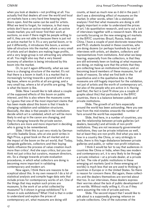when you look at dealers—not profiting at all. You actually find that dealers all over the world and local art markets have a very hard time keeping their doors open. And the same can be said for artists. What we tend to forget, for instance, is that many artists don't have an active market at all, an active resale market; you will never find their work at auctions, so even if there might be people willing to sell it, they are not able to because there is just not an active market for it. It's a very partial boom, or to put it differently, it introduces this boom, a winnertake-all structure into the market, where a very small of artists and art dealers are making huge profits, and a very large group is not attracting any attention at all. You might also say that a very biased economy of attention is being introduced by this boom into the market.

Or, to put it again differently, what we see here is a changing structure of the market. It's not that there is a boom in itself; it is a market that is increasingly turning towards a pyramid with a very big base, where no profits at all are going, and a very small top, where a lot of profits are going. That is what the boom is like.

Slide. Now I would like to talk about a couple of the supposed effects of this boom on public interest, and this is also where the museums come in. I guess that one of the most important claims that has been made about this boom is that it leads to changing validation and validation structures. Basically, the idea is that people in the institutions decide which art is validated, which art will be more likely to end up in the canon are changing, and they're changing towards the private sector. Collectors are more and more important in deciding who is going to be remembered.

Slide. I think this is put very nicely by German art critic Isabella Graw, who at one point writes in High Price, a great book on the art market and on the impact of the boom on the art world, that 'Today, alongside gallerists, collectors and their buying habits influence the process of value creation much more than critics'. And she says critics, but you can think not just critics but curators, museum directors, etc. So a change towards private evaluation procedures, in which what collectors are doing is becoming more important in validating contemporary and modern art.

Now again, I think there are reasons to be sceptical about this. In my own research I do a lot of statistical analysis and compile huge data sets that include prices for contemporary works of art. One of the things that may explain such prices are museums. Is the work of an artist collected by museums? Is it shown in group exhibitions? Is it shown in solo exhibitions? What I find is that in order to understand and explain the prices of contemporary art, what museums are doing still

counts, at least as much now as it did in the past. I don't see a diminishing effect of museums on the market. In other words, when I do a statistical analysis I find that what museums are doing is still hugely important in order to understand the prices of art. I do quantitative research, and carry out a lot of interviews together with a research team. We are currently focusing on the new emerging art markets in the BRIC countries: Brazil, Russia, India and China. I have a couple of post-doctorate researchers and Ph.D. students located in these countries, who are doing dozens (or perhaps hundreds by now) of interviews with artists, art dealers, collectors and representatives from institutions. And what we keep hearing, especially from the collectors, is that they are still extremely keen on looking at what museums are doing, on making sure that the artists that they are collecting have an institutional history, and on becoming board members of these museums, for all kinds of reasons. So what we find both in the quantitative and in the qualitative data is that museums are still hugely important for the validation, not just of artists and the worth of contemporary art, but also of the people who are active in it. Having said that, the fact is (and I'll show you a couple of graphs about this) that particularly in the BRIC countries, there is a balance between public and private institutions.

Slide. The growth of art fairs especially around the world has been astounding. Here you see how from the mid-nineties onwards the number of fairs around the world has expanded.

Slide. And here, in a number of countries, you see the relationship between private galleries (art dealers, basically) and all kinds of non-profit institutions. They are not necessarily governmental institutions, they can be private initiatives as well, but at least they are non-profit. And what you see is how in a country like China, or very strikingly in India, there is this huge disbalance between private galleries and public, or rather non-profit initiatives.

I think it would be fair to say that audiences in countries like China or India, when they see modern and contemporary art, it is very likely to be through a private initiative — at a private dealer, at a private art fair. The role of public institutions in these emerging art markets (and in these emerging art worlds) is much less that we are used to thinking in countries in Europe or in the United States. So there is reason for concern there. But again, these collectors and the dealers themselves are worried about that too. In our interviews, these dealers express their worries about the lack of public development of art worlds. Without really willing it, it's as if they were assuming the role of private patrons.

Slide. The second impact that I would like to talk about is a supposedly growing reliance on private collections. One of the outcomes of the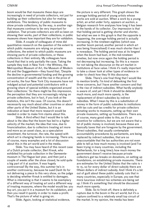boom would be that museums these days are increasingly in need of private collectors, not just for building up their collections but also for making exhibitions. This tendency of public museums to show private collections, by the way, is another sign that museums continue to be very important for validation. That private collectors are still so keen on showing their works, part of their collections, in public museums shows how important they are for validation.

Slide. A couple of colleagues of mine did quantitative research on the question of the extent to which public museums are relying on private collections, the extent to which public museums are showing parts of private collections, or these collections in their entirety. My colleagues have found that that is only partially the case. Taking the sample they took in New York—the Whitney, the Metropolitan Museum of Art, the Museum of Modern Art and the Guggenheim—they found that, 'Despite the decline in governmental funding and the growing concentration of wealth and the rise in the price of art works, the four New York City museums have not indulged actual and potential contributors with a growing share of special exhibits organized around their collections.' So there might be this impression, the perception that they are increasingly relying on private collections, but in fact, if you look at the statistics, this isn't the case. Of course, this doesn't necessarily say much about other countries or about other parts of the United States, but it is an indication at least that more research would be needed in order to make firm claims about this.

Slide. A third effect that I would like to talk about is the idea that the boom has led to a higher velocity of the market; the idea that now, due to financialisation, due to collectors treating art more and more as an asset class, as a speculative investment, the turnover, the rate, the speed with which art is changing hands is increasing. There are, of course, many examples and a lot of discussion about this in the art world and in the media.

Slide. You may have heard of this recent case of a Dutch private collector, Bert Kreuk, who exhibited his private collection in the Gemeentemuseum in The Hague last year, and then just a couple of weeks after the show closed, he sold quite a big part of it at auction. It was hugely controversial! By the way, this summer he's in another controversy, because he sued Danh Vo for not delivering a piece to this very show, so the judge is deciding whether Kreuk is entitled to damages. What is interesting is that it seems to be exemplary of a different way of treating art and a different way of treating museums, where the model would be: you buy art, you put it in a museum for its validation, and then you resell it quickly in order to make a profit. That's the picture of what is going on.

Slide. Again, looking at statistical evidence,

the picture is very different. This graph shows the average holding period of young artists whose works are sold at auction. When a work by a young artist, an artist under forty, appears at auction, a Belgian research firm analyses how long it has been in the hands of its collector. Our impression is that that holding period is getting shorter and shorter, but what we see in this graph is that the opposite is happening, the average holding period is actually increasing. In the nineteen eighties (which was another boom period, another period in which art was being financialised) it was much shorter than it is nowadays. The holding period was at its longest when the boom had bust, in the mid-nineteen nineties, but now once again the holding period is not decreasing but increasing. So this is a reason for not taking the discourse on the art market in institutions at face value. I think it's really important to take a closer look at other types of evidence in order to check how they fit this discourse.

Slide. There's one final thing that I would like to mention briefly. I'm kind of debunking the first three concerns, but I have another concern and that is the rise of indirect subsidies. What hardly anybody is aware of, and yet I think it should be debated much more, and much more openly, is the replacement of direct subsidies by indirect subsidies. What I mean by this is a substitution of money in the form of public subsidies to institutions with tax cuts and tax credits for private collectors donating works to museums, setting up their own private museums, setting up foundations. There are, of course, many good sides to this, as it's an incentive for collectors, but we are not aware that a lot of public money is involved, because these are basically taxes that are foregone by the government. Direct subsidies, that usually contemplate accountability procedures by parliaments, are being replaced by indirect subsidies, that are so unaccountable that the tax authorities are not even able to tell us how much money is involved (and I've been trying in many countries, including the Netherlands, for a long time); how much money the government doesn't receive because private collectors get tax breaks on donations, on setting up foundations, on establishing private museums. There are estimates for the United States that the ratio is 1 to 15, so for every dollar of direct subsidy there are fifteen dollars of indirect subsidy. And I think it's a bit out of guilt about these public subsidy cuts that in many countries, especially in Europe, you see that more luxurious indirect tax schemes are being set up. I think it's something that should be discussed much more openly.

Slide. So to finish off, there is definitely a rupture due to the boom in the art world, but it's a rupture confined to a relatively small top circuit of the market. In my opinion, the media has been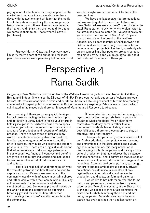paying a lot of attention to that very segment of the market. And because it is so event-driven these days, with the auctions and art fairs that the media love to talk about, something like a moral panic is being created about these changing structures in the market. And I think they are not as different as we perceive them to be. That's where I leave it. [Applause]

Frances Morris: Olav, thank you very much. I'm sorry that we sort of ran out of time for moral panic, because we were panicking but not in a moral way, but maybe we can come back to that in the question time.

We have one last speaker before questions, and we are delighted to share the platform with Rana Sadik. Where are you Rana? Good! I wanted to catch Rana earlier to ask her why she didn't want to be introduced as a collector (so I've said it now), but you are also the Director of MinRASY Projects Kuwait. You are on the board of the Welfare Association, a board member of Ashkal Alwan and Bidoun. And you are somebody who I know has a huge number of projects in her head, somebody who enjoys supporting other people's projects but also making you own. I hope you're going to talk about both sides of the equation. Thank you.

## Perspective 4 Rana Sadik

*Biography*: Rana Sadik is a board member of the Welfare Association, a board member of Ashkal Alwan, Beirut, and Bidoun. She is also the Director of MinRASY projects. An avid supporter of cultural projects, Sadik's interests are academic, artistic and curatorial. Sadik is a life-long resident of Kuwait. She recently conceived a four-part public space project in Kuwait thematically exploring Palestinians in Kuwait which culminated in the museological project Museum of Manufactured Response to Absence.

Good morning. A thank you, a very quick thank you, to Bartomeu for inviting me to speak on this topic, and definitely to Jenny Schmitz for all your efforts in helping me get here. Bartomeu asked me to speak on the subject of patronage and the construction of a sphere for production and reception of artistic practice. There are two types of patrons in my world: the state-sanctioned patrons for protocol function and management of an event, and the private patrons, individuals who create and support private initiatives. There are no legislative decisions that either encourage or discourage patronage. In some countries, financial incentives and benefits are given to encourage individuals and institutions to venture into the world of patronage for arts and culture.

There is a real lack of understanding of what the role of a patron is and how this can be used to capitalise on that. Patrons are members of the community, usually with influence in certain spheres and rather visible within their communities. This may not necessarily fit into the agenda of statesanctioned patrons. Sometimes protocol frowns on this and it can be misinterpreted as opening a breeding ground for competition rather than incorporating the patrons' visibility to reach out to the community.

If I can take this one step further, immigration regulations further complicate being a patron in countries where residents live on short-term renewable residency permits rather than a guaranteed indefinite leave of stay, so what possibilities are there for these people to play an effective role of patronage?

There are large minority communities in all of our Arab world that go completely unrepresented and unmentioned in the state artistic and cultural agenda. In my opinion, this marginalisation is discouraging for both the patron and for any artistic cultural production that may address the existence of these minorities. I find it admirable that, in spite of no legislative action for patrons or patronage and no incentives, from this void come patrons, patronage, non-profit spaces, ambidextrous spaces, private collections, private museums, endless shows, regionally and internationally, and venues for production and display, art fairs and galleries.

I would like to brainstorm on what the terms patron and patronage mean to me from my own experiences. Two biennales ago, at the Sharjah Art Biennial, I was asked to give a talk alongside the artist Khalil Rabah, him being the artist and me being the patron. My understanding of being a patron has evolved since then and has taken on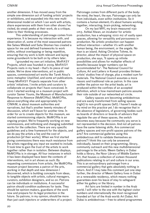another dimension. It has moved away from the simple one-dimension act of funding artists' projects or exhibitions, and expanded into this new multidimensional model on which I can work with artists, share experiences with them from other shows I've visited, do sneak peeks at their work, do a critique, listen to their thinking processes.

This understanding of patronage comes from experience. It is because my interaction with, and observation of, some of the most seasoned patrons like Salwa Mikdadi and Suha Shoman has created a space for me and defined frameworks to work within, without overlapping or being repetitive. ensuring that my work is both relevant and laying some groundwork to be built on by others later.

I grounded my own art initiative, MinRASY Projects, which was founded in 2009. MinRASY Projects rests in my head — that's its piece of real estate. We've done interventions, art in public spaces, commissioned art works like Tarek Atoui's sonic metaphor *Unplified*, and some art publications. I keep MinRASY Projects separate from other artists' initiatives. I invite artists and curators to collaborate on projects that I have conceived. In 2010 I started working on a museum project with curator Samer Younis, the Museum of Manufactured Response to Absence (MoMORta). MoMORta, above everything else and appropriately for CIMAM, is about museum authorities and narratives, but that's another twenty minutes of discussion, which we'll leave for another time. In order for us to create objects for this museum, we started commissioning objects. MoMORta is an ongoing project. We're frequently working on new commissions, and rethinking and changing submitted works for the collection. There are very specific guidelines and a time framework for the objects, and we do pay the artists a fee and the cost of production [of their works]. When we first started giving commissions there was much resistance from the artists regarding any input we wanted to include. It took time to gain the trust of the artists to work together rather than in isolation. Between displays, MoMORta is in storage. All four instances in which it has been displayed have been the contexts of interventions, not in art shows as such. By requesting commissions from artists, the MoMORta museum project becomes a patron of the arts, working in that depth and new dimension I discovered, which is building concepts from ideas, to tangible objects with artists, cultural managers, curators, exhibition designers, and so on. Patrons can be individuals or institutions. A successful patron should condition audiences for taste. They should be opinion-makers, guardians of the work now and prepare for its legal protection in the future. So patrons, in my opinion, should be more than just cash-injectors or underwriters of a project.

Patronage comes from different parts of the body: the mind, the heart, the eye. Patronage can only be from individuals, even within institutions. So it contains a human element; it's about humans working together, interacting, brain-picking, networking.

On my last MRI, my brain measured 1130 cm3. Ashkal Alwan, an incubator for artistic production, has a whopping 1000 m2 of vastly open spaces, allowing for versatility and porousness in production. No artistic production can happen without interaction — whether it's with another human being, the environment, or the angels. No man is an island. Asking Christine Tohme, its director, about the impact of physical space on production, she says, 'It opens up infinite possibilities and allows for multiplier effects of benefits because larger numbers can be accommodated for'. The National Council for Culture, Art and Letters in Kuwait provides thirteen artists' studios free of charge, plus a modest sum for materials. The National Council assumes a more classic and traditional role as patron. In this case neither the patron nor the artist leads; art is produced within the confines of an accepted definition, which is how mainstream patrons assume their role outside of our networked art circle.

Gallery spaces are becoming ambidextrous and are easily transformed from selling spaces (right) to non-profit spaces (left). I haven't made up my mind on this practice yet. I do recognise that in the absence of legislators, of governing bodies such as boards of directors or boards of advisors that regulate the use of these spaces, the switch becomes easy because the community you serve is not represented in the decision. And not all patrons have the same listening skills. Are commercial gallery spaces and non-profit spaces patrons of the arts? Are commercial galleries using this ambidextrous skill to validate themselves as patrons? I think this can only be answered individually, based on their programming, library, community outreach and this new multidimensional patronage to the artists. Meem Gallery in Dubai holds a library, the Noor Library of Middle Eastern Art, that houses a collection of sixteen thousand publications relating to art and culture in our area. This is an extraordinary patronage from a commercial gallery that gets absolutely nothing in return. And if I may take this comment just one step further, the director of Meem Gallery lives in Dubai on a renewable residency, which means nothing guarantees even his leave of stay to safeguard either his gallery or the library.

Art fairs are limited in number in the Arab world. I will refer to the one with the highest visitor numbers and internationally the most recognised branded art fair of the Arab world: Art Dubai. Art Dubai is ambidextrous — free-to-attend programmes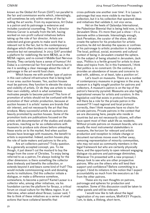known as the Global Art Forum (GAF) run parallel to the fair and commission works which, interestingly, will sometimes be only within metres of the fair selling the art works. From my experience, Art Dubai is a patron and its patronage is extensive and includes curatorial counselling. The fair's director Antonia Carver is actually from the left, having worked on non-profit cultural initiatives before taking up the role of fair director. Artists are selected and given grants to make work that is relevant not to the fair, but to the contemporary dialogue which often borders on material deemed sensitive but not sensational. In 2013 GAF provided a platform for redefining the term MENA, as in the MENA region, and re-coined it Middle East Nervous Anxiety. They certainly have a sense of humour! Art Dubai is a commercial fair first and foremost, but to me it is sending a clear message about the role of patronage in the art-world food chain.

Which leaves me with another type of patron in this vast cultural infrastructure that is being built in our area: auction houses. Yes, auction houses must be patrons; they function to elevate the status and visibility of artists. Or do they use artists to raise their own visibility, which is what sometimes motivates people to become patrons? This form of promotion of artists should not be confused with the promotion of their artistic production, because at auction houses it is artists' names are brands that stir interest, and not necessarily the art that they produce. Many successful artists at auctions are heavily promoted by auction houses. Some of the promotion tools are publications focused on the artists with documentation of the studios and studio practices, reaching as far as collaborations with museums to produce solo shows before unleashing these works on to the market. And when auction houses have leverage with museums, the benefit to artists is exponential. Indeed, auction houses play the role of taste-makers and patrons to the arts.

Are art collectors patrons? Tricky question. As a generally accepted concept, yes. To me though, it just doesn't cut the mustard to buy the image from the cover of Christies. To enjoy being referred to as a patron, I'm always looking for the other dimension: is there something the collector does tirelessly and benefits the collection, or extends beyond it and bears some kind of fruit? This would include commissioning work and donating works to institutions. Did this collector initiate a dialogue, or make a difference somehow, somewhere, to become a patron? Kamel Lazaar is a collector who, among other initiatives, via his foundation carries the platform for Ibraaz, a critical forum on visual culture for the Mena region. In an interview, when asked about Ibraaz, Lazaar said, 'I like to think of these initiatives as a series of small actions that have collateral benefits that

cross-pollinate one another over time'. It is Lazaar's patronage that was more visible to me than his collection, but it is his collection that spawned ideas and initiatives that validate it, not vice versa.

Hot on the heels of Qalandya International, the Palestinian Biennial that is being held now, is the Jerusalem Show. It's more than just a show — it's a biennale within a biennale. Interestingly enough, Jack Persekian, the curator of the show, did not create the sphere for his production for artistic practice; he did not develop the spaces or confines of his patronage to artistic production in Jerusalem. The local, political, social, economic and cultural context of being in Jerusalem created the sphere. On the subject of being situated in Jerusalem, Jack says, 'Politics is a fertile ground for artists to draw ideas and topics from. So in this framework, I think that politics is no constraint. On the contrary, it provides an abundance of issues and concerns to deal with, address, or at least, take a position on'.

Let's touch on museums. There are a number of contemporary museums in progress in the area. A museum is a highly sought position for patrons and collectors. A museum's patron is on the top of the patron's hierarchy pyramid. Museums are also highly aspirational venues for artists and curators. In this legislative void that exists in protocol formalities, will there be a role for the private patron in the museum? If I read regional and local protocol correctly, then I think museums have no chairs for private patrons. Private patrons in the context that we are discussing here, people who reside in countries but are not necessarily citizens, will often have spent most of their adult life as residents. Without private patrons on museum boards, who are usually the most instrumental stakeholders in museums, the horizon for relevant and artistic production and reception to initiate change or document narratives moves even further away, removing representation of minority communities, who may not exist as community members in the legal framework but who are certainly physically there, and the opportunity to open relevant engaging dialogue via patrons and patronage diminishes. Whenever I'm presented with a new proposal, I always look to see who are other prospective patrons. Who are the others who will lend their support and confidence? Before committing to a project, I bind its initiators to the notion that I expect accountability as much from the executors as I do from the other patrons.

These are my own thoughts on patrons, patronage and spheres for production and reception. Some of this discussion could be taken to other panels and still be relevant.

I would now like to talk about the legal registration of my own venture, MinRASY Projects. I am, to date, a lifelong, short-term,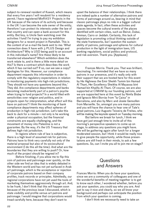subject-to-renewal resident of Kuwait, which means that every five years I will resubmit for a residency permit. I have registered MinRASY Projects in the UK because of the nature of its activity and because in the UK I can become the sole owner of the entity, therefore I can protect its interests under the law of that country and can open a bank account for this entity. But boy, is Uncle Sam watching over the activities I fund! I'm trying to pay my exhibition designers for a recent project in Ramallah. This is the content of an e-mail the bank sent to me: 'What connection does X have with 3 PLUS Design and Architecture? Why is USD being paid to an account in this individual's name? Are these likely to be transferred elsewhere? Which exhibition does the work relate to, and is there a little more detail on this? Is there a contract which describes the work which X has carried out? If so, can we see a copy? Apologies for this. However, our compliance department requests this information in order to comply with the regulatory expectations in relation to monitoring payments into high-risk jurisdictions. They should not have any questions beyond this.' They did. Are compliance departments and banks becoming inadvertently part of a patron's psyche when trying to fund projects? In a world filled with sensitivities over religion and politics, and in projects open for interpretation, what effect will this have on patrons? I think the monitoring of bank compliance departments may affect spheres of production in high-risk jurisdiction. Let's take this back to Jack for a minute — not only is he working under a physical occupation, but the financial constraints are equally challenging, and the movement of money into Palestine is not a guarantee. By the way, it's the US Treasury that defines high-risk jurisdiction.

In regions where rule of law is subjective, there is a high level of assumed risk for patrons. Patrons have to think very carefully not only of the material proposal but also of its sociocultural environment (I do this all the time). And what are the boundaries that they are willing to push? Or, how much of the project should be reigned in?

Before finishing, if you allow me to flip this coin of patrons and patronage over quickly, on the other side we find an idea that is widely debated in the Western world and has not yet surfaced in Arab art patronage, which is the acceptance or rejection of corporate patrons based on their company profiles, track records or principles. Admittedly, our regional corporations have not yet used the tools of marketing themselves aggressively through art. And, to be frank, I don't think that this will happen soon because of the previous issue I discussed, which is state visibility and profile versus art patrons and patronage. I would imagine that corporations would tread carefully here, because they don't want to

upset the balance of their relationships. I think there are indeed quite a number of alternative patrons and forms of patronage around us, bearing in mind that classic patronage plays no role in a bigger cultural state agenda. In fact, often these activities and spaces become the cultural events of the places identified with certain cities, such as Beirut, Dubai, Amman, Cairo or Jeddah. Certainly, this lack of legislation is promoting critical thinking outside of the state frameworks, but I question the sustainability of patrons, patronage and spheres for cultural production in the light of immigration laws, US banking regulations, social politics and protocol, and risk aversion. Thank you. [Applause]

Frances Morris: Thank you. That was brilliant, fascinating. I'm reminded that we have so many patrons in our presence, and it's really only with their support that we are hosted here for this event by His Highness the Emir Sheikh Tamim bin Hamad Al Thani, Her Excellency Sheikha Al Mayassa bint Hamad bin Khalifa Al-Thani. Of course, we are also supported at CIMAM by our founding patrons, and we are supported here at this event by Nimfa Bisbe and Ignacio Miró Borràs from "la Caixa" in Barcelona, and also by Marc and Josée Gensollen from Marseille. So, amongst you are many patrons and you will have the chance to hear one of Tate's great patrons, Luiz Augusto Teixeira de Freitas, who will be making the keynote speech on Tuesday morning.

But before we break for lunch, I think we have got just enough time to invite all of this morning's perspective speakers to come up on stage, to address any questions you might have. We will be gathering again after lunch for a longer moderated session, but I think it would be really nice to give people the opportunity, while those presentations are still fresh in their minds, to ask a few questions. So, can I invite you all to join me on stage?

### **Questions** and Answers

Frances Morris: When you do have your questions, since we are a community of colleagues and one of the wonderful benefits of meeting together is to get to know each other, I wondered whether, before you ask your question, you could say who you are. And just to say it nice and clearly, so we all know your background and perhaps can anticipate the position from which your question is coming.

I don't think we necessarily need to take an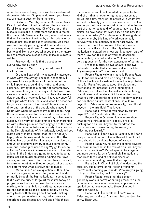order, because as I say, there will be a moderated discussion later on. So please do reach your hands up. We have a question from the front.

Bartomeu Marí: My name is Bartomeu Marí, Director of MACBA in Barcelona. I have a friend, Karel Schampers, who was Chief Curator at the Museum Bojimans in Rotterdam and then directed the Frans Hals Museum in Harlem, who used to say that art history is not written by art historians or by museum professionals but by collectors. And that was said twenty years ago and it seemed very provocative; today it doesn't seem so provocative, but I would like to ask you what you think the future role of professionals, specialists, museum curators will be.

Frances Morris: Is that a question to everybody, one by one?

Bartomeu Marí: To anyone who would like to answer.

Graham Beal: Well, I was actually interested in what Olav was saying, because, anecdotally I suppose, I'd always thought of the defeat of the critic happening around 1870, 1880, and being sidelined. Having been a curator of contemporary art for seventeen years, I always felt that we were very much behind the vanguard of the entrepreneur dealer and the private collector. I have a wonderful colleague who's from Spain, and when he describes his job as a curator in the United States it's very different from those of the people who stayed in Spain with whom he went to graduate school. And the same can be said for me as a director, when I compare my daily life with those of my colleagues in Europe. It's a very difficult thing; it's much more tied up with patronage, much more engaged at the social level of the higher echelons of society. The curators at the Detroit Institute of Arts privately would tell you quite quickly, most of them, that they're not very happy about the way we do business at the DIA; that we have essentially taken away a considerable amount of executive power, because some of my curatorial colleagues used to say 'My galleries, my collection'. Curators in museums similar to the DIA, at least in the States, are going to have to become much less like feudal chieftains running their own shows, and will have to learn rather than to instruct, to learn to negotiate with other people whose values are determining what is shown to the public.

Maria Lind: A crucial question is, then, how art history is going to be written, whether it is still primarily through the big institutions. It seems to me that a vast majority of large art museums today do programmes that can be described as canonmaking, with the ambition of writing the new canon. But the canon being the principle model, it's only rarely to do with thinking about context, thinking about other parameters through which we can experience and discuss art. And one of the things

that is of concern, I think, is what happens to the kind of art that is not entering the art museums at all. At this point, many of the artists with whom I've worked for twenty years, as was mentioned by Olav, are not part of the commercial circuit at all — they're part of other circuits and, of course, they're brilliant artists, so how does that work survive and how is it written into history? I'm interested in thinking about models whereby this kind of work can actually survive within collections, or rather archives. And maybe that is not the archive of the art museum, maybe that is the archive of the city where the institution is located. And how can it be taken care of there? How can this kind of work be described, documented, debated, and so on? I think that could be a big question for the next generation of curators.

Frances Morris: So two answers and two deferrals—maybe that's deferred value—for later. Any more questions? I can see a hand.

Reema Fada: Hello, my name is Reema Fada. I write for Ibraaz and I'm also doing a Ph.D. on Cultural Politics in Palestine. I guess this is probably more for Rana. You spoke about the biases and restrictions that present flows of funding into Palestine, as well as the physical limitations facing practitioners and curators. But I wanted to know what you think about the role of civil society pushing back on these cultural restrictions, the cultural boycott in Palestine or, more generally, the cultural boycott in the arts field. Thank you.

Rana Sadik: What do you mean by cultural boycott? I didn't understand the question.

Reema Fada: Oh sorry, it was more about what do you think about civil society's role in pushing for a cultural boycott to readdress the restrictions and biases facing the region, in Palestine particularly?

Rana Sadik: I don't live in Palestine, so I can't really comment on that. I live in Kuwait. I don't think there should be a cultural boycott of Kuwait.

Reema Fada: No, no, not the cultural boycott of Kuwait, more what is the role of a cultural boycott within arts practices? It's not specific to a region, but more generally, as a form of civilian action to readdress these kind of political biases or restrictions on funding flows that you spoke of.

Rana Sadik: Okay, I still didn't understand the question, but in terms of restriction of funding there's really nothing you can do. Who are you going to boycott, the banks, the US Treasury?

Reema Fada: I mean that the boycott generally works in terms of putting pressure on the occupiers in the case of Palestine, so pressure is applied so that you can make these changes in terms of funding.

Rana Sadik: I understand. I don't live in Palestine, so I really can't answer that question. I'm sorry. Thank you.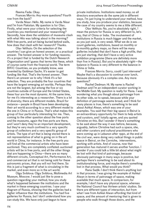Reema Fada: Okay.

Frances Morris: Any more questions? Fourth row from the back?

Varda Nisar: Hello. My name is Varda Nisar and I'm from Pakistan. My question is for Olav. Firstly, what were your criteria for selecting the countries you mentioned and your researching? Secondly, how does the validation of museums clash with what Hito was talking about in the morning? With free ports, and art being buried behind walls, how does that clash with her research? Thanks.

Olav Velthuis: On the selection of the countries I can give an honest answer, or a practical answer. The honest answer is for funding reasons; it's a project that is funded by the Dutch Research Organization and I guess that terms like these, which of course came from the financial world. The term BRIC Countries, as you probably know, was invented by Goldman Sachs. It's easier to get funding like that. That's the honest answer. Then there's an answer as to why I think it's a fair selection. They are probably the four countries that have the largest emerging art worlds. Perhaps they are not the largest, but among the five or six countries outside of Europe and the United States, these four are the most dynamic. At the same time, for me it's interesting as a researcher. There is a lot of diversity; there are different models. Brazil for instance — people in Brazil have been developing their art world according to a very different model to the one in China or in Russia. That's what makes this group of four particularly interesting for me. Then, coming to the other question about the free ports and the museums, again the free ports are there, and I won't deny they're an important development, but they're very much confined to a very specific group of collectors and a very specific group of artists. The type of art that is being stored there is not representative of what is going on in the art world in China, for instance. In the free ports you will find all the commercial artists who have been auctioned. They are completely conflated: auctioned artists will be in free ports, and all the other things that are happening in China—there are so many different circuits, Conceptual Art, Performance Art, and commercial art that is not being sold for these astronomic prices, that you will not find there. So this is just a fragment of what is circulating in the market, and even more so in the art world.

Olga Sviblova: Olga Sviblova, Multimedia Art Museum, Moscow. I would just like to pose a question regarding your method, how you study what's happened between the institutions and the market in these emerging countries. I saw your diagram of Russia, showing that the galleries had a higher influence than the institutions. You had five galleries for Russia, but I don't understand how you can study this. We have only just begun to have

private institutions. Institutions need money; so all directors everywhere do the same job in different ways. I'm just trying to understand your method, how you study, how you produce your statistics, because the case of my country seems to me a little different.

Olav Velthuis: No, you're absolutely right, I mean the picture for Russia is very different to, let's say, that of China or India. The involvement of institutions in Russia is much bigger and the market, as you just said, is very weak. What we do is we count galleries, institutions, based on monthly or bi-monthly gallery maps, so there will be many galleries included that don't have a high profile, that are just starting, that don't have a very active exhibition programme (there are definitely more than five in Russia). But you're absolutely right—the balance in Russia is very different to the balance in China or India.

Frances Morris: Sorry, could I just intervene? Maybe that's a discussion to continue over lunch, because obviously it's a complex one. Any more questions?

Rachel Dedman: Hi. My name is Rachel Dedman and I'm an independent curator working in the Middle East. My question is really for Rana. I was wondering what you though about patronage from its other side, so to speak, because while your definition of patronage seems broad, and I think for many places is true, there's something to be said about Ashkal Alwan, which was one of your examples. You said that their big space in Beirut is an extraordinary opportunity for them to help artists and curators, and I totally agree, and you quoted Christine on this. But I wonder if there's something to be said about the way it was before, because, arguably, before Christine had such a space, she, and other curators and cultural practitioners who were coming up in Lebanon after 1990, at the end of the civil war, were doing very radical things in public space in Beirut, on the Corniche, interventions, working with artists. And of course, now that generation has matured it serves another function. I wonder if you could talk a little bit about what might be lost with that kind of patronage, because obviously patronage in many ways is positive, but perhaps there's something to be said about its institutionalising force, and maybe there's something lost in that process. What would you think?

Rana Sadik: I don't think there's anything lost in that process. I was giving the example of Ashkal Alwan in terms of patronage of space, making available that much space. In comparison, for example, I don't have any physical space, whereas the National Council has thirteen artists' studios. So there are different types of interaction, but from what I see from Ashkal Alwan affording that kind of space, and the amount of mentoring that is given to people who walk through those doors, and the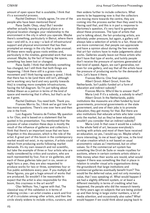amount of open space that is available, I think that it's a successful process.

Rachel Dedman: I totally agree, I'm one of the people who have been mentored there!

Rana Sadik: Okay, okay! But I wonder whether actually having a physical place or a physical location changes your relationship to the environment in the city in which you operate. Maybe there's something, particularly in Beirut, where there was—and still is, in a way—a lack of infrastructural support and physical environment that has then prompted an energy in the city that is quite unusual. All these were really grass-roots entities and, particularly in the nineties, generated work that was unusual. Maybe, by the fact of having the space, something has been lost or changed.

Rana Sadik: I think that definitely something has changed, but I still think that both things are happening. I think there still is a grass-roots movement and I think having spaces is great. I think that there has to be (and there still isn't, although we're working very hard and very quickly towards this) is creating more complete infrastructures, having the full diagram. So I'm just talking about Ashkal Alwan as a patron in terms of the kind of space and mentoring that it offers, but that's as far as it goes.

Rachel Dedman: You need both. Thank you. Frances Morris: So, I think we've got time for two more questions. There's one over here and then one in the front.

Luiz Augusto Teixeira de Freitas: My question is for Olav, and is based on a statement that he quoted in his presentation. You mentioned that the process of value creation these days is mostly the result of the influence of galleries and collectors. I think that there's an important issue that we have forgotten in this discussion, which is the role of the artist. A great part of this boom in the contemporary market would not exist, in my opinion, if artists could refrain from producing works following market demands. It's my own research and not scientific, but take the example of three or four artists who are really considered by critics and curators, who are each represented by four, five or six galleries, and each of these galleries take part in six, seven or eight fairs a year, they are also requested to produce works for two or three, sometimes four or five public exhibitions every year. If you multiply all these figures, you get a huge amount of works that are produced. So wouldn't it be reasonable to expect that the artist is also responsible for this boom, this craziness in the art world?

Olav Velthuis: Yes, I agree with that. The classical way of this validation is in terms of widening circles — an artist creates a work and first of all it circulates among other artists, and then the circle slowly widens to include critics, curators, and then widens further to include collectors. What seems to be happening now is that the collectors are moving more towards the centre, they are coming into the process earlier than they used to be. Having said that, and this is in part a response to Bartomeu's question, it's very hard to generalise about these processes. The type of artists that you're talking about, the fair-producing artists, are definitely under pressure, but again, a gallery will always take a selection of artists to a fair, those who are more commercial, that people can appreciate and have a opinion about during the few seconds that art-fair visitors have to make judgements about works. Galleries usually leave out those artists who don't have that type of works, and luckily people don't receive the pressure of opinions generated at that kind of speed. Again, we can't generalise, not even for one gallery, and say that all the artists have the pressure of producing works for the demands of fairs. Let's leave it there.

Frances Morris: One final question. Albert Groot: Albert Groot, from the Netherlands. Isn't public-funded art a form of education and indirect subsidy?

Frances Morris: Who'd like to answer that? Maria Lind: If it's a subsidy, a subsidy to what? Albert Groot: In the Netherlands, public institutions like museums are often funded by local governments, provincial governments or the state government, and one of their jobs is to promote education; they get money for that. But there are also institutions that educate artists who later come onto the market, but as they've been educated, wouldn't you consider that an indirect subsidy?

Maria Lind: In that case it would be a subsidy to the whole field of art, because everybody's working with artists and most of them have received an education, so yes, I would say so. Maybe what's more interesting, to me at least right now, is the kind of value creation which is not based on usual econometric values as I mentioned, but on other values. So if the commercial art system has something like Droit de Suite or resale royalties for auctions, where in certain contexts artists obtain a little money when their works are resold, what would happen if there was something like that in place in relation to smaller visual arts organisations doing the groundwork that large institutions and commercial galleries eventually benefit from? This would be the deferred value, and not only monetary value, that I was speaking of. What would happen if we had a slightly different system, or at least a different mentality in terms of crediting what has happened, the people who did the research twenty or thirty years ago on subjects that are being picked up and then bring in large visitor numbers, a lot of media attention, and occasionally also sales? What would happen if we could think about paying back to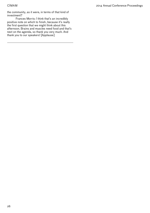the community, as it were, in terms of that kind of investment?

Frances Morris: I think that's an incredibly positive note on which to finish, because it's really the first question that we might think about this afternoon. Brains and muscles need food and that's next on the agenda, so thank you very much. And thank you to our speakers! [Applause]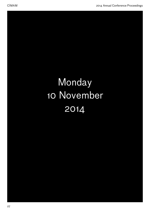# **Monday** 10 November 2014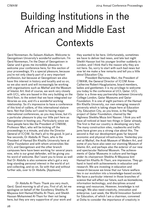## Building Institutions in the African and Middle East **Contexts**

Gerd Nonneman: As-Salaam-Alaikum. Welcome to Georgetown University's wonderful auditorium. I'm Gerd Nonneman, I'm the Dean of Georgetown in Qatar and it gives me incredible pleasure to welcome your conference here, for this section of your proceedings. It's a special pleasure, because you're not only clearly part of a very important profession, but because at Georgetown we also have this interest in history and locality and so on, so we also work and will increasingly be working with organisations such as Mathaf and the Museum of Islamic Art. And of course, we work very closely with UCL, who are based in this very building on the third floor, to the extent that we have integrated our libraries as one, and it's a wonderful working relationship. So it's impressive to have a conference of this kind of calibre, of this international stature here. Not that Doha isn't used to having major international conferences, as you may know, but it's a particular pleasure to play our little part here as Georgetown in hosting you. Particularly since we have people here like the President of CIMAM, Professor Marí, who will be kicking off the proceedings in a minute, and also the Director General of ICOM. So that's all to the good. In just a few seconds, Dr Abdulla Al Thani, who is the President of Hamad Bin Khalifa University here at Qatar Foundation and with whom universities like UCL and Georgetown and the other branch campuses here have been working for several years now, who is our great defender, will be giving you his word of welcome. But I want you to know as well that Dr Abdulla is also someone who's got a very long-standing personal interest in the world of art and collecting, and so on. So with that and without further ado, over to Dr Abdulla. [Applause]

Dr Abdulla Al-Thani: Thank you very much, Gerd. Good morning to all of you. First of all, let me apologise on behalf of Her Excellency Sheikha Al Mayassa bint Hamad Khalifa Al-Thani, and Sheikh Hassan Mohammed Al-Thani for their not being here, but they are very supportive of your work and they wanted to be here. Unfortunately, sometimes we have to deliver bad news, and late last night Sheikh Hassan lost his younger brother suddenly in London, and I think that's the reason why they are not here. So, sorry to start with such bad news but now let me make a few remarks and tell you a little about Education City.

President Bartomeu Marí, the President of CIMAM, the General Director of ICOM Anne-Catherine Robert-Hauglustaine, board members, ladies and gentlemen: it is my privilege to welcome you today to the conference at UCL Qatar. UCL Qatar is a three-way partnership between University College London, Qatar Museums and Qatar Foundation. It is one of eight partners of the Hamad Bin Khalifa University, our own emerging research university which is taking shape here at Education City. Education City, as you know, is the flagship project of Qatar Foundation, chaired by Her Highness Sheikha Moza bint Nasser. I think you will have all noticed at least two things in Qatar already. The first is that our country is developing very fast. The many construction sites, roadworks and traffic jams have given you a strong clue about this. The second is that our development goes far beyond economic and physical infrastructure. Yesterday you met at Mathaf, the Arab Museum of Modern Art, and some of you have also seen our stunning Museum of Islamic Art, and perhaps also the exterior of our new and spectacular National Museum. The achievements of Qatar Museums in culture and heritage under its chairperson Sheikha Al Mayassa bint Hamad bin Khalifa Al-Thani, are impressive. They go hand in hand with achievements in education and research. We are investing in education and research because we know that our future welfare lies in our evolution into a knowledge-based society. We have a particular interest in those branches of science that will affect our future, such as biomedicine, information technology, and disciplines around energy and resources. However, knowledge is not enough. We also need creativity, innovation and enterprise. Last week, the World Innovation Summit for Education, of which I am a chairman, convened at Doha to consider the importance of creativity in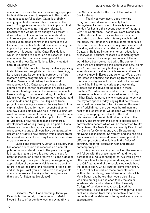education. Exposure to the arts encourages people to think differently and to experiment. This spirit is vital to a successful society. Qatar is probably changing as fast as many other societies in the world. Change is necessary, but it is important that people embrace change, not only tolerate it, because when we perceive change as a threat, it does not work. It is important to understand our culture, our past and our place in world history. It enables us to place change in the context of our lives and our identity. Qatar Museums is leading this important process through extensive public outreach. It is supported by Qatar Foundation, which, in addition to education and research, has a commitment to community development. For example, the new Qatar National Library located here at Education City.

UCL Qatar, our host today, is also supporting Qatar Museums through its learning and teaching, its research and its community outreach. It offers masters degree programmes in Conservation Studies, Museum and Gallery Practice, and Archaeology. UCL Qatar also provides training courses for mid-career professionals working within the culture heritage sector. The research conducted here is adding to our understanding of the Arab and Islamic worlds, with important projects in Qatar, and also in Sudan and Egypt. 'The Origins of Doha' project is excavating an area at the very heart of our capital, which is due for major reconstruction. A one-day public seminar was held in this building last week to present some of the findings. The relevance of this work is illustrated by the input of UCL Qatar to Msheireb, a new residential and commercial development which is growing up in a part of Doha where much of our history is concentrated. Archaeologists and architects have collaborated to design an attractive new quarter which incorporates traditional features of everyday life within a modern urban environment.

Ladies and gentlemen, Qatar is a country that has chosen education and research as a central pillar of national development. The pace of change is breathtaking and there is a real social need for both the inspiration of the creative arts and a deeper understanding of our past. I hope you are gaining an appreciation of a country which is excited about its future, and at the same time respectful of its history and heritage. I wish you a productive and enjoyable annual conference. Thank you for being here and thank you for listening. [Applause]

Bartomeu Marí: Good morning. Thank you, Dr Abdulla. First of all, in the name of CIMAM, I would like to offer condolences and sympathy to the Al-Thani family for the loss of the brother of Sheikh Hassan.

Thank you very much, good morning everyone. I would like to especially thank Georgetown University and University College London for hosting this second session of the 2014 CIMAM Conference. Thanks you Gerd Nonneman for the introduction. Today we have a session dedicated to a subject which is very much linked to the place, the region in which this conference takes place for the first time in its history. We have titled it 'Building Institutions in the African and Middle East Contexts'. Building institutions for art, education, preservation, heritage, research is something that more or less all of us, as professionals of the art world, have been concerned with. The context in which we are celebrating this conference now, along with Africa, are certainly building new institutions every day within realities which are very different to those we know in Europe and America. We are very interested in debating and learning from them, and this is why today we will try to construct a context that will be linked to the various professionals, projects and initiatives taking place in these realities. Yet, when we arrived here last Thursday, the executive team and I received an e-mail from Iftikhar Dadi, the person who is supposed to deliver the keynote speech today, saying that he was sick and could not travel to Doha. Discussing this event with Abdellah Karroum, our local board man and host of this conference, we decided we would give priority to keeping the subject of the first intervention and remain faithful to the title of the session, and transform this keynote speech into a conversation debate which will be moderated by Ute Meta Bauer. Ute Meta Bauer is currently Director of the Centre for Contemporary Art Singapore at Nanyang Technological University, and she has also been involved in the creation and development of different projects and initiatives in the fields of curating, research, education with and around contemporary art.

As you can read in your booklet, the sessions will follow with the presentation of the different perspectives. We also thought that we would give a little more time to these presentations, and instead of a Q&A at the end of the session we would have the debate and Q&A all together right after lunch. K. C. Kwok will introduce these presentations. Without further delay, I would like to introduce Ute Meta Bauer, and before that would also like to welcome among our audience today the senior academic staff and students of the University College of London who have also joined the conference. I'd like to say it's really wonderful to see such an audience from this perspective. I hope the contents and the debates of today really satisfy your expectations.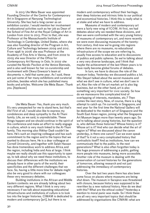In 2013 Ute Meta Bauer was appointed Founding Director of the Centre for Contemporary Art in Singapore at Nanyang Technological University. She has had a long career as an exhibition curator. I would mention her involvement in educational activities such as her job as Dean of the School of Fine Art at the Royal College of Art in London from 2012 to 2013. Prior to that, she was Professor at the Massachusetts Institute of Technology in Cambridge, United States, where she was also founding director of the Program in Art, Culture and Technology between 2009 and 2012. From 1996 to 2006 she was Professor at the Academy of Fine Arts in Vienna, and from 2002 to 2005 she was Director of the Office for Contemporary Art Norway in Oslo. In 2002 she curated the Nordic Pavilion at the Venice Biennale, and is also well known for her co-curatorship and involvement with Okwui Enwezor's team at documenta 11, held that same year. As I said, these are just some of her many exhibitions and curatorial activities, besides which she has published many books and articles. Welcome Ute Meta Bauer. Thank you. [Applause]

Ute Meta Bauer: Yes, thank you very much. It's very unexpected for me to stand here, but that's life! First of all, I would also like to express my condolences and deep sympathy to the Al-Thani family. Life, as we said, is unpredictable. These things happen and we should continue in the spirit of this conference and make an effort to really engage in culture, which is very much linked to the Al-Thani family. This morning also Iftikhar Dadi couldn't be here. He's such an inspiring colleague and has such commitment to the region and to the topics that we wanted to discuss here. He is a dear colleague at Cornell University, and together with Salah Hassan has done tremendous work to address Africa and the region, including India and Asia at large. I think maybe we really should use this opportunity to open up, to talk about why we need these institutions, to discuss their differences with the institutions we already have in other parts of the world, their specificities and the different challenges that we face. So, having a little more time for debate might also be very good to share with our colleagues these very necessary debates.

Building institutions in the African and Middle Eastern contexts: we are already talking about two very different regions. What I think is very very necessary if we talk about expanding educational infrastructures and institutions of culture is to look too into the larger histories. CIMAM is dedicated to modern and contemporary [art], but there is no

[30](#page-1-0)

modern and contemporary without their heritage, their deep histories and intrinsic links to our political and economical histories. I think this is really what is at stake and what we have to address.

Museums of modern and contemporary art were a fairly new wing of ICOM. At first, we had debates about why we needed these divisions, and then we were confronted with the very young history of museums of contemporary art, and more recently we were even discussing museums of the twentyfirst century. And now we're going into regions where there are no museums, no educational infrastructure of the scope we are referring to, usually free access to education and to discussions of publics and public spheres. So we're talking about a very very diverse landscape, and I think that maybe the achievement of the last fifteen years is to have really become global forums of debates.

In turn, we have to discuss the role of the museum today. Yesterday we discussed publics a lot. Hito Steyerl talked about the secret museums and what we don't see in culture, what we don't see in art. Also the role of the art market: art is also big business, but on the other hand, art is also something very important for civic society. So how do we manoeuvre this complicated kind of overlapping of interests, mandates, etc.? Then comes the next story. Now, of course, there is a big attempt to catch up. I'm currently in Singapore, and next year for the first time the National Gallery will be dedicated to the modern art of Singapore and the South East Asian region, joining what the Singapore Art Museum began more than twenty years ago. So we're talking about young histories, but the question is, who defines those histories? Whose history is it? Whose art is it? And who can decide what the art of region is? What we discussed about the canon yesterday, is there one canon? Can we even speak of that? Is it not a very complicated history that contradicts itself? And as institutions, how can we communicate that to the public, to the next generations? What is also often forgotten today is this huge pressure of addressing a public, getting more people into museums, being more accessible. Another role of the museum is dealing with the preservation of current histories for the generations of tomorrow, allowing research and not just addressing the immediacy of contemporary histories.

Over the last two years there has also been some focus on places where museums are being shut down. The museum in Sarajevo was threatened with closure, because history was supposed to be rewritten by a new national history. How do we deal with this? What are the ethical codes? Yesterday a mention to moral panic was made. So I think these are all very very important topics that should be addressed by organisations like CIMAM: what are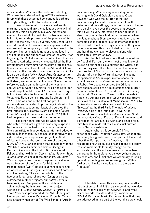ethical codes? What are the codes of collecting? What are the codes of selling art? This esteemed forum with these esteemed colleagues is perhaps the right setting for this to be discussed.

I would like to introduce our speakers this morning, and also thank the colleagues who will join this panel, this discussion, in a very improvised manner. First of all, I would like to introduce Salwa Mikdadi, associate professor of the practice of Art History at the New York University Abu Dhabi. She's a curator and art historian who has specialised in modern and contemporary art of the Arab world. Her research interests include gender and politics in art, art institutions and support systems of the arts. Prior to joining NYUAD she worked at Abu Dhabi Tourism & Culture Authority, where she established the first development programme for museum professionals. She was Executive Director of the Arts and Culture Program at the Emirates Foundation, Abu Dhabi. She is also co-editor of *New Vision: Arab Contemporary Art of the Twenty-First Century*, published by Thames & Hudson, among other publications. She wrote the reference guide on the history of the twentiethcentury art in West Asia, North Africa and Egypt for The Metropolitan Museum of Art timeline web page. Mikdadi was also the founder of the Cultural and Visual Arts Resource in 1989, and its director until 2006. This was one of the first non-profit organisations dedicated to promoting Arab art in the United States. Last but not least, she curated the first Palestinian Collateral Event exhibition [*Voices from Palestine*] at the Venice Biennale 2009 that I had the pleasure to see and to experience.

The other panellists will be Gabi Ngcobo, who only arrived last night and was very surprised by the news that he had to join another session! She's an artist, an independent curator and educator based in Johannesburg. She has collaboratively and independently conceptualised projects in South Africa and around the globe. In 2011 she curated DO*N'T/*PANI*C*, an exhibition that coincided with the 17th UN Global Summit on Climate Change in Durban. She is also the first POOL Curatorial Fellow and her exhibition *Some A Little Sooner, Some A Little Later* was held at the Zurich POOL Luma/ Westbau space from June to September last year. As co-founder of the Center for Historical Reenactments (CHR) based in Johannesburg and co-operated on *Pass-ages: References and Footnotes* in Johannesburg. She also contributed to the two-year-long research project Xenoglossia that culminated in other projects: *After-after Tears* in New York, and *Xenoglossia*, the exhibition in Johannesburg, both in 2013. And her project working title *Create, Curate, Collect: A Portrait in Three Parts* was presented at the 2014 Joburg Art Fair as part of the event's Special Projects. Gabi is also a faculty member of The Wits School of Arts in

Johannesburg. What is very interesting to me, working with David Goldblatt and also Okwui Enwezor, who was the curator of the 2nd Johannesburg Biennale, is to look into how the histories and the settings, the infrastructures change very quickly, even over the course of a decade. I think it will be very interesting to hear an update also from you on the situation I experienced when the Johannesburg Biennale was shut down due to conflicts like the local versus the international, the interests of a local art ecosystem versus the global players who are often parachuted in. I think that's another thing we have to discuss, along with sustainable infrastructures.

And last but not least, our third panellist will be Abdellah Karroum, whom most of you know of course as our host. He's a curator and writer, but this morning we will not have him on the panel as the Director of Mathaf but as the founder and artistic director of a number of art initiatives, including L'appartement 22, an experimental space for exhibitions and artists' residencies founded in 2002 in Rabat, Morocco. He curated the éditions hors'champs series of art publications and in 2007 set up a radio station. Artistic director of *Inventing the World: The Artist as Citizen* for the biennale in Benin in 2012 and curator of *Sous nos yeux. Before Our Eyes* at La Kunsthalle of Mulhouse and MACBA in Barcelona. Associate curator with Okwui [Enwezor] at the third Paris Triennale of *Intense Proximity* held at the Palais de Tokyo. Other curatorial projects include *Sentences on the Banks and other Activities* at Darat al Funun in Amman, and a proposal for articulating works and places for a third biennale in Marrakesh. He has just curated Shirin Neshat's exhibition.

Again, why is this so crucial? I first experienced CIMAM fifteen years ago, when there were very few guests from other parts of the world other than Europe or north America, so it's remarkable how global our organisations are today. It's also remarkable to finally recognise the scholarship and the achievements that have been generated in the regions. Art is everywhere and so are scholars, and I think that we are finally catching up, and respecting and recognising that. With no further due, I invite my colleagues to the panel. [Applause]

Ute Meta Bauer: This was maybe a lengthy introduction but I think it's really crucial that we also consider who we are, what CIMAM is and what issues we address. As stated by President of CIMAM Bartomeu Marí, it's the first time that they are addressed in this part of the world, so we should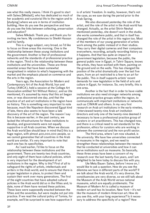see what this really means. I think it's good to start with Salwa [Mikdadi], who has dedicated so much of her academic and curatorial life to the region and to [studying] where we are in terms of institution building. How do you see the perspective and how do you see the links between collecting, preservation and education?

Salwa Mikdadi: Thank you, and thank you for inviting me here. My condolences to Sheikh Hassan and his family.

This is a huge subject, very broad, so I'd like to focus on three areas this morning. One is the relationship between these young institutions and the government. Another is that of professional networks and the standards of professional practice in the region. Third is the relationship between these institutions and the universities. These are three essential areas that have been somewhat marginalised in relation to what's happening with the market and the emphasis placed on commerce and the arts in the region.

Years ago, the Association for Modern and Contemporary Art of the Arab World, Iran and Turkey (AMCA), held a session at the College Art Association entitled 'Art Without History', and as Ute mentioned, it's assumed by many that this art began now, or was discovered one day, and that the practice of art and art institutions in the region have no history. This is something very important to note because, much like Napoleon discovered Egypt kind of late, there also seems to have been a late discovery of the art of the region. The reason I say this is because earlier, in the past century, we lacked the infrastructures for these institutions to develop, and governments were not equally supportive in all Arab countries. When we discuss the Arab world [we should bear in mind that] this is a huge region, with almost 400,000,000 people, so we cannot generalise that all countries in the Arab world are similar. It's very important to note that each one has its specificities.

As I said earlier, I'd like to focus on the relationship between these institutions and the government. There are twenty-two Arab countries, and only eight of them have cultural policies, which is very important for the development of art institutions in the region. Why is this? First of all to safeguard the rights of artists, intellectuals and writers in the Arab world, and to ensure that there is proper legislation in place, to protect them and sustain their work over many generations. The first of the eight countries that have adopted cultural policies in the Arab world did so in the fifties and, to date, none of them have revised these policies. These laws were supposedly enacted between the fifties and the seventies, but were maybe not put into practice. If we read the cultural policy of Tunisia, for example, we'll be surprised to see how supportive it

is of artists' freedom. In reality, however, that's not the case, as we saw during the period prior to the Arab Spring.

We also discussed yesterday the role of the artist, and the role of the artist in the Arab world has changed. Actually, as the artist Shirin Neshat mentioned yesterday, she doesn't work in the studio, she works somewhere public, and that in itself has changed the role of the artist in this region too. Most of the members of our young generation of artists work among the public instead of in their studios. They carry their digital cameras and their computers everywhere, recording, actually recording history as it happens. And that has quite an impact on government legislation, because the public, the general public now in Egypt, in Tahrir Square, knows the artists, they have worked with them, painting on the ground and on the walls. This has changed the position of the artist dramatically over the last five years, from an art restricted to a few to an art for the public. This in itself supports artists' recent demands for new legislation in the field of arts and culture in Egypt, for instance. So, very briefly, this is one area.

Another is the fact that in order to have viable institutions we also need stronger networks among professional practice groups within the region, to communicate with important institutions or networks such as CIMAM and others. In my very first research on Arab art institutions in the early nineties, I interviewed twenty-nine Arab art institution directors and only one of the twenty-nine deemed it necessary to have a professional practice group of curators or art practitioners. This has changed now, and there is a critical need to set standards for the profession, ethics for curators who are working in between the commercial and the non-profit sector.

The third area, where I am now situated, is the university. We have few universities connected to museums in the region, and we need to strengthen these relationships between the research that be conducted at universities and how it can serve institutions such as museums. So basically, these three areas have been a concern of my research over the last twenty-five years, and I am delighted to be here today to discuss this with you.

Ute Meta Bauer: Salwa, before I move on, I would like to ask a question. How do you see the dilemma we face in different parts of the world? If we talk about the Arab world, it's very diverse, the constituencies are very diverse, so we still talk about the Museum of the Arab World versus national museums, which are equally problematic. The Museum of Modern Art is called a museum of modern art and has its location, New York — it's not like the museum of modern American art. How do you see this, with your long experience? Is it necessary to address the specificity of a region? How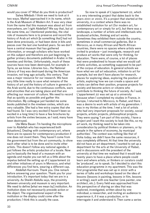would you cover it? What do you think is productive?

Salwa Mikdadi: I think we need to look at it two ways. Mathaf approached it in its name, which is the Arab Museum of Modern Art. It was very clear from the name that this museum was about art from everywhere, am I right Abdellah? We say that, but at the same time, as I mentioned yesterday, the vital role of museums here is to preserve and record the history of Arab art which [is something that] had not been done previously, or had been done in bits and pieces over the last one hundred years. So we don't have a central museum that has gathered information, or enough scholars who have worked on this subject and therefore are just beginning to gather primary documents published in Arabic in the twenties and thirties. Unfortunately, much of these sources have now been destroyed, for example in Syria, as we know. Libraries too… the National Library of Iraq was destroyed during the American invasion, not long ago actually, this century. That was a major resource for our research. We have very little time really to save what remains of the history of art and the history of culture in general in the Arab world, due to the continuous conflicts, wars and atrocities that are taking place and that are affecting our reservoir of culture. We need to record that as quickly as possible and gather this information. My colleague just handed me some books published in the nineteen sixties, which are very valuable. She had a few extra copies that she had found. So I was very excited (I haven't been so excited in a long time) to have a few brochures by artists from the sixties because, as I said, many have been destroyed.

Ute Meta Bauer: I'm handing the microphone over to Abdellah who has experienced both [situations]. Dealing with contemporary art, where there are no spaces for contemporary production if one does not invent them. They haven't come from the government but from the art community, to show each other what is to be done and to invite other artists. This doesn't follow any national agenda; it just follows the artistic production of a locale. Now you're basically the head of a museum with an agenda and maybe you can tell us a little about the impetus behind the setting up of L'appartement 22 and other initiatives of yours in Morocco, and what differences you find here, wearing a different cap.

Abdellah Karroum: Thank you. One remark before answering your question. Thank you for your introduction. It's important today that we are in a university. As Sheikh Abdulla says, the proximity between university and museum is very important. We need to define [what we mean by] institution. An institution does not necessarily precede action or the object. The organisational aspect of the institution or the display could come after the production; I think this is usually the case.

So now to speak of L'appartement 22, which is a very interesting project that dates back to the years 2001 or 2000. It's a project that started at the university, in a context where there was no established institution for art (for modern art, for contemporary art or simply for art), but there was a landscape, a number of artists and intellectuals who produced articles, thinking and art works. Sometimes they exhibited them outside the country, sometimes in small commercial galleries. But in Morocco, as in many African and North African countries, there were no spaces where artists were invited to produce — just investigate, research and produce art works that were only for thinking, for education. There were, of course, a lot of places that were predestined to house what we would call artistic activities, as something supposed to be part of the corpus of education. In general schools we have what we call art education, initiation to art for example, but we don't have places for research, places for exploring ideas, exploring the position of artists, exploring how we can create a space and artists can define their position, propose projects for society and become actors or citizens who contribute to thinking the future of society. As I said, L'appartement 22 was set up at a university because when I completed my studies in France, in Europe, I returned to Morocco, to Rabat, and there was a desire to work with artists of my generation. I was in my thirties at the time. I met a lot of artists who had very important proposals for society, social projects, artistic projects, philosophical projects. They were saying 'I am part of this society, I have a project and I want this society to look like this, so my art work, my thinking need to be taken into consideration by political thinkers or planners, or by people in the sphere of economy, by municipal authorities'. The context was nothing like that of Doha today; we didn't have the same resources, it was completely different. At that time the university did not have an art department. I wanted to set up a department for the arts at the University of Rabat, and in discussions with the president of the university at that time we realised that it would take twenty years to have a place where people could learn and where artists, or thinkers or curators could be 'produced', so to speak. So I decided to start this education programme in my apartment. This was the first programme that was set up in 2002 with a series of talks and workshops based on the idea of lessons (lessons in painting, lessons in film, lessons in writing), each with one teacher (one painter, one architect, etc.). Every field was approached from this perspective of sharing an idea that was explored, investigated, written about by one individual, a researcher, and inviting an audience to experience it, if it was a production, or to interrogate it and understand it. Then came a series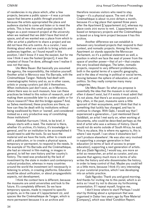of residencies in my place which, after a few projects, became a public space — it was a private space that became a public through practice because the artists appropriated the place and audience started to come and listen or to meet the artists. This is how this small project started. It began as a post-research project at the university when we realised that we didn't have that kind of space, and all we wanted was a place from which to offer an artist a platform to share a project and we did not have this arts centre. As a curator, I was thinking about what we could do to bring artists and audiences together, so I found myself in this position. I don't know if it was the easiest, but for me now I think it was the fastest [project], it was the simplest of those I've done, although now I realise it was not that easy.

Ute Meta Bauer: But basically you assumed the agency, the responsibility, the initiative yourself. Another artist in Morocco was Yto Barrada, with the Cinémathèque Tanger. Nobody had dealt with cinematographic history and so, as in other cases, artists or young curators just did it themselves. When institutions just don't exist, as in Morocco, where there was no such museum, how can these practices be linked to this notion of research, and of making them accessible later to a wider public or for future research? How did this bridge appear? And, as Salwa mentioned, these practices are there, so how can they be dealt with by institutions without being swallowed by them or 'owned', and considered instead as a very productive way of constituting those institutions?

Abdellah Karroum: I think, to be brief, it always starts with a need. The material is there, whether it's archive, it's history, it's knowledge in general, and for an institution to be accomplished it would need to add the tools. So we have the material and we have the tools, either to create and edit a publication, or to create a physical space, temporary or permanent, to respond to the needs. In the example of Yto Barrada and the Cinémathèque, she had an interest in film-making, in images in general, to tell her own history and her country's history. The need was produced by the lack of investment by the state in modern and contemporary cultural production, whereas in many countries around the world the investment isn't necessarily in listening to artists, in creating platforms. Education would be about unification, or about propagandistic aspects, not development.

I think the context here is different, because the museums are amid universities and look to the future. It's completely different. So we have temporary spaces, made to respond to specific projects, as in the case of L'appartement 22, and spaces like the Cinémathèque de Tanger, which is more permanent because it is an archive and

therefore receives visitors who need to stay  $longer - it's a physical space. The rent of the$ Cinémathèque is about 10,000 dirham a month, because it's a big place that opened three years after the Apartment [L'appartement 22], whereas my place costs 200 euros to rent. L'appartement is based on temporary projects and the Cinémathèque is based on a long-term project because it has this archive.

Another difference we can establish is between very localised projects that respond to their context, and nomadic projects. Among the former, Apartment 22 stands opposite the Moroccan Parliament, so it's a political statement as well, a position in which we face the seat of power from the space of another power—that of art—that creates this very localised dialogue. The latter, nomadic projects, respond to very different problematics, both in the spatial terms of a specific geography, and in the idea of moving in political or social terms, moving between the sphere of education, art and politics. So they really comprise many many categories.

Ute Meta Bauer: So what you propose is essentially the idea that the museum is not alone; often it doesn't exist, but if it exists it must admit that it's not alone, that there's an ecosystem around it. Very often, in the past, museums were a little ignorant of their ecosystems, and I think that that is something that luckily has changed, and has to continue to change. With Gabi, I would say that I experienced a generation… I just mentioned David Goldblatt, an artist I met early on, when working at documenta, who could be described perhaps as the kind of artist who was a witness of history. David would not do works outside of South Africa; he said, 'This is my place, this is where my agency is, this is where I see myself. I can show it elsewhere but I can't produce elsewhere'. He was also very involved in supporting a younger generation in their education (in terms of lack of access to proper education), supporting a next generation of artists. But you [Gabi Ngcobo], I would say, are more an artist as researcher, an artist as curator, and you assume that agency much more in terms of who writes the history and who disseminates the history, in order to keep control of that. Maybe you could tell us a little more, because I think it's very interesting in your curatorial practice, which I see developing into an artistic practice.

Gabi Ngcobo: Thank you and good morning. And thanks for inviting me to this panel, which is an extra so I must try not to discuss my forthcoming presentation. If I repeat myself, forgive me.

I don't know where to start! Perhaps I could start by thinking about a symposium that was organised in Dakar two years ago by Raw Material [Company], which was titled 'Condition Report.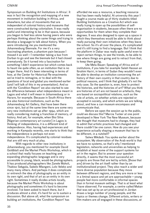Symposium on Building Art Institutions in Africa'. It was in fact the recognition and mapping of a new movement in institution building in Africa, and elsewhere, but also of movements that are independent of colonial history and museums that were constructed during colonialism. It was really useful and interesting to be in that space, because you began to feel less alone having peers who were perhaps thinking about the same things and trying to develop a language to talk about history. When you were introducing me you mentioned the Johannesburg Biennale. For me it's a very fascinating phantom, a phantom pain because I missed it as well  $-$  i remember taking a bus from Durban to go and see the biennale but it had closed prematurely. So it turned into a fascination for something I didn't experience but which comes back to haunt me quite often, as an institution that is no longer there. And it's been interesting in terms of how, at the Center for Historical Re-enactments we've tried to reimagine, or to deal with the questions of local and global you mentioned earlier (and I will talk of this in my presentation). And so with the 'Condition Report' we also started to see the difference between what independence meant in Lagos and what it will mean in Johannesburg or in Harare, for example. Because in South Africa there are also historical institutions, such as the Johannesburg Art Gallery, that have been there since 1910, but at the same time there are some very very new institutions set up after 1994, which are really considering making a franchise of memory, of history. And yet, for example, when Bisi Silva [Nigerian contemporary art curator] in Lagos is thinking of independence, it is a different kind of independence. Also, having had experiences and working in Kampala recently, one starts to think that the independence is perhaps not even independence. It's complicated by colonial residues that are still very much at play.

With regards to other new institutions in Johannesburg, you mentioned for example David Goldblatt and the Market Photo Workshop, which is a school that really focuses on teaching and expanding photographic language and is very accessible to young, black, would-be photographers. It has produced photographers like Zanele Muholi, Thabiso Sekgala, Sabelo Mlangeni, Lolo Veleko and many many others. And perhaps it does complicate or entrench the idea of photography as an entity in its own right, and that of art as an entity in its own right. Sometimes it really divides artists locally, because the Market Photo Workshop is about photography and sometimes it's hard to become involved. I've been asked to teach there, but it produces almost a shot, it's hard for us to sustain a discussion. But above all, what the symposium on building art institutions, the 'Condition Report' has

[35](#page-1-0)

afforded me was a resource, a teaching resource that has been really helpful. At university this year I taught a course made up of thirty students titled Building Institutions as a Creative Act which was really trying to open up the possibilities of selforganisation in students, because often there are no opportunities for them when they complete their degrees. It was also designed to open up a space in which they themselves would be able to think about really pursuing their own initiatives when they leave the school. So it's all over the place, it's complicated and it's still trying to find a language. But I think that the platform in Dakar was really quite useful even to reject certain things, to see the trends, to be able to see where things are going and to retract from that, to keep them going.

Ute Meta Bauer: Speaking of Africa and of institutions, if you take for example Salah Hassan an Ibrahim Hariri, in terms of Sudan they wouldn't even be able to develop an institution concerning the art history of their own country in that country due to political reasons, and I think that globally it's not the only case. So the question is, even, how to protect the histories, and the histories of art? What you think are histories of art are not based on artefacts, they are based on sociopolitical relations, such as the role of artists, on whether artists are rejected or accepted in society, and which artists we are talking about, and how a can museum encompass and communicate that.

Before we open the session up to the public, could we discuss this? Marcia Tucker at one point developed in New York The New Museum, because she thought that museums had to change, they had to admit that artistic practices had changed and there couldn't be one canon. How do you see your experience actually shaping a museum that has to be different, in a nutshell?

Salwa Mikdadi: You spoke earlier about the ecosystem. My observation of the Arab world is that we have no systems, so that's why I mentioned legislation, networks and universities as helping to establish at least some of the support systems for art in the region. But to answer your question directly, it seems that the most successful art projects are those that are led by artists, [those that are] driven by the art itself rather than by an institutionalised project. They also reach a wider and more diverse population because they move between different regions, and they are more or less in a liminal space and yet are approachable — young people feel more comfortable in informal spaces than in formal museum settings. That is at least what I have observed. For example, a centre called Makan that was set up by an art professional in Jordan draws a large number of young people, and the topics or themes change. Different artists, writers or film-makers are all engaged in these discussions, at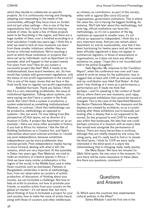which they decide to collaborate on specific projects. So it is continuously moving and changing, adapting and responding to the needs of the communities, although they focus more on Jordan and not just urban settings — this is one of the few organisations that I found in that they're moving outside of cities. So quite a few of these projects seem to be flourishing in the region, and there are a huge number of them, over a hundred according to a brief calculation I made two years ago. I think this is what we need to look at: how museums can learn from these smaller initiatives, whether they are formal or informal institutions. We're reaching a point at which those institutions or projects that were set up by individuals, such as Apartment 22 for example: what will happen to that project twentyfive years from now? How do you sustain a successful project like that? Well, it needs to be institutionalised, have board members, etc. So how would that comply with government regulations, with the status of non-profit organisations in the country? This is one of the major issues that we face in the Arab world, how to register non-profit organisations.

Abdellah Karroum: Thank you Salwa. I think that it's a very interesting problematic, the issue of institutional legislation. Talking about systems, you were saying we don't have a system in the Arab world. But I don't think a system is productive, a system understood as something institutionalised. However, in contrast, I think that methodology can be productive, methodology as opposed to systems — this can work. I'm now talking from [the perspective of] that space, not as director of a museum in Doha. A project like Apartment 22 as an example — there are many other examples in history, if you look at Africa for instance. I like the title of Building Institutions as a Creative Act, and Gabi's intervention about post-colonial activities or I would say post-independence, because sometimes independence can be more problematic than colonial periods. Post-independence implies having to move forward, dealing with what is left, the remains, which are very important. At this assembly in Dakar two years ago, Raw Material, we tried to make an inventory of creative spaces in Africa. I think we have many similar problematics in this region of the world, in the Middle East, and in other Asian countries such as Azerbaijan, Pakistan or Bangladesh; similarities in terms of methodology, how, from our observation as curators of artistic production, of discussion, of thinking about your society, we can formulate a challenge. Not how to help an artist to produce, not how to promote your friends, or position artists from your country on the global art market — it's not about that, but more about thinking of how to formulate a project for your own society, how to make the voice of artists heard, along with those of curators and other intellectuals

as citizens, as contributors, as part of this society, either with or against [the voice of] social organisations, government institutions. This is where the value lies, not in having the biggest building, for instance. We'll talk later about this methodology, but even big, official institutions can have this methodology, so it's not a question of the big institution as opposed to smaller ones, it's not official as opposed to independent. I think this is a very important issue. And just one remark about Apartment 22 and its sustainability, now that it has been functioning for twelve years and yet has never been officially registered: it does not appear in commercial registers, in those of associations or organisations, so it does not have any official existence on, paper. I hope this is not recorded and told to the police! [Laughter]

Gabi Ngcobo: My response to the 'Condition Report', when the conference was over and I was asked to write an essay for the publication, was to suggest that at least with CHR an end was involved, and my contribution was titled 'End Notes'. At that point I was thinking of it more as a performance, a performative act. It made me think that perhaps — and I'm speaking in the context of South Africa, where there are new museums, post-1994, with permanent exhibitions that cannot be moved or changed. This is the case of the Apartheid Museum, the Hector Pieterson Museum. The museums and the displays are created by architects, so as a curator looking after these exhibitions you're basically just looking after a display that is not supposed to be moved. So this proposal to end CHR for example was within that landscape, the idea that one could perhaps conceive of a museum with an expiry date that would exist alongside this permanence of history. There are many hierarchies in archives, although they are chiefly shaped by one voice, the ruling party, and it's really hard to find or to situate the blind spots. I think for CHR we were really interested in the blind spots in a place like Johannesburg that is changing really really quickly.

Ute Meta Bauer: We have ten minutes for Q&A: blind spots, the one voice in the museum. I'm sure there will be some resonance to these ideas. Are there any questions, comments?

### **Questions** and Answers

Q: Which were the countries that implemented cultural policies in the fifties?

Salwa Mikdadi: I said the first one in the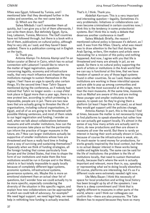fifties was Egypt, followed by Tunisia, and I mentioned later that they developed further in the sixties and seventies, so the rest came later.

Q: Which are the rest?

Salwa Mikdadi: I can't remember them all quickly, but I can give you a list of them afterwards, I can write them down. But definitely Egypt, Syria, Iraq, Lebanon, Tunisia, Morocco. The Gulf countries have not followed through, but there is a book with a list of them, publications on cultural policy, although they're very old, as I said, and they haven't been updated. There is a publication coming out in English on the topic.

Q: Thank you.

Antonia Alampi: I'm Antonia Alampi and I'm an Italian curator at Beirut in Cairo, which has no actual connection with Lebanon! I would like to return to the matter of legal registration, questions concerning legality, economy and infrastructure really, that very much influence and shape the way institutions manage to sustain themselves in the region. I feel I have an urge to specify also certain things. It's the second time I hear Tahrir Square mentioned during the conference, as if nobody had noticed that Tahrir no longer exists — a *coup d'état* took place in Egypt more than a year ago, there is a new protest law, according to which protesting is impossible, people are in jail. There are two new laws that are actually going to threaten the life of organisations, including cultural organisations, in Egypt, and all of us are going to be threatened with possible lifelong sentences, and most of them relate to our legal registration and funding. I wonder as well, when we talk about collaborations between museums and with smaller institutions, how can the reverse process take place so that the partnership can inform the practice of larger museums in the future, etc.? How can larger institutions actually be supportive of smaller institutions whose lives are threatened and have a really hard time in finding even a way of surviving and sustaining themselves? Especially when we think of funding strategies, all the foreign funding that comes particularly from Europe and the United States, that tries to shape the form of our institutions and make them like how institutions would be run in Europe and in the West, which is in fact totally impossible to apply locally because of completely different legal systems, economic systems, infrastructural systems, governance systems, etc. Maybe this is more an emotional statement than an actual clear list of questions, but I wonder how we could actually try to be more specific, especially considering the diversity of the situation in this specific region, and explain how new collaborations can be approached in which we could talk of advocacy, for example? We need legal support, we need legal help, we need help in rethinking how funding is actually enacted.

That's it, I think. Thank you.

Abdellah Karroum: This is a very important and interesting question — legality. Sometimes it's very problematic. Initiatives or collaborations can even become criminalised in certain countries now; I think this is the tendency in some protectionist systems. But I think this is really a debate that deserves another conference in itself!

Salwa Mikdadi: Briefly, the reason I mentioned cultural policy is because it's defunct, as I said. It was from the fifties. Clearly, what was meant was to draw attention to the fact that during the Arab Spring, writers, film-makers and artists were advocating for a revision of this policy and nothing happened. And now, I agree with you that life is threatened and many are already in jail, as we speak. So there is no cultural policy supporting the work of artists or institutions in the Arab world that we can say is functional at this time, that we have freedom of speech or any of those legal systems found in other countries. So as I said, these smaller institutions are working in these interstitial spaces and are able to pop up among communities and seem to be the most successful at this stage, more than the main museums. At the same time, museums such as Mathaf are aware of this and are inviting these younger and smaller institutions to their spaces, to speak out. So they're giving them a platform (at least I hope this is the case), so at least they would get support until the policies change.

Antonia Alampi: In part, this is the issue I find at times, because the matter is not necessarily trying to find platforms to speak elsewhere but rather how we can actually get support locally. It's almost in the sense of say how many artists are actually sent to Cairo, do new productions and then are shown in museums all over the world. But there is rarely an interest in having their work actually shown in Cairo, because of course the infrastructure is weak, etc. It's much easier to send money for productions, for works greatly inspired by the local context, but there is no actual deeper interest in these works being visible and legible locally. The same can be said for the life of institutions: the problem is the life of institutions locally, that need to sustain themselves locally, because that's where the work is actually important and relevant, more than in, say, speaking or representing what we're doing locally elsewhere. Of course, platforms are interesting, but it's as if a different route were extremely needed right now.

Ute Meta Bauer: I think this necessity of space for local production and writing local history has been brought up by all of the speakers. I see there is a deep commitment and I think that is slightly different to museums in other parts of the world, where—and I think our colleagues can confirm this—there are also pressures. The Tate Modern has to expand because they have so many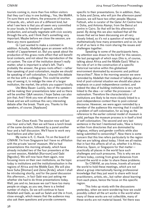tourists coming in, more than five million visitors that they can't stay in one building… Yes, like MoMA. I'm sure there are others, the pressures of tourism, of boards, etc., which are of a different kind, but what I see here is that you all seem very committed to your locale, to freedom of speech, artistic production, and actually negotiate with civic society through the arts, and I think that's something very important. Maybe before we close the session, are there any more questions?

Q: I just wanted to make a comment in addition. Actually, Abdellah gave an answer with this model of L'appartement 22. But you speak about the production of this grass-roots effect that will benefit local contexts, and not about the reproduction of the art system. The size of the institution doesn't really matter; what is important is what's left. That's probably the answer, the grass-roots effect — rather than speaking of post-colonialism, maybe we should be speaking of self-colonialism. I shared this debate on the bus with a colleague. This could be another way of seeing it, to indulge the view of a larger institution, the market, the artists you support locally.

Ute Meta Bauer: Luckily, two of the speakers will be making their presentations later and so there will be another Q&A session; I hope Salwa can also join that. And I think you now all deserve a coffee break and we will continue this very interesting debate after the break. Thank you. Thanks to the speakers, of course. [Applause]

Kian Chow Kwok: The session now will last one hour and a half, then we will have a lunch break of the same duration, followed by a panel another hour and a half discussion. We'll have to work very hard before and after lunch.

My name is K. C. Kwok. I'm on the board of CIMAM. I'm from Singapore but I have no affiliation with the private 'secret' museum. We've had presentations this morning already, which have already included two of the four presenters at the current session, Abdellah [Karroum] and Gabi [Ngcobo]. We will now have them again, now focusing more on their own institutions, as the topic today is institutions and the institutionalisation in the regions of Africa and the Middle East. We will also have Suha [Shoman] and Zeina [Arida], whom I shall be introducing shortly, and for the panel discussion this afternoon… in fact Gabi was just asking me whether she had to do three presentations today. Well, yes and no, because we can't have too many people on stage, as you see, there is a limited number of chairs. So we will continue to have Abdellah and Gabi, as well as Salah and Ute in front, close enough, which means that the audience may also ask them questions and provide comments

specific to their presentations. So in addition, then, to Suha and Zeina, who will join the afternoon panel session, we will have two other people: Mayssa Fattouh, who is curator of the Qatar Art Centre here in Doha, and Antonia Alampi, from the Beirut art centre in Cairo. So that will be this afternoon's panel. By doing this we also realised that all the issues that we've been discussing are all very closely linked, so it's not a question of working out mathematically how many presenters and so on, but of all of us here in this room sharing the issues and challenges together.

Speaking to some of the participants here, my attention was drawn to the brief for this session, the last paragraph of which says (this is, of course, talking about Africa and the Middle East) 'What is the role of art in the construction of a specific historical narrative within this globalised environment dominated by economic and political hierarchies?'. Now in the morning session we were reminded by Abdellah that instead of talking about a kind of post-colonial situation we should also place emphasis on a post-independence context, and indeed the idea of building institutions is very much linked to the idea—or rather the processes—of nationalism. Therefore the characteristics of institutions are likely to be more closely linked to a post-independence context than to post-colonial discourse. However, we were again reminded by a member of the audience this morning that it could be a problem of self-colonisation, for as long as the reference to the earlier colonial model of museum is valid, perhaps the museum process is in itself a kind of self-colonisation. The second and very last sentence in the text I mentioned asks, 'How is history written from directories that are dominated by religious, military and gender conflicts while also being submitted to censorship?'. Now there is some concern that this line refers particularly to the region that we are talking about today. I think we all realise that in fact this affects all of us, whether it is Africa, America, Spain, or Singapore for that matter practically all places in the world face such challenges and such pressures. This is why we are all here today, coming from great distances from around the world in order to share these problems.

So CIMAM, as you know, travels all around the world to hold these meetings, which are not about a group internationally having professional knowledge that they just want to share with local practitioners, artists, etc., but rather about learning from each place, hence the focus on this specific region.

This links up nicely with the discussions yesterday, when we were wondering how we could possibly collect all the art works in the world when many of these works are not collectible, many of these works are not material-based. Yet there was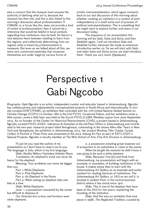also a concern that the museum must assume the authority of defining what art is, because the museum has that role, and this is also linked to this morning's discussion about professionalism. If CIMAM, or a forum like this, does not provide a kind of notion of professionalism, then it cannot be a reference that would be helpful in local contexts regarding how institutions may be built. So there's a nice balance there between needing to learn from the regions, and collectively determining from our regions what is meant by professionalism in museums. But even as we talked about all this, we were very concerned yesterday that museums themselves are under siege by various forms of

CIMAM 2014 Annual Conference Proceedings

artistic instrumentalisation, which again connects back to our last discussion of this morning about whether creating an institution in a context of postindependence is in itself some sort of process of political instrumentalisation. This is something that we might want to explore further and share in our discussion today.

The sequence of our presentation this morning will be Gabi, Suha and Zeina, and then Abdellah again. I will not introduce Gabi and Abdellah further, because Ute made an extensive introduction earlier on. So we will start with Gabi, and when Suha and Zeina arrive, we shall introduce them. Thank you very much. [Applause]

## Perspective 1 Gabi Ngcobo

*Biography*: Gabi Ngcobo is an artist, independent curator and educator based in Johannesburg. Ngcobo has collaboratively and independently conceptualised projects in South Africa and internationally. In 2011 she curated *DON'T/PANIC,* an exhibition that coincided with the 17th United Nations Global Summit on Climate Change (COP17) in Durban. She is the first POOL Curatorial Fellow, and her exhibition some a little sooner, some a little later was held at the Zurich POOL/LUMA Westbau space from June-September 2013. As co-founder of the Center for Historical Reenactments (CHR), a project based in Johannesburg, Ngcobo curated PASS*-*AGES*: references & footnotes* at the old Pass Office in Johannesburg and contributed to the two-year research project titled Xenoglossia, culminating in the shows *After-after Tears* in New York and *Xenoglossia, the exhibition* in Johannesburg, 2013. Her project W*orking Title: Create, Curate, Collect. A Portrait in Three Parts* was presented at the 2014 Joburg Art Fair as part of ARTLOGIC's Special Projects. Ngcobo is faculty member at The Wits School of Arts, Fine Arts Division in Johannesburg.

I'll just let you read the outline of my presentation so I don't have to read it out to you. The language is Zulu, which is my first language.

Slide. Akukho Ndlovu Yasindwa Umboko Wayo Translation: An elephant's trunk can never be heavy for the elephant

Meaning: Your problems can never be bigger than you

Part 1: White Elephants

Part 2: Pink Elephants

Part 3: An Elephant in the Room

Part 4: When eating an elephant take one bite at a time

Slide. White Elephants

noun. 1. a possession unwanted by the owner but difficult to dispose of.

*Our Victorian bric-a-brac and furniture were white elephants.*

2. a possession entailing great expense out of proportion to its usefulness or value to the owner. *When he bought the mansion he didn't know it was going to be such a white elephant.*

Slide. Because I live linl and think from Johannesburg, my presentation will begin with an example, or examples, of building institutions in this locale. It makes sense then to start with the Johannesburg Art Gallery as an example and useful catalyst for reading histories of institutions. The Johannesburg Art Gallery, or JAG as we call it, is located in Joubert Park, in the central business district where it has stood since 1910.

Slide. This is one of the displays that have been at the JAG for two years, explaining the founding of the institution.

Slide. And this was an exhibition that took place in 1988, *The Neglected Tradition*, curated by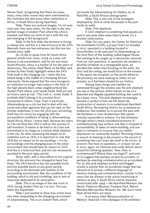Steven Sack, recognising that there are many, many, many other voices that were overlooked by this institution but also many other institutions in Africa, in South Africa during Apartheid.

Slide. These are archival images. I'm not sure what year they were taken. On the right is the very earliest image of Joubert Park where the JAG is situated, and there you kind of see it with the city just emerging in the background.

Slide. In the first slide, the entrance is facing a railway line, and this is a new entrance to the JAG. Basically there are two entrances, but this one has existed since 1986.

So, I'd like to quote from *Art South Africa* general article from 2004. 2004 as a year will feature in my presentation, and for me and many South Africans, 2004 is a marker of our ten years of democracy. The article, titled 'Back on the Map' and written by Alex Dodd, highlights where the JAG finds itself in the changing  $c$ ity — down the line, smack-bang in the middle of a thumping African metropolis. Some argued that this once bourgeois art institution no longer had a place in the thick of the high-density black urban neighbourhood like Joubert Park where, and I quote Dodd, 'both art and art lovers were at risk'. 'The truth is', writes Dodd, 'it probably didn't belong in its previous form'. Compared to others, Cape Town in particular, Johannesburg as a city has had to deal with real social and urban agencies that can be read, as this articles underlines, in how the JAG was reinventing itself then (in 2004) by engaging with the sociopolitical conditions of being in Johannesburg, South Africa, Africa. I stress then, because ten years on I do not think that JAG is still on this journey of self-invention. It seems to be fixed in its crisis and entrenched in its image as a central white elephant in the city. So when assessing the impact of an institution such as JAG, it is important to note that JAG has no impact on its surroundings — it is its surroundings and the changing pace of the urban environment that should have an impact on JAG. And this is a historical fact, and not one necessarily ascribed to the post-1994 period.

Since 1986, with a new edition to the original structure, the entrance has changed at least five times. The JAG therefore has two possible fronts and two possible backs at any given period, according to the demands and realities of the surrounding environment. Also the conditions of the building, which is old and crumbling, due to lack of resources dedicated to its restoration.

Slide. This is an image of the new front of JAG, facing Joubert Park as it is now. This was taken this September.

Slide. I just wanted to show how artists have also been responding to the changing environment of Johannesburg. This is on Joubert Park, which

surrounds the Johannesburg Art Gallery, by Jo Radcliffe, a South African photographer.

Slide. This is also one of the strategies employed by JAG to invite the people in the park inside its walls.

Slide. Pink elephants

A 'pink' elephant is something that people are said to see quite often when they're drunk. It's a drunken hallucination.

Slide. For two years, the Center for Historical Re-enactments (CHR), a project that I co-founded in 2010, operated in a building located in Doornfontein, in the east part of Johannesburg, on the third floor of this building called August House. Not wanting to be caught up in discourses removed from our own questions, or questions we needed to develop ourselves at a manageable pace, we decided that rather than focusing on the walls, the floor and the ceiling, we would focus on the window of the space we occupied, as this would afford us the proximity we were seeking to reflect on our present, as it had been shaped by our history.

Among many things and realities we witnessed through the window was the pink elephant you see in this picture, which stands on top of a deserted and illegally squatted building that used to be a liquor store. This pink elephant increasingly became a symbol of how we felt about the construction of memory in so-called post-Apartheid South Africa. Re-entering history for us became an endeavour that enabled us to pursue the past with the blindness or even drunkenness that seems virtually impossible to achieve. It is this blindness through which a newly considered economy of commemorating may surface, one that is stripped of accountability, of ideas of nation-building, and one open to moments of surprise that are neither depressive nor awkwardly hopeful. Revisiting history in search of meaning in the present is the pursuit of something that can't even see itself in the mirror, of answers that have no questions, or at least not yet. In 2014, again, art historian and writer Ashraf Jamal posed the following question, 'How, then, to commemorate? Where does one begin?', and went on to suggest that perhaps at best by accident, or perhaps by enacting commemoration as an accident. For us, this pink elephant on Kerk and Nugget streets is exactly that: an accidental image that has allowed us to pursue a different language of memory-making and commemoration, counter to the many that we witness in the active franchising of memory at play in South Africa and its museums constructed after  $1994$  – the Apartheid Museum, the Hector Pieterson Museum, Freedom Park, Nelson Mandela Metropolitan Museum, etc. We won't name them all but there are many.

In an essay titled 'Bureaucratization of Memory' featured in the catalogue of the exhibition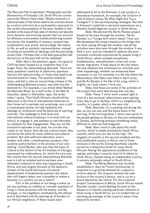*The Rise and Fall of Apartheid. Photography and the Bureaucracy of Everyday Life*, South African curator and writer Khwezi Gule notes, 'Maybe museums or memorial sites of the future need to be a lot less driven by curators and more by a participatory approach to the varied interpretations of the past. Implied in this position is the issue of how sites of memory can become more dynamic and evolving spaces that can account for different, inconvenient, and discomforting counternarratives, the mutability of memory, present-day contestations over power and privilege, the means to life, as well as symbolic representations, instead of acting as monoliths to ideology and the prevailing social order. Perhaps that is the best guarantee that the horrors of the past will not be repeated.'

Slide. Here's the phantom, again. Our gaze at CHR has been fixated on an institution that is no longer there, the Johannesburg Biennale. There are many questions raised by its platforms, questions that are still relevant today, or those that need to be reconstructed for today. The question asked by many, and that is also an overarching critique of the Johannesburg Biennale project, was who was the biennale for. For example, in an article titled 'Behind the Biennale Blues' by a staff writer of the *Mail & Guardian*, dated 12 December 1997, the writer notes, I quote, 'That South Africans should still be defensive in the face of international initiatives on their home turf is perhaps not surprising: ours is still a traumatised society not fully healed by the ideology of rainbowism and the band-aid of sporting victories. The challenge to both local and international cultural producers is to work with our history, to engage it, and perhaps to see biennales as catalysts for that engagement. They are not the conclusive episodes in our past, nor are the only routes to our future. And, like any cultural event, they cannot be the salve for every political and cultural problem. But with sufficient education, and in tandem with other, complementary projects, they could be useful markers in the process of our own making.' Carol Becker, who was then the Dean of Culture at the School of the Art Institute of Chicago, expressed her ambivalence, for which the core was the consent that the second Johannesburg Biennale was in truth so isolated and so perhaps even ultimately irrelevant to what was happening in South Africa, and was largely focused on the diasporic citizens of the world and issues of cultural displacement. A fundamental question she asked then still lingers today: was it possible to realise a biennale in a country not yet a nation?

Part of the problem of not being a nation as yet was perhaps an inability to consider questions of living in close proximity with the enemy, and the stranger, or the neighbour, facilitated by the official end of Apartheid and the opening up of borders to our African neighbours. If these issues were

addressed at all by the Biennale, it was purely in a theoretical framework, for example, the inclusion of Julia Kristeva's essay 'By What Right Are You a Foreigner?' in the accompanying catalogue. But also in Enwezor's potential or personal experiences as a Western-based Nigerian curator in South Africa.

Slide. We devised the *Na Ku Randza* project based on the view through the window. 'Na Ku Randza' is a Tsonga term which means 'I love you'. We developed the project based on the things that we were seeing through the window, and all the activities were also seen through the window. It was held in 2011, and we intended to address the posttraumatic syndrome experienced by people living in South Africa, which included xenophobia, homelessness, unemployment, crime and crossborder migrations. It took place on the site where the pink elephant has witnessed our activities and other happenings, whether we witnessed them ourselves or not. For example, it is the site where the Mozambican Gito Baloi was killed in April 2004, and *Na Ku Randza* is the title of his song, which in English, as I said, means 'I love you'.

Slide. And these are some of the activities of the project that were held during that one day.

Slide. These T-shirts were created right in front of a bus terminal, where buses were leaving every day to go to Zambia, which is a neighbouring country, to Lusaka, which is the main city.

Slide. Basically, it's a packing site during the day, as you can see, and the buses leave in the morning. In the morning these T-shirts were given to the people getting on the bus, so they are somewhere in Zambia, performing perhaps something totally different to what we had imagined.

Slide. Now I want to talk about this small country, which is totally enclosed by South Africa, Lesotho, which you can see on the map. The kingdom of Lesotho is the second smallest and the only landlocked country in Africa, one of three enclaves in the world. During Apartheid, Lesotho served as a temporary home for many South Africans fleeing the oppressive conditions of the regime, and today it exports most of its labour to South Africa. Despite being an independent country, it remains extremely reliant on South Africa.

Slide. The Morija Museum was formally established in 1843 by French missionaries, in response to a growing demand for a space to archive objects. The museum remains the sole archive of the country's history, and is run by a board elected by the church. For the curatorial project *Conversations at Morija*, South African-based Basotho curator Lerato Bereng focused on the diaspora of Lesotho, paying particular attention to those living in South Africa, as it is evident that an alarming percentage of the country's labour lives beyond its borders.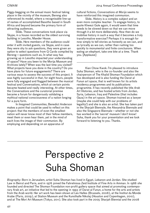Piggy-begging on the annual music festival taking place in the vicinity of the museum, Bereng also referenced its model, where a recognisable line-up of names of accomplished Basotho based in South Africa and beyond became the primary form of attracting audiences.

Slide. These conversations took place via Skype, in a house recorded as the oldest surviving building in Lesotho, Maeder House.

Slide. Here members of the audience could enter it with invited guests, via Skype, and in case they were shy to ask questions, they were given an option to select questions from Q Cards compiled by Bereng — questions such as, In what way has growing up in Lesotho impacted your understanding of space? Have you been to the Morija Museum and Archives lately? When was the last time you visited? What projects have you done in the country? Do you have plans for future engagements? There are various ways to assess the success of this project. It was highly successful in that, for eight hours, people were fully engaged and flogged between the musical festival and *Conversations*, which at certain points became heated and really interesting. At other times, the *Conversations* and the curatorial premise became a forum for dangerously validating a mythical national consciousness of a nation longing for a pure form.

In *Imagined Communities*, Benedict Anderson makes a point that could be used to reflect on this project: that the members of even the smallest nation will never know most of their fellow members, meet them or even hear them, yet in the mind of each lives the image of their communion. By employing and depending on an apparatus of

cultural fictions, *Conversations at Morija* seems to have reinforced this imagined communion.

Slide. History is a complex subject and an even more complex teacher. To engage history, to quote Khwezi Gule again, it would seem that time needs to be slowed down so that we can move through it a bit more deliberately. How then do we mobilise history in such a way that it becomes a truly transformative exercise? Perhaps it is enough for now simply to tell stories as honestly as we can, and as lyrically as we can, rather than rushing too quickly to monumental and finite conclusions. When eating an elephant, take one bite at a time. Thank you. [Applause]

Kian Chow Kwok: I'm pleased to introduce Suha Shoman, who is the co-founder and also the chairperson of The Khalid Shoman Foundation which has developed and is also funding the Darat al Funun art space, that is well known for its artists residency programmes and its publications programme. It has recently published the title *Arab Art Histories*, and has hosted artists from Jordan, Syria, Lebanon, Iraq and Palestine (that includes Gaza) in the art space. Shoman trained as a lawyer (maybe she could help with our problems of legality!) and she is also an artist. She has taken part in the Sharjah Biennale, the Alexandria Biennale and also the Singapore Biennale — whether or not she has worked in the 'secret' museum I don't know! Suha, thank you for your presentation and we look forward to listening to you. Thanks.

## Perspective 2 Suha Shoman

*Biography*: Born in Jerusalem, artist Suha Shoman has lived in Egypt, Lebanon and Jordan. She studied Law in Beirut and Paris, and in 1976 joined the Fahrelnissa Zeid Institute of Fine Arts in Amman. In 1988 she founded and directed The Shoman Foundation non-profit gallery space that aimed at promoting contemporary Arab art, an initiative that led to the opening in 1993 of Darat al Funun, a home for the arts and artists from the Arab world. Her art work has been shown at Les Halles (Brussels, 2008), at the Institut du Monde Arabe (Paris, 2009), at Station Museum and the Kunsthalle Nikolaj (Houston and Copenhagen, 2010), and at The Mori Art Museum (Tokyo, 2011). She also took part in the 2005 Sharjah Biennial and the 2008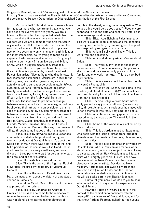Singapore Biennial, and in 2009 was a guest of honour at the Alexandria Biennial.

In 2004 Shoman was awarded the French distinction of Chevalier des Arts et Lettres and in 2006 received the Jordanian Al Hussein Decoration for Distinguished Contribution of the First Degree.

Marhaba, hello! Darat al Funun means a home for the arts: that's what we are and that's what we have been for over twenty-five years. We are a home for the arts that has supported artists from the Arab world at a time when there was no such support. And we are a home for the arts that grew organically, parallel to the needs of artists and the evolving art scene of the Arab world. To present twenty-five years in twenty minutes or slightly longer is almost impossible, so I'm going to focus on key aspects of who we are and what we do. I'm going to start with our twenty-fifth anniversary exhibition, *Hiwar*, which in English means conversations.

Slide. The photo you see here, the poster of the exhibition, is a painting by one of the oldest Palestinian artists, Nicolas Saig, who died in 1942. It represents the surrender of Jerusalem in 1917 to the British; now, one hundred years later, we are actually asked to surrender Jerusalem again. *Hiwar*, curated by Adriano Pedrosa, brought together twenty-nine artists: fourteen emergent artists came from Latin America, Africa, Asia, the Arab world, and fifteen artists from the Arab world, from the collection. The idea was to promote exchange between emerging artists from the margins, not only by showing their art work in an exhibition, as in the case of biennales, but by developing conversations between them and with the curator. The core was to be inspired in and from Amman, as well as from Beirut, Cairo, Cuzco, Istanbul, Johannesburg, Luanda, Manila, Ramallah, Recife, São Paulo... I don't know whether I've forgotten any other names. I will go through some images of the installations.

Slide. This is by Rayyane Tabet, a Lebanese, a fantastic installation he produced during his month's residency at Darat al Funun. It's about the Dead Sea. In 1947 there was a partition of the land, but a partition of the sea as well. The Dead Sea, if you know Jordan, is a very small area, and was divided in three parts: one part for Jordan, one part for Israel and one for Palestine.

Slide. This installation was at our Lab.

Slide. This is the work of the Algerian Rachid el Koraichi, inspired by the poetry of Mahmoud Darwish.

Slide. This is the work of Palestinian Shuruq Harb, an installation about the history of a postcard vendor in Ramallah.

Slide. Mona Saudi. One of the first Jordanian sculptures with her prints.

Slide. This is by Jonathas de Andrade, a Brazilian artist. When he came to the residency at Amman he was astonished to discover that Jesus was not blond, so he started taking pictures of

people in the street, asking them the question 'Who do you think would be a good Jesus?'. People were supposed to add the date and cast their vote. He is quite an exceptional person.

Slide. Bisan Abu Eisheh, a Palestinian artist. This work is about mobile homes and the condition of refugees, particularly Syrian refugees. The photo was inspired by refugee camps in Syria.

Slide. Ahlam Shibli you all know. This is a work from the collection.

Slide. An installation by Akram Zaatari about Saida.

Slide. The work by my teacher and mentor Fahrelnissa Zeid. Adriano chose only the portraits she made, and they are actually portraits of my family, and one work from 1943. This is a very bad reproduction.

Slide. This is a work about the nuclear bomb, by Nguyên Phong Linh.

Slide. Works by Etel Adnan. She came to the residency at Darat al Funun in 1997 and now her art book and tapestry form part of the collection. I am a great fan of her art books.

Slide. Thabiso Sekgala, from South Africa, sadly passed away just a month ago (he was only thirty-three). As an artist in residence he stayed with us for a month. It was really very sad for all of us.

Slide. Amal Kenawy, an Egyptian artist, also passed away two years ago. This work is in the collection.

Slide. Some of the works in our collection by Mona Hatoum.

Slide. This is a Jordanian artist, Saba Innab. who deals with the issue of urban transformation, alienation and the creation of sectors, class sectors, in modern cities.

Slide. This is a nice combination of works by Daniela Ortiz, who is Peruvian and made a work about censorship, which is a subject that is not easy to discuss, and Abdul Hay Mosallam, a self-taught artist who is eighty years old. His work has now been seen at the New Museum and has been a discovery for some artists. Besides the New Museum, Adriano has displayed his work in the *artevida* [show] in São Paulo, and the Sharjah Foundation is now dedicating an exhibition to him. He will also take part in the Sharjah Biennale.

But to tell you more, I would like you to hear what an artist had to say about his experience at Darat al Funun.

Rayyane Tabet on *Hiwar*: 'I'm here in the context of the exhibition to commemorate the twenty-fifth anniversary of Darat al Funun, and for that show Adriano Pedrosa invited fourteen young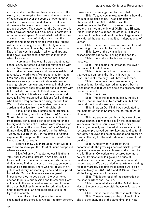artists mostly from the southern hemisphere of the world, i.e., the margins, to come and have a series of conversations over the course of two months — a new kind of residencies and also more intense discussions between the fourteen of us, in two groups of seven. The space that the Darat offers is both a physical space but also, more importantly, it offers a mental space. A lot of artists, whether they are Arab or not, are definitely artists from the margins and come from places which are fraught with issues that might affect the clarity of your thoughts. So, what I mean by mental spaces is that Darat offers you this oasis in which to think, and that's how I experienced it during the months in which I was here.'

I very much liked what he said about mental space. *Hiwar* reflected our special relationship with artists. We provide them with an open space to learn and experiment, work and produce, exhibit and give talks or workshops. We are a home for them. From the very start in 1988, our non-profit space became a meeting place for Arab artists, some seeking refuge from war and violence in their own countries, others seeking support and exchange with fellow artists. For example Palestinians, who lived through the first Intifada showed their works and gave talks. We organised exhibitions for Iraqi artists who had fled Iraq before and during the first Gulf War, for Lebanese artists who also took refuge in Jordan, and artists from the Arab Mahgreb.

Slide. In the early nineties, to be precise in the period of two years from 1990 to 1992, the late Shakir Hassan al Said, one of the most influential Iraqi artists, conducted a series of lectures on the history and theories of art, which were documented and published in the book *Hiwar al-Fan al-Tashikly*, fittingly titled [Dialogues on Art], the first *Hiwar*. Twenty-five years later, *Conversations in Amman* expanded the scope of [the initial] *Conversation* to include the global south.

Before I show you more about what we do, I would like to show you the Darat al Funun compound where we work.

Slide. When we first started our initiative in 1988 there was little interest in Arab art, unlike today. In Jordan the situation was, and still is, very difficult — we find ourselves, as they say, between a rock and a hard place. There was no faculty of art yet, no art library, no meeting place, and no support for artists. Our first five years were of great importance; they helped us gain the experience needed to pursue our mission and to establish Darat al Funun. In the early nineties we restored three of the oldest buildings in Amman, historical buildings, and the remains of an archaeological site in the Byzantine church.

Slide. The archaeological site was not excavated or registered, so we started from scratch. It was even used as a garden by the British.

Slide. To give you an example, this is how the main building used to be. It was completely abandoned. From 1921 to 1936 it was the headquarters of the British officers of the Arab Legion. In 1956, at the time of GluBernard Blistène Pasha, it became a club for the officers. That was the time of the Arabisation of the Arab Legion, which considered the south… the political independence of Jordan.

Slide. This is the restoration. We had to start everything from scratch, the church as well.

Slide. Look at the gymnastics the archaeologists had to do to bring in the capital. Slide. The work on the few remaining

mosaics.

Slide. This became the entrance, the lower entrance of Darat al Funun.

Slide. This is the building. The new structure that you see on top is the library. It was the first—and is still the only—art library in Jordan.

Slide. This is how the house ended up, the main building. It's old, inspired in the past, but its glass door says that we are about the present, about modern concepts.

Slide. The library.

Slide. This is the second building, the Blue House. The first was built by a Jordanian, but this one and Dar Khalid were by a Palestinian.

Slide. In 2002 Dar Khalid was dedicated to the memory of Khalid Shoman, the patron of Darat al Funun.

Slide. As you can see, this is the view of the archaeological site with the city [in the background]. We have a fantastic 180º view over the city of Amman, especially with the additions we made. Our restoration preserved our architectural and cultural heritage; it revived the neighbourhood and created a trend in the city for the restoration and reuse of old buildings.

Slide. Almost twenty years later, to accommodate the growing needs of artists, provide a place for researchers and house works from The Khalid Shoman Collection, we restored two more houses, traditional buildings and a series of buildings that became The Lab, an experimental modern space. We also added an apartment building for fellow artists. The first three houses were built consecutively, in 1993, 1994 and 1995, and they are all the living memory of the area.

Slide. This is the result of the restoration of the headquarters and The Lab.

Slide. This is what we call the Beit al Beiruti House, the only Lebanese-style house in Jordan, in Amman.

Slide. This is the house after the restoration. Slide. These houses and the archaeological site are the past, and at the same time, the living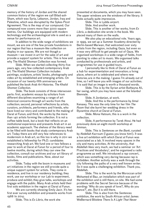memory of the history of Jordan and the shared common history of the region we call Bilad-ash-Sham, which was Syria, Lebanon, Jordan, Iraq and Palestine, which was disrupted by the Sykes-Picot Agreement. This is the map of our compound. Our compound now covers more than 5000 square metres. Our buildings are equipped with modern technology and the archaeological site is used as a venue for performance art.

In addition to the wide range of exhibitions we mount, we are one of the few private foundations in our region that has a museum-like collection on display in our spaces. We are not though a museum — we invest in art for the sake of art and provide a support system for artists. This is how and why The Khalid Shoman Collection was formed.

Slide. When we started collecting thirty-five years ago, very few collected contemporary Arab art. The Khalid Shoman Collection includes paintings, sculpture, artists' books, photography and video art by established and emerging artists. On occasion of our twenty-fifth anniversary we published the book *Arab Art Histories. The Khalid Shoman Collection*.

Slide. The book consists of three interwoven parts: first, academic essays by scholars from different disciplines examining a range of art historical concerns through art works from the collection; second, personal reflections by artists, curators, architects, performers and friends, who have lived our story and contributed to the making of Darat al Funun; and third, the works by the more than 140 artists forming the collection. It is not a coffee-table book, but a book that reflects on an institutional experience and presents Arab art in an academic approach. The shelves of the library need to be filled with books that study contemporary Arab art. Today there are still very few references to modernism in Arab art, so this too is why in 2011 we established a fellowship for Ph.D. candidates researching Arab art. We fund one or two fellows a year to work at Darat al Funun for a period of four to twelve months, during which they can view the collection, consult our archives and our art library of books, films and publications. Now, about our activities.

Slide. Today with the boom in museums and art initiatives in the region we still provide quite a unique support system for artists. They come in residence, and live in our residency building; they work, use our workshop or our Lab to experiment, produce and exhibit; they give talks, workshops and engage with the public. Many Arab artists held their first solo exhibition in the region at Darat al Funun.

We are currently showing Emily Jacir. It's her first ever survey exhibition and presents works from 1988 to 2014.

Slide. This is *Ex Libris*, the work she

presented at documenta, which you may have seen. The upper windows are the windows of the library. It looks actually quite impressive.

Slide. This is Lydda airport.

Slide. And another work.

Slide. This is another of her works, from *Ex Libris*, a dedication she wrote in the book. We placed many of them on the walls.

We also play an educational role. Years ago, in 1999, we set up a Summer Academy directed by Berlin-based Marwan, that welcomed over sixty artists from the region, including Gaza, but even so it was very difficult to get people out of Gaza. We organised workshops in a wide range of fields, from painting to video art to music. We organised talks conducted by professionals and artists, and programmes for use in guided tours.

I personally like to think of Darat al Funun as a hub for experimentation and innovation; a living place, where art is celebrated and where new histories are in the making. I guess I'm already out of time, so I will leave you with images of our activities. It is said that an image is worth a thousand words.

Slide. This is by the Syrian artist Buthayna Ali, her swing, which you may have seen at the Istanbul Biennale.

Slide. A Jordanian, at work.

Slide. And this is the performance by Amal Kenawy. This was the only time for her film *The Room* that she burnt her wedding dress in the Byzantine church at Darat al Funun.

Slide. Mona Hatoum, this is a work in the collection.

Slide. A performance by Tarek Atoui. He had previously done an eight-month workshop at Amman.

Slide. This is *Sentences on the Bank*, curated by Abdellah Karroum (I guess you know him!). It was a live art exhibition with which Darat al Funun was associated as a lab. It involved many spaces in the city and many activities. At the university, that Abdellah likes very much, we had a seminar on 'Art Practices and Vocabulary', and he organised a radio programme as well. We introduced a rap concert, which was something very daring because rap is forbidden. Another activity was a walk through the city following the paths of a very well known writer. So it was quite a challenging exhibition. Thank you, Abdellah.

Slide. This is the work by the Moroccan artist Mohamed el Baz, an installation which was part of the exhibition and is still there, on site. We had some problems with the Secret Service because of the wording: 'Why do you speak of love?, Why do you dance?', etc. But it is still there.

Slide. This is also from the *Sentences* exhibition, the work by South African artist James WeBernard Blistène *There Is A Light That Never*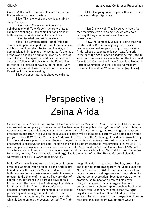*Goes Out*. It's part of the collection and is now on the façade of our headquarters.

Slide. This is one of our activities, a talk by Jack Persekian.

Slide. *Out of Place* was an interesting collaboration with Tate Modern, where we had an exhibition exchange — the exhibition took place in both venues, in London and in Darat al Funun.

Slide. An artist preparing his work.

Slide. The Egyptian artist Hamdi Attia had done a site-specific map at the time of the *Sentences* exhibition but it could not be kept on the site, so I commissioned him to place it elsewhere. It's the map of the world and it's a permanent display as part of our collection. A map of the world as if it had been dissected following the division of the Palestinian territories, so instead of having, for instance, New Zealand, you would have the names of the cities in Palestine. It's quite interesting.

Slide. A concert at the archaeological site.

Slide. I'm going to leave you with some music from a workshop. [Applause]

Kian Chow Kwok: Thank you very much. As regards timing, we are doing fine, we are about halfway through our session and have two presentations to go.

Now, the Sursock Museum in Beirut that was established in 1961 is undergoing an extensive renovation and will reopen in 2015. Curator Zeina Arida, whose presentation is next, was formerly Director of the Arab Image Foundation, from 1997 to 2014, and has served as a member of The Arab Fund for Arts and Culture, the Prince Claus Fund Network Partner Committee and the Beit Beirut Museum Scientific Committee. Welcome Zeina. [Applause]

## Perspective 3 Zeina Arida

*Biography*: Zeina Arida is the Director of the Nicolas Sursock Museum in Beirut. The Sursock Museum is a modern and contemporary art museum that has been open to the public from 1961 to 2008, when it temporarily closed for renovation and major expansion in space. Planned for 2015, the reopening of the museum presents an opportunity to build on the museum's history while setting up a platform with a rich and diverse program. From 1997 to mid 2014, Zeina Arida was the Director of the Arab Image Foundation (www.fai.org. lb). There, she set-up and managed the Arab Image Foundation and actively took part in many artistic and photographic preservation projects, including the Middle East Photographs Preservation Initiative (MEPPI: www.meppi.me). Arida served as a board member of the Arab Fund for Arts and Culture from 2006 until 2012 (www.arabculturefund.org), and was a member of the Prince Claus Fund Network Partner Committee from 2007 to 2013 (www.princeclausfund.org). She is a member of the Beit Beirut Museum Scientific Committee since 2010 (www.beitbeirut.org).

Hello. When I was invited to speak at the conference I was hesitating between presenting the Arab Image Foundation or the Sursock Museum. I decided to do both because both experiences—or institutions—are relevant to the theme of the panel. They are also, of course, very different. I will perhaps develop this further later. The case of the Arab Image Foundation is interesting in the frame of this conference because it represents a different model of collecting, preserving and serving the public interest, and because this model is very tied to a specific context, which is Lebanon and the postwar period. The Arab

Image Foundation has been collecting, preserving and studying photographs from the Middle East and North Africa since 1997. It is a trans-curatorial and research project and organises activities related to photograph preservation. Seventeen years after its creation, the foundation's archive holds over 600,000 images, including large collections entrusted to it by photographers such as Hashem el Madani from Lebanon, with more than 150,000 negatives, or Kamil and Rifaat Chadirji from Iraq, with a collection of over 100,000 negatives. In some respects, they represent two different ways of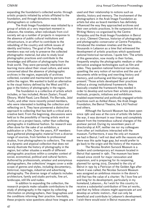expanding the foundation's collected works: through artistic projects initiated by artists affiliated to the foundation, and through donations made by photographers or collectors.

The Arab Image Foundation was initiated by a group of artists at a very important moment in Lebanon, the nineties, when individuals from civil society set up a number of projects in response to the absence of public cultural institutions and infrastructure, in an effort to contribute to the rebuilding of the country and rethink issues of identity and history. The goal of the founding members was not only to preserve the collected photographic material, but also to study local photographic practices and contribute to the knowledge and diffusion of photography from the Arab world. They were personally interested in learning more about their visual culture, and were concerned about the absence of photographic archives in the region, especially of archives collected, curated and maintained by persons from within the region. We wanted to build an alternative to the visual history defined by the West and fill a gap in the history of photography in the region.

The foundation is a collective of artists which includes, or has included, Akram Zaatari, Fouad Elkoury, Walid Raad, Lara Baladi, Yto Barrada, Jalal Toufic, and other more recently joined members, who were interested in building the collection and reflecting on it. They have pioneered a distinctive approach to collecting that has both a critical and a creative bent. From the beginning, discussions were held as to the possibility of having artists work on archives on a project basis, rather than collecting photographs in traditional fashion. So research was often done for the sake of an exhibition, a publication or a film. Over the years, AIF members have gathered photographic material from a diverse range of sources, from families to professional studios, from photographers to collectors. The result is a dynamic and atypical collection that does not merely illustrate the history of photography in the region, but rather situates a wealth of different photographic practices within a complex context of social, economical, political and cultural factors. Authored by professionals, amateur and anonymous photographers, the collections' images cover a wide scope of genres and styles, including documentary, historical, reportage, industrial and advertising photography. The diverse range of subjects includes architecture, family and studio portraits, fine art, landscape, still life and nudes.

In addition to expanding the collection, the research projects make valuable contributions to the study of photography in the region by collecting information on photographers, their biographies and the conditions informing their practice. Inevitably, these projects raise questions about how images are

used and their relationship to notions such as identity, history and memory. The involvement of the photographers in the Arab Image Foundation as artists but also as board members has definitely influenced the way they approached archives and their own artistic practices. In the symposium Art as Writing History co-organised by the Centre Pompidou and the Arab Image Foundation in Beirut in 2012, Clément Cheroux, historian of photography and photographic conservator at Centre Pompidou, introduced the nineteen nineties and the two thousands in Lebanon as a time that witnessed the development of artistic practices which questioned national historical narratives. I quote him: 'The artists of this generation, now mostly in their forties, frequently employ the photographic medium or other derivative analogue technologies such as film and video. They question national historical narratives, upsetting the very notion of narrative and the use of documents while writing and rewriting history and memory, and confusing and blurring past and present.' Those artists developed their practices without a strong institutional framework; they basically created the framework they needed in order to develop and nurture their artistic practices. Festivals, projects, initiatives and exhibitions enabled experimental and politically engaged artistic practices such as Ashkal Alwan, the Arab Image Foundation, the Beirut Theatre, the LAU Festival and others.

Although the Sursock Museum has been open since 1961 and was at the core of artistic life before the war, it was dormant in war times and completely absent from the tremendous cultural changes of the postwar period. During my seventeen years of directorship at AIF, neither me nor my colleagues from other art institutions interacted with the museum. Furthermore, it was the only art museum we had in Beirut. I will not deal with the reasons why there was this quite huge gap, but would prefer to go back to the origin and the history of the museum.

The Nicolas Ibrahim Sursock Museum is a modern and contemporary art museum located in Beirut that opened in 1961. The museum has been closed since 2008 for major renovation and expansion, and is preparing for its reopening, planned for spring 2015. Donated to the city of Beirut in 1951 by a Patrician of the Golden Age after whom it was called, the Nicolas Sursock Museum was assigned an ambitious mission in the donor's will that has the value of a charter: 'As I love fine art and long for its development, particularly in my homeland, Lebanon... As I wish for this country to receive a substantial contribution of fine art works, and that my fellow citizens might appreciate art and develop an artistic instinct… that can only be beneficial and contribute to Lebanon's development. I wish there would exist in Beirut museums and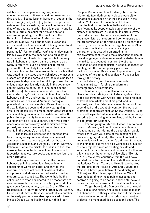exhibition rooms open to everyone, where masterpieces and antiques would be preserved and displayed. I, Nicolas Ibrahim Sursock ... set up in the form of *waqf* [trust] all of [my] estate, the personal estate and the real estate, that shall be there at the time of my death… in order that this property and its contents form a museum for arts, ancient and modern, originating from the territory of the Republic of Lebanon, other Arab countries or elsewhere, as well as a space where Lebanese artists' work shall be exhibited… it being understood that this museum shall remain eternally and perpetually'. Just to clarify, *waqf* is an endowment in Islamic law, usually the donation of a building or other assets for charitable purposes, but it is very rare in Lebanon to have a cultural structure as a *waqf*. In return for such a unique philanthropic gesture, the Beirut City Council decided to secure long-term funding for the museum through a law that was voted in the sixties and which gives the museum a share of the taxes perceived by the municipality on work permits deposited in Beirut. Empowered by this unique status, particularly notable in the Lebanese context where, to date, there is no public support [for the arts], the museum opened its doors ten years later, in 1961, with an exhibition of works by Lebanese painters and sculptors — a traditional Autumn Salon, or Salon d'Automne, setting a precedent for cultural events in Beirut. Ever since, the exhibition has been held every year, giving artists the possibility to present their latest creations in a stimulating encounter. The exhibitions offer the public the opportunity to follow and appreciate the evolution of fine arts in Lebanon. They were often occasions for controversy, and sometimes even protest, and were considered one of the major events in the country's artistic life.

The museum's collection is organised into four primary categories: modern Lebanese art, contemporary Lebanese art, works by the artist Assadour Bezdikian, and works by French, German, Italian and Japanese artists. In addition to this, the museum has an eclectic collection of Islamic art, tapestries, textiles, rare books and manuscripts, and other artefacts.

I will say a few words about the modern Lebanese painting collection. Predominantly consisting of works on paper and canvas, the modern Lebanese art collection also includes sculpture, installations and mixed media from key modern Lebanese artists. The works held by the collection are often considered to be those that are most representative of an artist's body of work. I can give you a few examples, such as Shafic ABernard Blistèneoud, Farid Awad, Amin el Bacha, Etel Adnan, Halim Jurdak, Aref el Rayess. Importantly, a number of the early pioneers are also represented. These include Daoud Corm, Najib Kikano, Habib Srour,

Philippe Mourani and Khalil Saleeby. Most of the mid-to-late twentieth-century pieces were either donated or purchased after their inclusion in the Salon d'Automne. The collection of Lebanese art from the first half of the twentieth century is significant as its scope enables an overview of the history of modernism in Lebanon. In certain ways, the works in the collection are suggestive of the Lebanese history of modern and contemporary art: the predominance of portraiture and oil on canvas in the early twentieth century, the significance of Alba, which was the first art academy training a generation of artists who emerged in the mid-twentieth century, and the subsequent choice of formal languages; a diverse interest in abstraction in the mid-to-late twentieth century, the strong presence of self-taught artists, a continued legacy of painting into the contemporary period with a particular focus on Realism and Expressionism, the presence of foreign and specifically French artists through the history

of art in Lebanon, and the significant role of Armenian artists in forging a modern and contemporary art movement.

In other ways, the collection excludes characteristics defining art in Lebanon, *al-hurufiyya*, or the experiments with Arabic letters, the presence of Palestinian artists and of art produced in solidarity with the Palestinian cause throughout the second half of the twentieth century, the work of prominent modernists such as Saliba Douaihy, Helen Khal and Huguette Calande, and in the contemporary period, artists working with archives and the history of contemporary Lebanon.

I'm not going to talk about what I aim to do at Sursock Museum, as I don't have time, although it might come up later during the discussion. I would rather share with you some of the questions I've been asking myself lately. The current context in Lebanon is very interesting — it's a different moment to the nineties, but we are also witnessing a number of new projects aimed at creating private and semi-public art institutions and museums. I will name a few, such as the American University of Beirut, APEAL, etc. A few countries from the Gulf have donated funds for Lebanon to create these cultural institutions: Oman, Qatar and Kuwait have backed the projects of the House of Arts and Culture, the National Library [an initiative of the Ministry of Culture] and the Ethnographic Museum. We still have no idea of how these public museums and centres are going to be set up, and we still have to prove that we can make public institutions function.

To get back to the Sursock Museum, I would say it has a long history and a significant collection of Lebanese art, although I don't know if this makes it more relevant or legitimate today than the other projects I've mentioned. It's a question I pose. The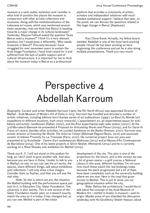museum is a semi-public institution and I wonder in what kind of position this places the museum in comparison with other private collections and museums. Along with the institutionalisation of the Lebanese art scene, which was mentioned several times yesterday, may we think that Beirut is heading towards a major change in its cultural landscape? Yesterday, Mayysa Fattouh asked the question 'Does Beirut need a museum?' I think it's a very relevant question, but I would pose it differently, 'Who needs museums in Beirut?' Precisely because I have struggled for over seventeen years to sustain the Arab Image Foundation, I have fund-raised for it and suffered from the lack of public support and of cultural infrastructure, it is important for me to think about the museum today in Beirut as a professional

platform that provides a community of artists, scholars and independent initiatives with much needed institutional support. I believe that later, on the panel, we can discuss the questions related to this huge change in Beirut. [Applause]

Kian Chow Kwok: Actually, my fellow board member Abdellah is one of the most hard-working people I know! He has been working so hard organising this conference and yet he is also doing multiple presentations. Thank you very much!

### Perspective 4 Abdellah Karroum

*Biography*: Curator and writer Abdellah Karroum (1970, the Rif, North Africa) was appointed Director of Mathaf - Arab Museum of Modern Art of Doha in 2013. Karroum has founded and directed a number of artistic initiatives, including éditions hors'champs series of art publications (1999), Le Bout Du Monde (art expeditions to different locations, from 2000 onwards), L'appartement 22, an experimental space for exhibitions and artists' residencies (Rabat, 2002), and the R22 experimental web radio station (2007). At the 3rd Marrakech Biennale he presented *A Proposal for Articulating Works and Places* (2009), and for Darat Al Funun art centre, besides other activities, he curated *Sentences on the Banks* (Amman, 2010). Karroum was artistic director of *Inventing the World: The Artist as Citizen* (Biennale Régard Benin, 2012) and associate curator of *Intense Proximity* for La Triennale (Paris, 2012). His curatorial project *Sous nos yeux* was presented at La Kunsthalle - Centre d'art contemporain Mulhouse (2013) and at Museu d'Art Contemporani de Barcelona (2014). One of his latest projects is *Shirin Neshat: Afterwards* (2014) and he is currently working on a Wael Shawky solo exhibition for Mathaf (2015).

Thank you K. C. I will not stand on this podium for long, as I don't want to give another talk. And also, because you are here in Doha, I prefer to talk to you in Mathaf, on site, so you can see the art works, the spaces, share different things, talk about exhibitions and collections. I will only show a few images. Consider them as flashes, and then you will see the real sites.

Slide. So this is where we are, the situation, the Mathaf building with the performance space just next to it, in Education City, Qatar Foundation. The university is also nearby. This is one version of the Qatar Foundation master plan, so it doesn't exactly match the area as it is today. It has changed but, as you can see, Mathaf is part of the urban

development of the city. This plan is one of the projections for the future, and in this version we see a lot of green space — a golf course, a National Library in this area, different facilities. I'm not sure how much these match the real buildings today because the plans progressed, but a lot of them have been completed, such as the university building where we are now. Here is the road that gives access to Mathaf. This is just to show you our geographical situation within the city.

Slide. Before the architecture, I would like to talk about the concept of the Arab Museum of Modern Art—*mathaf* in Arabic is museum—and its origin. Maybe some of you attended the discussion yesterday with His Excellency Sheikh Hassan, about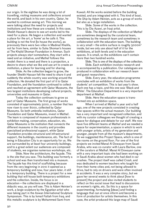our origin. In the eighties he was doing a lot of travelling, visiting museums and collections around the world, and back in his own country, Qatar, he wanted to continue seeing art. This morning we were talking about the need for projects and institutions and how these are created. In this case, Sheikh Hassan's desire to see art works led to the need for a place. He began a collection and wanted a place for the art, a 'home' as he calls it. This building is not the first [to house the works], as previously there were two villas in Madinat Khalifa, not far from here, similar to Suha Shoman's houses at The Khalid Shoman Foundation in Amman. Such projects always start somewhere, they start with a need and an initiative, and Mathaf follows this model: there is a need and there is a projection, a desire to share what we like and use art to create an institution, a place for learning and for sharing.

Slide. As the collection began to grow, the founder Sheikh Hassan felt the need to share it and suddenly the whole country was working around the collection. He donated the first part of it to Qatar Foundation, and the foundation continued to collect and reached an agreement with Qatar Museums, the two largest institutions developing cultural projects, universities and museums in Qatar.

Today the collection continues to grow as part of Qatar Museums. The first group of works consisted of approximately 5000, a number that has now risen to over 8000, collected by Qatar Museums. So both umbrella institutions, Qatar Foundation and Qatar Museums, invest in Mathaf. The team is composed of museum professionals in exhibition making, conservation, education, etc. Qatar Museums is the institution that connects the different museums in the country and provides specialised professional support, while Qatar Foundation provides structural and infrastructural support, the buildings, maintenance, etc. The fact of being in Education City is an opportunity for us. We are surrounded by at least four university buildings, and to a great extent our audiences are composed of students, we organise numerous workshops, etc.

Slide. Now the architecture, the façade. This is the site that you saw. This building was formerly a school and was then transformed into a museum. The façade has this kind of scaffolding because from the very beginning in 2010 it opened as a temporary building and now, four years later, it still is a temporary building. There is a project for a new building that will house both temporary exhibitions and the collection. Inside, the focus is on education — the collections are displayed in a didactic way, as you will see. This is Adam Heinien's work, a large sculpture by the Egyptian artist who was taking part in the Aswan International Sculpture Symposium. This is by Ismail Fattah from Iraq, and this metallic sculpture is by Mohammed Sami from

Kuwait. All the works existed before the building existed, and are integrated with it. This kind of boat, *The Ship* by Adam Heinien, acts as a group of works but also as a large installation.

Slide. Some of the works in the collection. This is by Dia Azawi, an Iraqi artist.

Slide. The displays of the collection at Mathaf are sometimes designed by the curatorial team, sometimes by the research team and sometimes in collaboration with the education team. The building is very small — the entire surface is roughly  $5000m^2$ inside, but we only use about half of it for the exhibitions, at both levels and in the education spaces. It is small, so the exhibitions can't contain more than two hundred works.

Slide. This is one of the displays of the collection. Slide. Each exhibition involves research and is accompanied by a publication. Our catalogues are produced in collaboration with our research team and guest researchers.

Slide. Every year, the education programme concludes with an exhibition of works from the students' art competition. This is last year's show. Each one has a topic, and this one was 'Black and White'. The Education Department is a very important department at Mathaf.

Slide. Here the education space is transformed into an exhibition space.

When I arrived at Mathaf a year and a half ago, one of the new projects consisted in creating new spaces within the actual museum. Our building has a very important and recognised collection, and with my curator colleagues we thought of creating a space for dialogue and debate for our staff. We now have five different teams at Mathaf and we needed a space for experimentation, a space in which to work with younger artists, artists of my generation and younger, people from all the museum's departments. So we suggested this Project Space, which is one of the rooms on the ground floor. For one of the first projects we invited Manal Al Dowayan from Saudi Arabia, who was co-curator with Laura Barlow, one of the curators at Mathaf. Manal Al Dowayan came with a very important topic she had been working on in Saudi Arabia about women who had died in car crashes. The project itself was called *Crash*, and was dedicated to women teachers who taught far from their home cities and, not being allowed to drive, had to rely on drivers and were often involved in accidents. It was a very complex story, but we gave her several weeks to think about [how to present] the project and also invited students to reflect on this social issue that lead to discussions on women's rights, etc. So this is a space for experimenting, formulating [ideas] and finding a language that can at once inform and become a form of production for artists themselves. In this case, the artist produced this large map of Saudi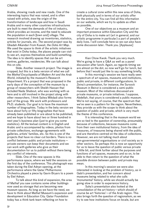Arabia, showing roads and new roads. One of the interesting topics that was raised, and is often raised with artists, was the origin of the transformation of landscape and how in Saudi Arabia and in many other countries infrastructures are built to meet the demands of the oil industry, which provides an income, and the need to educate the population in each [town and] village. The research involved drawing up inventories, statistics, articles for journals, etc. The second project was by Ghadah Alkandari from Kuwait, the *Doha Art Map*. We used the space to think of the artistic initiatives that exist in Doha today, the places people can visit to see art, express themselves and build something. The idea is to identify spaces that can be art centres, galleries, residencies. We can talk about this on site.

Slide. Another research project. The image is cropped, but this is a beta version of what we call the *Mathaf Encyclopedia of Modern Art and the Arab World*, initiated by the museum's Research Department. It's a project that was proposed in the early days of the conception of the museum by a group of researchers with Sheikh Hassan that included Nada Shabout, who was working with us here and is still involved in the project along with other researchers. I think Salwa Mikdadi also forms part of the group. We work with professors and Ph.D. students. Our goal is to have the maximum number of biographies. Today in the beta version we have about forty or fifty biographies that have already been published or are about to be published, and we hope to have about two or three hundred in next year's business plan (just to give you some statistics). All the textual content is in English and Arabic and is accompanied by videos, photos from private collections, exchange agreements with galleries, artists' families, etc. So this is one of the projects that have no clear-cut borders. There is no conflict between public and private institutions private owners can keep their documents and we can work with galleries who give us their documentation for us to publish without there being any conflict of interests.

Slide. One of the new spaces is this performance space, where we held the sessions on the first day of the conference. This photograph was taken during the Etel Adnan opening, at the performance where the Qatar Philharmonic Orchestra played a piece by Gavin Bryars to a poem by Etel Adnan.

To talk about this kind of expansion, the area of Mathaf you saw contains some other buildings now used as storage that are becoming new museum spaces. As long as we have the need, we have to think about Mathaf Museum's expansion and development in Education City. Qatar Foundation today has a think-tank team reflecting on how to

create a cultural zone within this new area of Doha, both physically and in terms of our artistic offer for the entire city. You can find all this information on our website, which we try to update as often as possible.

One of our objectives as a museum and an important presence within Education City and the city of Doha is to make art (art in general, and our artistic programme in particular) a part of people's daily lives. I will conclude here so we can also have some discussion later. Thank you. [Applause]

Kian Chow Kwok: Thank you very much. We're going to have a Q&A as well as a panel discussion after lunch. Again, as regards timing we are almost on the dot, so now we'll go for lunch, but before that I would just like to say something briefly.

In this morning's session we have really seen a spectrum of art spaces, museums and institutions, public and private, in different configurations. In Zeina's presentation, for instance, the Sursock Museum in Beirut is considered a semi-public museum. Most of the initiatives discussed are private museums, or private initiatives. I suppose, Abdellah, that yours is considered a public museum. We're not saying, of course, that the spectrum that we've seen is a pattern for the region. Nevertheless, they provide us with the scope to think about the question of public and private, which is very much the theme of this conference.

It is interesting that in the museum world we are so tied to the question of ownership, presumably because of collections, because museums come from their own institutional history, from the idea of treasures, of treasures being shared with the public, and are therefore centred on the idea of collections. However, we are not talking much about non-governmental organisations or civil society as in other sectors. So perhaps this is now an opportunity for us to leave the question of public versus private a little bit, and think further about the purposes and functions of art spaces, museums and so on, to be able to then return to the question of what the possible division between public and private may mean.

In this morning's session we were also interested in looking at the problem of history, as in Gabi's presentation, and her concern about museums being related to what she calls 'monumental' history, while we should actually be going slow in order to experience history.

Suha's presentation also looked at the consolidation of the art history—which should of course be art 'histories'—of the Arab region. This also brings forth the question of regionalism, as we try to see how institutions focus on locale, but are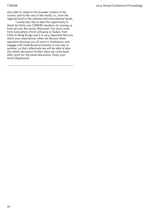also able to relate to the broader context of the country and to the rest of the world, i.e., from the regional level to the national and transnational levels.

I would also like to take this opportunity to thank the thirty-one CIMAM members for joining us from all over the world. Welcome! You have come from everywhere (from Lithuania to Sudan, from Chile to Hong Kong) and it is very important that you share your experiences when we discuss these questions because you all work in institutions, and engage with institutional processes in one way or another, so that collectively we will be able to take this whole discussion further when we come back after lunch for the panel discussion. Enjoy your lunch! [Applause]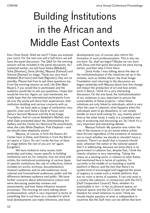# Building Institutions in the African and Middle East Contexts

Kian Chow Kwok: Shall we start? I hope you enjoyed your lunch. For the next one and a half hours we will have the panel discussion. The Q&A for the morning session will be included in the panel discussion. As I explained earlier, we will have Salwa [Mikdadi], Suha [Shoman], Zeina [Arida], Mayssa [Fattouh] and Antonia [Alampi] on stage. Thank you very much Abdellah [Karroum] and Gabi [Ngcobo], they are on standby. Please feel free to ask them questions too. From the morning session as well, Ute [Ute Meta Bauer], if you would like to participate and the audience would like to ask you questions, I hope that would be fine too. Again, as I just mentioned, we really hope that the international participants from all over the world will share their experiences, their institution-building and various concerns with us.

So, we have seen a range of institutions, very specific ones such Suha's Darat al Funun and Zeina's Sursock Museum and the Arab Image Foundation. And of course Abdellah's Mathaf, and what Gabi presented about the Johannesburg Art Gallery and the Center for Historical Re-enactments, what she calls White Elephant, Pink Elephant — and we should chew elephants slowly!

Mayssa, of course, is from the Katara Art Center here in Doha, and Antonia is from the Beirut art space in Cairo. So can I invite the four of them on stage before the rest of you are 'on' again. [Laughter]

We have looked at many issues, both yesterday and today, issues specific to building institutions such as, for instance, how we work with artists; the institutional positioning of various types of specific institutions; the role of collections (which includes art works, archives, documentation); museum audiences and on-site audiences, local, national and transnational audiences; public and the difference between audience and public. We have further concerns about administrative culture and were discussing yesterday reviews and assessments, and how these influence museum processes. This morning we were talking about professionalism, which is very important in terms of something that is out there as a standard to which local developments can make reference, and local

developments can, of course, also inform the formation of such professionalism. This is why we are here. So, shall we begin? Maybe we can start with Zeina and that quick discussion we were having earlier, and then take it from there.

Zeina Arida: I was talking about the idea of the institutionalisation of the initiatives set up in the nineties, such as Ashkal Alwan, the Arab Image Foundation, and returning to the discussion we began yesterday with Mayssa about how this change will impact the production of art and how artists work in Beirut, I think it's a very interesting discussion. On the one hand, the institutionalisation of our initiatives is very important to secure the sustainability of these projects — when these initiatives are only linked to individuals, which is very often the case in Lebanon, what happens when the individuals want to go elsewhere, or can simply handle no more fund-raising for, say, twenty years? And on the other hand, it really is a completely new way of producing and discussing art. So I think it's a very important and interesting debate.

Massya Fattouh: My question was rather the role of the museum in an art scene where artists have thrived regardless of the existence of museum, not so much whether we should or shouldn't have a museum. There's no doubt that a museum should exist, whatever the nation or the national speech that it is addressing, because we know there is no government in Lebanon but, despite that, I think the chaotic situation is very interesting. Taking the chaos as a starting point, in relation to what Salwa had mentioned here in terms of systems, I'm currently in the middle of co-founding a mobile platform in Beirut, and the fact that there's no system kind of encouraged and triggered the sense of urgency to create such a mobile platform, that has no roots in terms of systems. It can only exist in a country like Lebanon, in comparison with the GCC [Gulf Cooperation Council]. Now, whether it's sustainable or not — it has no physical space, no physical space, and the GCC does not yet offer that freedom for small initiatives to exist. I think we should maybe question of what is independent in countries like the Gulf: how can we define that term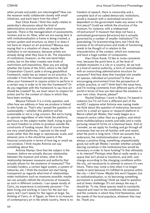when private and public are intermingled? How can the museum really collaborate closely with small initiatives, and each learn from the other?

Kian Chow Kwok: I think this really relates to yesterday's discussion about the kind of administrative structure within which museums operate. There is the managerialism of assessments, reviews and so on. Now, what we are saying here is with institutionalisation a frame is being created, a certain system and structure, so does it or does it not have an impact on art practices? Massya was saying that in a situation of chaos, maybe the institution is not necessary, because artists are already doing what they have to do. The imposition of institutions, however, on the one hand helps artists, but on the other creates new kinds of restrictions and impositions. Now you are asking whether the frame of the GGC, which is the Gulf Cooperation Council, quite a strong geopolitical framework, really has an impact on art practice. To consider it from the museum perspective, do you allow your framework to require artists to perform in a certain way in order to fit into this framework? Or do you negotiate with this framework to say how art should be created? So, we must return to respect for artists and for the context of chaos in which they have been working.

Mayssa Fattouh: It is a tricky question, and often how we address or how we produce is linked to who funds us. That's why I posed the question of sustainability — whether this platform will be sustainable or not is a big concern. But we're trying to operate regardless of who funds the platform, and focus on the subject matter itself, trying to give as much freedom to artists to produce outside the constraints of funding issues. But of course those are very small platforms. I operate on the small scale rather than the large or spectacular scale, and whoever joins in this should be aware of the financial constraints in terms of how big or small we can produce. I think maybe Antonia can say something about this.

Antonia Alampi: Give that the subject is the museum, before we actually discuss relationship between the museum and artists, what is the relationship between museums and authority that actually allows for the existence of museums? This includes funders, a certain legal system, a system of networks, etc. I think the moment we start being transparent as regards what kind of relationships make institutions such as museums possible, maybe we can actually rethink the structures of museums as such in different contexts. I can speak mostly of Cairo, my experience is extremely personal — I've been living and working in Cairo for the last two years, but I can't speak for the region at large. So, thinking of Cairo, or of Egypt, as there is no museum of contemporary art in the whole country, there is no freedom of speech, there is censorship and a complete lack of so-called democratic institutions, would a museum with a centralised structure dependent on the government make any sense in the first place? Could we rethink the structure of the museum, for instance, with a widespread infrastructure? A museum that does not have a centralised governance [structure] but is actually governed by a number of smaller institutions? I'm speculating, I'm brainstorming here, but I think the premise of its infrastructure and mode of functioning needs to be thought of in relation to the characteristics of the context, which are numerous and have a huge number of components.

Kian Chow Kwok: I'd like to invite comments now, because the point here is, at the level of multiple museums in a city or a country, do we look at a kind of central authority, a form of centralisation with an overarching administrative structure for museums? And how does that translate into smaller art spaces, individual art practices? Is that an encouraging environment from the perspective of artistic practice, or not? I think that's the issue here, and I'm inviting comments from different parts of the world in terms of how you feel about the situation in your own cities. Anyone, please?

Rachel Dedman: I work in Beirut, I'm based in Lebanon (so I'm not from a different part of the world!). I suppose what Antonia was saying made me think about this question of endurance, because I work for a small art space or research platform in Beirut called 98 Weeks, that really began as a research centre rather than as a gallery, and which hosts multidisciplinary events and talks and is really pursuing research forms on a biannual basis. And so I wonder, as we apply for funding and go through all processes that we are all familiar with and resent, what the point is long-term. I think we assume that endurance, the institutionalisation of spaces, is always a positive thing, something unquestionably good, but with 98 Weeks I wonder whether actually placing ourselves in the institutional box would be necessary in order to have funding? Is that ultimately in its interest? Perhaps what Beirut really needs is a space that isn't afraid to transform, and shift, and change according to the changing conditions within the city, not necessarily to attempt to secure it's own future. There may come a time when it no longer needs to exist because it's fulfilled its purpose within the city  $-i$  don't know. Maybe this won't happen, but its institutionalisation, or its becoming something permanent is something I think we need to question and at times challenge. It's not always the way it should be. To me, these spaces need to constantly respond and react to the conditions, the situations and the contexts in which they find themselves, and the needs of the local populace, whatever that may be. Thank you.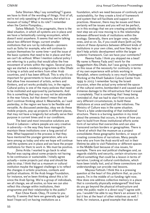Suha Shoman: May I say something? I guess we have to think of the wording of things. First of all, we're not only speaking of museums, but what is a museum of today? What is its role? I remember when the Centre Pompidou…

Salwa Mikdadi: To be pragmatic, there is the ideal situation, in which all systems are in place and we have a fantastically running ecosystem, which doesn't exist anywhere. It seems that we're talking about two different things: current smaller institutions that are run by individuals—pioneers such as Soha for example, who will continue to sustain themselves for some time—and the issue of the basic systems that need to be in place and that we can't do without. When I mention cultural policy I am referring to a policy that would allow the free movement of artists within the region. Several years ago we started a residency programme in Abu Dhabi to bring in artists and writers from other Arab countries, and it has been difficult. This is why it's so important for governments to have cultural policies that allow free movement of artists, writers and thinkers, and art works probably too, in the region. Cultural policy is one of the many policies that need to be instituted and approved by parliaments. And this is something that may or may not be attainable in the near future, but that doesn't mean that we don't continue thinking about it. Meanwhile, as I said yesterday, in the region we have to be flexible and versatile. As discussed yesterday, okay we do these mobile projects, pop-up projects in different places, that may not have a longevity but actually serve their purpose in current times and in our conditions.

The best and most innovative solutions are found in Lebanon—where people are very creative in adversity—in the way they have managed to maintain these institutions over a long period of time. What happened in the process is that they have mentored the younger generation, who are here among us today and who we hope will continue until the systems are in place and we have the proper institutions for them to work in. We must be positive.

Zeina Arida: I wanted to go back to what Rachel was saying about some projects not having to be continuous or sustainable. I totally agree actually — some projects just stop and should be able to stop. I think that as a museum or cultural institution maybe the biggest challenge is to reflect the changes in artistic practices, contexts and political situations. At the Arab Image Foundation, for instance, we've been thinking about this a lot since the Arab Spring. We're a group of individuals, we all change, we all evolve, so how we can also reflect this change within institutions, their programme and their relationship to the public?

Kian Chow Kwok: Okay, I'll come to you shortly. It seems that here we generally agree (at least I hope so!) on having institutions as a

foundation, which we need because of continuity and sustainability, for they create a kind of framework and system that will facilitate and support art practices. However, there may be issues and there certainly will be issues and you will not be perfect, so in this ecology that we are creating probably the next step we are now moving to is the relationship between different kinds of institutions within the ecology. Generally, there are larger ones, smaller ones, and so on. So, if you could share [with us] the nature of these dynamics between different kinds of institutions in your own cities, and how they help or don't help artistic development within the larger systemic framework. Can we have your comments?

Reema Fada: I think you skipped me a beat! My name is Reema Fada and I work for the Guggenheim Abu Dhabi, but I was going to comment on this issue of the necessity for continuity in terms of my own experience with artists working in Ramallah, where continuity is very much challenged. Working at the Khalil Sakakini Cutural Center from 1999 to 2003 I remember facing the Israeli incursion, when the actual army entered the space of the cultural centre, bombarded it and caused such immense damage to the infrastructure that it erased it completely. That is something that I keep being reminded of, that we had to start from scratch, in very different circumstances, to build these institutions at once and build all the initiatives. The Ministry of Culture was in the same situation. There's a fake understanding of that institutional structure. There is a burning question in my mind about the amnesia that occurs, in terms of how you start to build from those institutional efforts some form of narrative that overarches and can also transcend certain borders or geographies. There is a level at which that the museum as a project consolidates these geographic borders, or ways of creating connections of narratives. Many people here who are from the Arab world will not in their lifetime be able to visit Palestine or different spaces in the Middle East because of visa issues, for example. There are real political challenges and, as regards stability and security, certain structures can afford something that could be a lesson in terms of narrative. Looking at cultural contributions, which have been totally lost, and at these connections and understandings can provide real lessons.

Mayssa Fattouh: I think this is a pressing question at the heart of this platform that, as you're aware, I'm in the middle of co-funding right now. How does one address collective memory in a place that is constantly physically endangered? And how do you go beyond the physical infrastructure and enter the public realm in a direct way? I agree with you. I wouldn't be able to say there's an answer to it, but it lies at the heart of other initiatives as well. I think, for instance, a good example that does not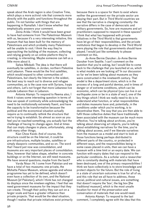speak about the Arab region is also Creative Time, which plays a more activist role that connects more directly with the public and functions throughout the public. I'm not familiar with things that are happening in Ramallah. I don't know whether that emphatically answers your comment.

Zeina Arida: I think it would have been great to have had someone from The Palestinian Museum with us, because it's a very interesting initiative, this museum that has been built for the memory of Palestinians and which probably many Palestinians will be unable to visit. I think the way they're approaching the building of the museum, collecting and relying greatly on an online platform they're creating, is interesting. Maybe someone can tell us a little more about it.

Salwa Mikdadi: The idea is that there will eventually be satellites, in Jordan, northern Palestine and Lebanon. These would be the first satellites, which would expand to other communities of Palestinians, but clearly the Internet is the widest, the best way to reach out to diverse and refugee communities, as is the case now with Syrians, Iraqis and others. Let's not forget that more Lebanese live outside Lebanon than in Lebanon.

Antonia Alampi: To respond to Reema also, I think it raises some interesting question in terms of how we speak of continuity while acknowledging the need to be institutionally extremely fluent, and have the capacity to be transformative because the political and the economical situation actually require us to continually rethink the structure that we're trying to establish. So almost as soon as you feel you've reached something, you actually fact the challenge of having to change again. And at times that can imply changes in place, unfortunately, along with many other things.

Kian Chow Kwok: And of course, this structure could be on the Internet, it could be pre-infrastructure, multiple locales, satellites or simply diasporic communities, and so on. The word that I heard just now was consolidation, and museums are very important places of consolidation. Now, however that takes shape, whether in concrete buildings or on the Internet, we still need museums. We have several questions; maybe from the back?

Varda Nisar: Hi. I come from Pakistan and we have a total of two museums: one private, the Mohatta Palace Museum, whose agenda and whose programme has yet to be defined, which doesn't even have a collection of its own, and the National Museum [of Pakistan], which I think has not changed its displays since the nineteen eighties. I feel that we need government museums for the impact that they can create. Through their policy they can act on a larger scale and have a greater influence than private projects. That would be the ideal situation, though I realise that private initiatives exist primarily

because there is a space for them to exist where neither the government nor the private sector are playing their part. But in Third World countries we see that the narrative is changing constantly: the narrative differs in the case of democratic and military governments. So, how are museums and art practitioners supposed to respond in these spaces? I think that what has happened with private initiatives in the Third World is that governments have let go of their responsibilities, and the private institutions that began to develop in the Third World were playing the role that governments should have played. I would just like somebody to please comment on this.

Jo-Anne Bernie Danzker: Jo-Anne Bernie Danzker from Seattle. I can't comment on the question that you're asking, but I would like to come back to the challenge that you launched at us, which is what models are we looking at? In our discussion so far we've been talking about museums as they were constructed in the nineteenth century. That model is like a department store, which is in the process of a long and painful demise, and in times of danger or of extreme conditions, which can be economic, which can be physical (you can live in an earthquake zone or be in a state of war), one of the key things which I think we really need to do is to understand what function, or what responsibilities and duties museums have and, potentially, in the conditions under which you're working, is to decentralise them. The way that you are then able to fulfil those collective duties that have traditionally been associated with the museum can be much more effective. You're talking about archives, you're talking about observing art objects, you're talking about establishing narratives for the time, you're talking about access, and if we liberate ourselves from the museum as a model and start to look at those functions being perhaps distributed to different parts of the country, or protected in different ways, and the responsibilities being in some cases placed in units, then we can have a museum with a time limit or an expiry date. We can function with expiry dates that can respond to the particular conditions. As a scholar and a researcher who is constantly dealing with materials that have been destroyed, one of the primary responsibilities I think we have collectively is to store knowledge and protect objects for the future. But the role of living in a state of uncertain outcomes is true for all of us, and this role that we all have to address, those social, political and cultural issues, are something that doesn't require the 'box', the big box [the traditional museum], which is the most unsafe location for most of the preservation and conservation of materials that one would need.

Antonia Alampi: To respond to the last comment, I completely agree with the idea that this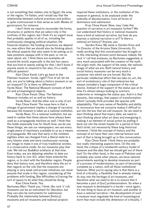is not something that relates only to Egypt, the area or the region. I'm Italian, and I would say that the relationship between cultural practices and politics is quite controversial in that sense as well. Modes of governance, for instance.

I don't think we need to reconsider the forms, structures or patterns that we select only in the confines of this region, but I think it's an urgent issue that probably applies to all of us, including the continuously changing political situation, the financial situation, the funding structures we depend on, new ethics that we should also be thinking about, the ethical aspects that also seem to be asking us to take positions opaque with in the past, or not so open about, etc. I think there are examples all around the world, especially in the last two years, that are kind of openly asking for that. I don't know if anyone wants to respond to her also, it's a really difficult question!

Kian Chow Kwok: Let's go back to the Pakistan museum. Varda, right? First of all, let me ask, are you're talking about a history museum or an art museum? Or is there no difference? Varda Nisar: The National Museum consists of both art and archaeological objects.

Kian Chow Kwok: Okay. The National Museum includes art as well as history.

Varda Nisar: And the other one is only of art. Kian Chow Kwok: The issue here is that a change of government implies a change of narrative because the museum is taken as a national institution.

Varda Nisar: It's a national institution, but we need to realise that these places have always been used as a propaganda machine as well. I think that this holds especially true for South Asia: we do use these things, we use our newspapers, we use every single piece of machinery available to us as a means of propaganda. We saw that early in the nineteen eighties when we changed from a liberal state to a very Islamic state and were continuously revising our image to make it one of truly traditional women, in a conservative mode. So our museums play that role. We hid our Buddhist artefacts at that time. Even today, we are debating whether to date our history back to 700 AD, when Islam entered the region, or to start with the Kandahar region. People deny that history now, and therefore deny the art in that regard, so the role that the museums are playing is very weak and private initiatives can never assume that scale in this region, considering all the problems with funding, [the difficulties in] having the sort of space to do what they should be doing. Kian Chow Kwok: Yes.

Bartomeu Marí: Thank you. I think, like rock 'n' roll, museums can be an instrument for liberation, but they can also be instruments for submission. Probably the relationship between [history] museums and art museums and national projects

required these institutions, or the institution of the museum in general, to be analysed under the umbrella of decolonisation, from all forms of dominance and submission.

Kian Chow Kwok: Now, may I take this question of narrative in art museums further? We can understand that history or national museums have a kind of national narrative, but how do you express a national narrative in art? Is there a national art history? Anyone, yes.

Gordon Knox: My name is Gordon Knox and I'm Director of the Arizona State University. It's really exciting that this conversation has brought us to this interesting division point because indeed, the rock 'n' roll that enslaves, as Bartomeu suggested, is very much associated with the creation of the myth, the origin myth, the support of the state, the national image of what we are. Both natural history and social history museums can be very much a container into which we are forced. But the particular intellectual effort that we take on, art, the sort of evolutionary role of that enterprise has always included a huge component of the critical stance. Instead of the support of the status quo at its time it's almost always looking to overturn, undermine or reimagine the status quo. And it is that dynamic, that energy, that aspect of transformation which I actually think provides the species with adaptability. That very sense of flexibility and ability to reconceive how we conceive makes it difficult to put into the box that we call museum. So we need to start thinking about that expiry date, we need to start thinking about what art does and energising it, making it an element of social action by putting it back out into the street maybe for a period of time that's brief, not necessarily these long historical moments. I think the concept of history and the concept of art have their own internal tension and part of that is being brought up in this conversation.

Kian Chow Kwok: I think there are probably two really interesting aspects here. On the one hand, the critique of a nineteenth-century model of museum and the idea that we should get out of there fast! On the other hand, in the case of Pakistan and probably also some other places, we have national governments wanting to develop museums as part of a process of modernisation, as part of becoming complete as a nation, with all these institutional features. What you're saying also is that there is a kind of criticality, a flexibility that is already making its way into the heritage of art museums, and therefore what we need to do is to ensure that it becomes a part of [our] professionalism. So when a new museum is developed in a locale—once again, it's one thing to have an art museum, and another to have a national narrative—the development of such a museum must negotiate the kind of museological norm that must include this dimension of criticality. I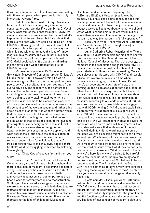think that's the other part. I think we are now dealing with these two parts, which personally I find truly interesting. Anyone? Yes.

Kate Fowle: Kate Fowle, Garage Museum in Moscow. I think this is a very very interesting conversation, but I wonder if we can bring CIMAM into it. What strikes me is that through CIMAM we can all come and experience and learn about what's happening in different places, but I also think that there's a role that CIMAM could be taking on—and  $CIMAM$  is thinking about—in terms of how to help advocacy or how to support or structure ways in which it is possible not to have this kind of random idea 'You're a museum, and you're not a museum'. So I wonder if any of the people on the board of CIMAM could talk a little about their thinking in hearing this and what potential there is for CIMAM to help.

Madeleine Grynsztejn: It's Madeleine Grynsztejn, Museum of Contemporary Art [Chicago]. I'll take the hit! First, however, I think it's worth remembering that the board is made up of our own peers, so we're not sitting in a room separate from everybody else. The reason why the conference topic is the conference topic is because we're all struggling with this issue. In listening to each other we're going to come back to each other with a proposal. What seems to be clearer and clearer to all of us is that we need perhaps to move away from the semantics of the word museum, and rather think about a set of standards (for want of a better word) that platforms can reflect. But at the same time, some of what's troubling me about what we're talking about is that letting this idea of the museum go altogether is very scary to me, because I think that in that case we're also letting go of an opportunity for consensus in the civic sphere. And what scares me a little about the specialisation of our various almost super-customised, superregional, super-micro formulations is that we're going to forget how to talk in a civic, public sphere. So that's what I'm struggling with when I'm listening to everybody.

Kian Chow Kwok: Yes, you first and then you. Okay.

Zoran Eric: Zoran Eric from the Museum of Contemporary Art in Belgrade. I feel somehow that there is this idea of museum is becoming obsolete in a way. From our position, a museum built in 1965 and that is therefore approaching its fiftieth anniversary as a museum of contemporary art has been closed for seven years due to reconstruction. So this gap has created a strange atmosphere and we are now facing several artistic initiatives that are thematising the idea of the museum. One artist opened his own private museum under his nickname, the Zepter Museum, for example. Another artist is thematising the idea of childhood [Museum of

Childhood] and yet another is opening The RaBernard Blistèneit Museum (you know, the animal). So, is this just a coincidence, or does this artistic practice reflect the lack of the main museum that would be a hub for them? I'm just wondering, because we've talked a lot about whether we should watch what is happening in the art world, but are artists themselves watching what is happening in the museum and why the museum isn't fully operative?

Kian Chow Kwok: Thank you. Anne-Catherine, yes. Anne-Catherine [Robert-Hauglustaine] is Director General of ICOM.

Anne-Catherine Robert-Hauglustaine: Thank you. I think it's quite impossible for me not to answer this question, as I'm the General Director of the National Council of Museums. There are over 3,000 members in the association and more than 50,000 museums are concerned with it. I've been following your debate and I think it's very interesting. We've been discussing this topic with CIMAM and I would advise that we are definitely in a time when museums are changing. This is not new, it's just there's an acceleration now, lots of ideas are coming up and as an association that has a code of ethics I have to be, in a way, careful that the word museum will not change each year with new ideas. That would make no sense. The last definition of museum, according to our code of ethics at ICOM, was proposed in 2007. I would definitely suggest that with ICOM joining CIMAM and probably hiring a person who will address this issue as we work with UNESCO on a new normative instrument on the question of museums, now is probably the best time to do it. We will suggest new ideas to revise the definition, which as we know will take years. But we must also make sure that while some of the new ideas will definitely fit the word museum, some of the ideas you are discussing might not fit at all what we're doing. Which means it may be great work, but it's not museum work. What we also know is that the word museum is not a trademark, so everyone can use the word museum even if what they do bears no relation at all to museums. What can we do? That's why we're here, it's why we're trying to be careful not to mix ideas up. What people are doing should be discussed but not confused. So that would be my recommendation. The President and the Board of CIMAM are beginning to have a very tight schedule regarding these topics and I'm sure they'll be able to give you more information at the general assembly. Thank you.

Bartomeu Marí: Thank you Anne-Catherine. I just wanted to add that some individual members of CIMAM work at institutions that are not museums but are part of the ecosystem of contemporary art, and are extraordinarily important for the good health and the functioning of what we call contemporary art. The idea of museum or not museum is also very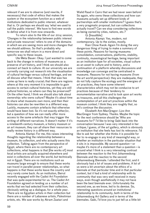relevant if we are to observe (and rewrite, if necessary) that code of ethics that makes the system or the ecosystem function as a web of institutions dedicated to public interest, whatever that is. Or perhaps we should say 'what we used to call the public interest'. We have to find new words to define what it is from now onwards.

To return also to the title of our 2014 session, 'Changes in the relationship between public interest and private resources' refers to one of the domains in which we are seeing more and more changes that we should address. So that's probably why tomorrow we shall return in a more direct and specific way to these issues.

Ute Meta Bauer: Okay. I just wanted to come back to the change in notions of museums as a preserve of art history, and I think we should also connect art back to culture. At our university we are currently carrying out research into the visualisation of cultural heritage versus cultural heritage, and we all discuss what that means. I think that was has come up here is really crucial; that there are regions where at this very moment it is impossible to gain access to certain cultural histories, yet they are still cultural histories, so where can they be preserved? On the other hand, I think we should also talk about ownership: who owns culture? Maybe it's about time to share what museums own more, and then their histories can also be rewritten in a different way. Luckily, museums contain artefacts that otherwise would have been lost. So it's not exactly either/or, but a question of how we can really offer more access to the same artefacts that may trigger the writing of different narratives. It doesn't matter if it's a nineteenth-century museum, a history museum or an art museum, they can all share their resources to really review history in a different way.

Antonia Alampi: For me, this raises interesting thoughts regarding the relationship between a museum, its collection, and who actually owns this collection. Talking again from the perspective of Egypt, where there are no contemporary art collections, what happens is that [the works of] most local artists are actually acquired elsewhere and exist in collections all over the world, but technically not in Egypt. There are no institutions such as museums large enough to ensure that these works can travel in parallel power relationships, so what happens is that these works leave the country and very rarely come back. As an institution, Beirut recently engaged with the Cadist Art Foundation that was quite experimental for us. The Cadist Art Foundation agreed on lending us a number of art works that we had selected from their collection, obviously setting up a dialogue, for a whole year. There are no Egyptian artists in their collection but there are a number of Lebanese artists, Palestinian artists, etc. We saw works by Akram Zaatari and

Walid Raad in Cairo that we had never seen before! So again, who owns these collections and how can museums actually set up different kinds of partnerships with smaller institutions? I guess that's a very pragmatic proposal, but can collections actually travel? Can we stop considering collections as being owned by cities, nations, etc.?

Q: [Inaudible]

Antonia Alampi: Yes, modern, not contemporary. Up to the sixties, mostly.

Kian Chow Kwok: Again I'm doing the very dangerous thing of trying to make a summary of these points. Reasons for having museums: consolidation, conversations, platforms, stability, continuity, museological heritage, being important as an institution type for all societies, visual culture as an asset to culture and to history, and a continuation of a platform whereby discussions and knowledge can converge and be centralised in museums. Reasons for not having museums (from the art world perspective): they are inadequate, they do not fully capture the ecology and the energies of art practices, they have some inherent characteristics which may not be conducive to art practices because of their tendency to monumentalise narrative and to look upon art works as treasures, and all this challenges the contemplation of art and art practices within the museum context. I think they are roughly that, so let's continue the discussion.

Elizabeth Ann MacGregor: Lizz-Ann MacGregor from Sydney. Thanks. Maybe the topic for the next conference should be 'Who are museums for?' I'd like to bring Gabi back into the conversation because I was very interested in her critique, I guess, of the art gallery, which is obviously an institution that she feels has lost its relevance. I'd like to ask her whether she thinks it is possible for her to re-engage in any kind of meaningful way, or whether an institution in the particular situation that it sits in is impossible. My second question—or maybe it's more of a statement than a question—is around what I think is a very interesting contrast between the reaction to the first Johannesburg Biennale and the reaction to the second Johannesburg Biennale. I attended the first, and it obviously had a lot of issues and problems. A lot of us were a bit uncertain about the ethics of a biennale at that particular time and in that particular context, but it had a kind of relationship with its community that was very well received in many ways, even though aesthetically it may not have been the best biennale ever. Unfortunately the second one, as we know, led to its demise. So, interesting questions around an institutional relationship to its community, both in terms of the Johannesburg Art Gallery and in terms of the biennales. Gabi, I'd love you to just tell us a little bit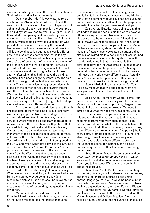more about what you see as the role of institutions in South Africa, and in Africa generally.

Gabi Ngcobo: I don't know what the role of institutions in Africa or South Africa is. I think the role of institutions is ever-changing. If I speak about Johannesburg directly, I can mention the example of the building that we used to work in, August House. I think what is happening in Johannesburg now is something that I will call the 'coolwashing' of public spaces, which explains why the question that was posed at the biennales, especially the second biennale—who it was for—was a crucial question. It still is a crucial question but the answer is different now, because of the coolwashing that is taking place in the city. We exited the building because we were afraid of being part of the vacuum-cleaning of the area in which we were operating. Perhaps a year after that there was a very cool article about artists who were still working in August House, shortly after which they had to leave the building because it had been bought by gentrifiers. The sale didn't go through and the building now sits quite empty. The very last slide in my presentation is that picture of the corner of Kerk and Nugget streets with the elephant that has now been turned around. We don't know who did that. It was a very interesting coincidence. But still thinking through this elephant, it becomes a sign of the times, [a sign] that perhaps we need to look in a different direction.

As to the first and second biennales, although I missed both of them, the kind of exhibitions they were is very apparent from the catalogues. There is no centralised archive of the biennale, there is nowhere where you can go and learn more about it. All we have are these two books with pictures that I showed, but they don't really tell the whole story. Our story was really to also use the accidental monument of the elephant to speculate, to perhaps not look for the truth but formulate new questions. Yesterday a William Kentridge exhibition opened at the JAG, and when Kentridge shows at the JAG he's on resources to the JAG. Yet it's not the JAG that provides the resources — most of the resources come from the West. It's a show that has been displayed in the West, and that's why it's possible. I've been looking at images online and seeing the space that was grey and somewhat deserted now suddenly come to life, and the audience as well. This is also part of the 'coolwashing' of Johannesburg. When we had a space at August House we had a line from the manifesto by Angolan artist Nástio Mosquito which said 'Don't be cool, be relevant. And if you can be relevantly cool, good for you', which was a way of kind of responding the question of who it was for.

Maria Lind: Maria Lind, from Tensta Konsthall. I just have a footnote if I may, about what an institution might do. It's the philosopher John

Searle who writes about institutions in general, public institutions, including museums (and I'd like to think that he somehow could have had art museums and art institutions in mind), and that the purpose of an institution is to change power relationships.

Zeina Arida: Exactly. I was going to say that we hadn't heard and hadn't said the word power yet. I think it's very important, because a museum is always seen to be—or is—a powerful institution. I think maybe we need to discuss this in relation to art centres. I also wanted to go back to what Anne-Catherine was saying about the definition of a museum. Actually, two weeks ago a curator called Nat Muller invited me to a panel in which she defined the museum as a time capsule. I quite agree with that definition and in that sense, what is the difference between the Arab Image Foundation and a museum, if it's not the power? The Arab Image Foundation has a huge public and lots of exposure. It diffuses the work in very different ways. Actually it doesn't have a public space itself. I think we had maybe forty different exhibitions touring the world.

Salwa Mikdadi: I have a question for Zeina. As a new museum that will open soon, what are your plans in relation to the informal art institutions in Beirut?

Zeina Arida: I come from where I come from. I mean, when I started discussing with the Sursock Museum about the potential position, I began to hear about all the other museum projects. We need to agree about what we need from museums. Coming as I do from the Arab Image Foundation and from this scene, I think the museum has to find ways of keeping its framework very open so that it can interact with different artists, different initiatives. Of course, it also to do things that every museum does, have different departments, serve [the public], build knowledge, promote education on art, etc. Yet I'm also trying to see how we can be a very open museum and a place where different actors on the Lebanese scene, for instance, can discuss and exchange views, rather than each of us being on our own.

Suha Shoman: Maybe the solution would be what I was just told about MoMA and PS1, which was a kind of initiative to encourage younger artists. Could you tell us about PS1 and what you think about these issues?

Kian Chow Kwok: But let me say something first. Again, I invite you all to share your experiences, and if you feel more comfortable speaking in another language there will always be people in the room who can translate. Please share with us. Now we have a question there, and then Patricia. Please.

Serena Iervolino: My name is Serena Iervolino and I'm a lecturer here at UCL, where I work on the MA on Museum and Gallery Practice. I've been hearing you talking about the relevance of museums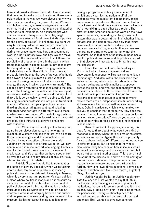here, and broadly all over the world. One comment that I wanted to make is that I really felt there was a polarisation in the way we were discussing why we have museums and why they are relevant. We were also talking about grass-roots organisations and other sorts of art practices that might be initiated by other sorts of institutions. As a museologist who studies museum changes, and how they might become more relevant for different kinds of publics (in the plural, of course), I think there is a point we may be missing, which is how the two initiatives could come together. The point raised by Gabi during her presentation was how a museum could work in a participatory way, and how we can move away from the curatorial tycoons. I think there is a possibility of production there in the way in which traditional Western-based curatorial practice might be changed through productive engagement and collaborations with other actors. I think this also probably links back to the idea of power. Who holds the power to actually curate culture? Who is in charge of making decisions? And how can we change the ways in which decisions are made? The second point I wanted to make is related to the idea of how the heritage of criticality can become a part of professionalisation or professional training. And I think this is very much what we're trying to do here, training museum professionals not just in traditional, standard Western-European practices but also thinking about curating, presenting, displaying and preserving heritage in different ways to those in which we were trained. We mustn't forget where we come from — most of us trained here in curatorial practice, and I think this is always a challenge with students.

Kian Chow Kwok: I would just like to say that, going by our discussion here, it is no longer a question of Western and non-Western. We all share the same challenges, and it is important to be inspired by local practices all over the world. Judging by the totality of efforts we put in, we may continue to find museum work challenging. So this is exactly the kind of forum in which to share such challenges, and it's great that we have people from all over the world to really discuss all this. Patricia, who is Secretary of CIMAM.

Patricia Sloane: I would like to comment on this notion of power. Basically, when we're talking about public, the notion of public is necessarily political. I work in the National University in Mexico, which is a very important point for Mexican politics, a place where politics is made, and our museum as such is not a point of display of art, it's a point of political discourse. I think that this notion of what a museum is serving within its own context has an enormous amount of interplay between our publics and the people who are creating the contents of the museum. So it's not about having a collection or

having a programme with a given number of exhibitions a year; it's the notion itself of the exchange with the public that has political, social and economic undertones. The next step is that in Latin America at least there was a moment when we were not talking to each other as a region. The different Latin American countries were on their own specific agendas, depending on the government system that was in power at the time, whether it be a dictatorship or a democracy. And now that things have levelled out and we have a discourse in common, we are talking to each other and we are generating programmes together amongst the museums. So in that sense, the museum becomes a point of political discourse, and its publics are part of that discourse. I just wanted to bring this into the discussion.

Laura Barlow: I'm Laura, I'm working at Mathaf in Doha. I have a comment and an observation is response to Serena's remarks just a moment ago. And also, within the discussion that we've had so far, which is to think about how the museum collaborates with smaller arts spaces across the globe, and what the responsibility of the museum is in relation to those practices. I wanted to point out the importance of thinking of the responsibility of the museum in a context where maybe there are no independent institutions working at those levels. Perhaps something can be said about Doha in particular, which is what makes me ask you to consider that perspective. How does the museum then not necessarily take on the activities of smaller arts organisations? How do you reconcile all types of activities across a city when the landscape is as it is here?

Kian Chow Kwok: I suppose, you know, it is good for us to think about what would be a kind of reasonable ecology when there are major museums, art spaces and so on. Again, this is an opportunity for us to share the kind of different ecologies we see in different places. But it's true that the whole discussion today has been on how museums would serve art in some ways and to a certain extent, but would not serve art in other ways. This is very much the spirit of the discussion, and we are all looking at this with eyes wide open. The point here is how museums can do more and support art practice further. Now, one, two, three questions. I have seven minutes, and then four, five… two more! [Laughter]. Okay, I'll start with you.

Judith Nesbitt: Hello, I'm Judith Nesbitt from Tate Gallery and I just wanted to say that I think partnership is increasingly a mode of practice for institutions, museums large and small, and it's never an easy way of doing anything. There is no formula for partnership — every relationship has to be worked out and established on terms of trust and openness. But I wanted to give two concrete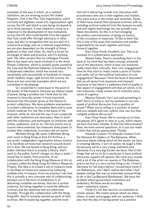examples of the way in which, as a national institution, we are working across the United Kingdom. One is the Plus Tate organisation, which currently has eighteen visual arts organisations right across the UK and which is now being increased to up to thirty partners. It was created in 2009 as a response to the development of new institutions across the UK who could benefit from the support that Tate could offer through advocacy or other ways, but also in recognition that we are part of a visual arts ecology and, as a national organisation, we are also dependent on the strength of those galleries in their own cities. So, that's a forum for exchange of ideas and practice, and it's working well. The other project that my colleague Frances Morris has been very much involved in is the Artist Rooms Collection, which is actually jointly owned by the Tate and the National Galleries of Scotland. It's a dispersed collection, which has toured very remarkably and successfully to hundreds of venues, small, medium, large, right across the country. So those are two concrete examples which we are committed to developing.

Q: I would like to come back to the point of the power of the museum, because we always speak of power being a problem but I think that for the museum to have this power is most important, because only this power gives us the chance to protect collections. We have problems everywhere to protect collections, to complete them and to save artistic material. For me, this is the basis of the museum, while its role and the way it can cooperate with other institutions are secondary. How to work with the collection, and participate on initiatives with artists, audiences, and so on. The two points are of course interconnected, but museums need power to protect their collections, to protect the art works.

Michelle Wong: My name is Michelle Wong and I work in Hong Kong at Asia Art Archive, a non-profit, independent organisation whose mission is to facilitate art historical research around recent art in Asia. We are based in Hong Kong, and our public interface there is actually a library, that's open to the public, free of charge, six days a week. I would like to speak, from practice, of our collaboration with the Hong Kong Museum of Art on a project called the Hong Kong Art History Research Project. The idea is to create a set of research tools to facilitate art historical research by following multiple lines of enquiry. From my practice I see that this is actually a very concrete way of collaborating, perhaps not in the form of exhibitions or of delivering complete narratives, that has a certain authority, but being together to mind the different archives and the materials that are otherwise invisible. Through this collaboration with the Hong Kong MA, they've actually opened up parts of their archives. We're exploring together, and the tools

that we're delivering include oral interviews with practitioners who are in their eighties and nineties, who were active in the sixties and seventies. Some of them have shared their personal archives with us, including archival material from the museum as well, and with digital technology we can actually scan these documents. So this is in fact changing the politics and economics of doing art history, of the circulation of materials. I'd like to think that this is one of the ways that museums and smaller organisations can work together and move forward together.

Kian Chow Kwok: Excellent, yes. This is an example of a collaborative approach.

Reema Fada: There's something that's in the back of my mind that has been coming constantly out of this discussion, which is how can museums really retain their criticality, their civic engagement? How do they start to really create a point of friction and really call on that political motivation of civic engagement? Because I think the level of discomfort that we all sense from museums and museum practices is that there's a sedentary kind of quality in that aspect of engagement with that art which, in its own instances, really comes out of criticality and a sense of urgency.

Mayssa Fattouh: Can I just add something to that? Sorry to jump in, but my question is can one speak of political discourse from a position of power? When you're sitting in a position of power and you validate and own culture, how can you then instigate political discourse?

Kian Chow Kwok: We're running out of time, but please, let's agree to stop at 4.05, which means we have five more minutes. Is that fine with everyone? Now, we have several questions, so if you can make it short that will be appreciated. Thanks.

Amanda Coulson: I'm Amanda Coulson from the National Art Gallery of The Bahamas. When everyone keeps talking about all this power we have in creating identity, it sort of makes me laugh a little bit because we're a very young institution and obviously it's a very big burden we have. One of the things that we try to do in particular is have political discourse, support off-spaces. We work very closely with a lot of the artist-run spaces in The Bahamas, and to me that is a very normal thing to do. I lived in Germany for ten years before I moved back home (I am Bahamian), and I didn't realise that when I had people visiting that was an extremely unusual thing to do in the CariBernard Blistèneean. We have the problem where government institutions are sedentary. All these words are being used — sedentary, power.

I think it's not that hard for an institution to create spaces. We create spaces which we allow others to enter and engage with our audience. I think also that the idea of having power as a positive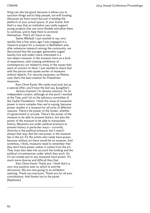thing can also be good, because it allows you to sanction things and to help people, not with funding (because we have none) but just in lending the platform of your actual space, of your brand. And that's a way that an institution can really support young projects that are more flexible and allow them to continue, and to help them to promote themselves. That's all I have to say.

Salwa Mikdadi: I just wanted to say very quickly that a few years ago I was engaged in a research project for a museum in Bethlehem and, after extensive research among the community, we discovered that the younger generation (aged twenty-five and under) were interested in a non-object museum, in the museum more as a kind of experience, with rotating exhibitions of contemporary art related to many of the issues that were of concern to them. I just wanted to share that with the person who spoke earlier of museums without objects. For security purposes, as Reema said, that's the best solution for Palestinian museums.

Kian Chow Kwok: We really must end, but as a special offer, you'll have the last say. [Laughter]

Jeremy Lewison: I'm Jeremy Lewison. I'm an independent curator, although at one point I worked at the Tate, and I sit on the advisory committee of the Cadist Foundation. I think this issue of museums' power is more complex than we're saying, because power resides in a museum for all sorts of different reasons. There's the power of the funder, whether it's government or private. There's the power of the museum to be able to present history, but also the power of the museum to be able to manipulate history. Museums are under political pressure to present history in particular ways — currently diversity is the political pressure, but it wasn't always that way. But the real power in the museum lies in the art. It's the artists who really have power, because without art there would be no museum. And somehow, I think, museums need to remember that they don't have power unless it comes from the art. They must also take into account the funding and the political circumstances under which they work. So it's too simple just to say museums have power. It's much more diverse and difficult than that.

Kian Chow Kwok: Thank you. I think that's a very nice positive note on which to end the discussion. We are now going to an exhibition opening. Thank you everyone. Thank you for all your contributions. And thanks too to the panel. [Applause]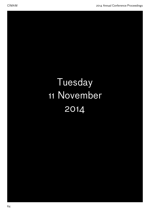# Tuesday 11 November 2014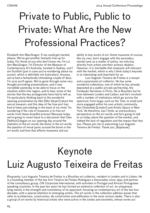# Private to Public, Public to Private: What Are the New Professional Practices?

Elizabeth Ann MacGregor: If we could get started, please. We've got another fantastic line-up for today. For those of you who don't know me, I'm Liz Ann MacGregor, I'm Director of the Museum of Contemporary Art Australia, located in Sydney, and I am Scottish (just in case you're wondering about my accent, which is definitely not Australian). Anyway, we've had a fantastically stimulating couple of days, I'm sure you'll agree. We've gone through some very thought-provoking presentations, and it was incredible yesterday to be able to focus on the situation within this region, and to hear some of the stories that the key protagonists here had to tell us. I'm particularly thinking back to the wonderful opening presentation by Hito [Hito Steyerl] about the secret museum, and this idea of the free port has kind of been percolating in the back of my mind. I'm wondering if the role of museums is to free art works from these dreadful prisons! Because today we're going to revert back to a discussion that Olav [Velthuis] began on our opening day around the statistics of the art world, the boom in the art world, the question of moral panic around the boom in the art world, and how that affects museums and our

ability to buy works of art. Some museums of course, like my own, don't engage with the secondary market and, as a matter of policy, we only buy directly from artists and their primary dealers. However, it is inevitable that museums will intersect with the market, which is why I think today's keynote is so interesting and important for us.

Luiz Augusto Teixeira de Freitas is a lawyer and a passionate art collector. He has some wonderful collections, one of which he has already deposited at a public-private partnership, the Fundação Serralves in Porto. He is Brazilian but he lives between London and Lisbon, and he's involved with a number of institutions which go across the spectrum: from large, such as the Tate, to small and more engaged within his own artistic community, like Chisenhale [London] and Artists Space in New York. He therefore, has I think, an extraordinary perspective on the art world, and he's going to talk to us today about the question of the market, and indeed the lack of regulation and the impact that that has. Please join me in welcoming Luiz Augusto Teixeira de Freitas. Thank you. [Applause]

# Keynote Luiz Augusto Teixeira de Freitas

*Biography*: Luiz Augusto Teixeira de Freitas is a Brazilian art collector, resident in London and in Lisbon. He is a founding member of the law firm Teixeira de Freitas Rodrigues e Associados since 1993 and partner of the consultancy group, ON Corporate International, with activities in Portugal and African Portuguesespeaking countries. In the past ten years he has formed an extensive collection of art, its uniqueness lying mainly in the strength and consistency of its approach: focusing on contemporary art of the last two decades, with a special attention to emerging artists. The art works in the collection address issues that refer to architecture, construction, de-construction and edification in the most various media. There is also a group of art works by historical artists who were active in the sixties and seventies, whose works act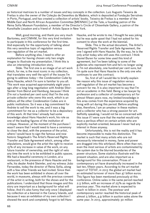as historical matrices to a number of issues and key concepts in the collection. Luiz Augusto Teixeira de Freitas is also the owner of the Coleção de Desenhos da Madeira, which is deposited at Fundação Serralves in Porto, Portugual, and has created a collection of artists' books. Teixeira de Freitas is a member of the Middle East and North African Acquisition Committee [MENNAC] at the Tate, a founding patron of the Reina Sofía Museum Foundation, a member of the Director's Circle of Chisenhale Gallery, a patron of the Kunsthalle Lissabon and a friend of Artists Space in New York.

Well, good morning, and thank you very much Bartomeu, and CIMAM, for this very kind invitation to participate in this conference for the first time. And especially for the opportunity of talking about this very sensitive topic of regulation versus non-regulation of the art market.

Before anything else, I need to offer an explanation for having chosen only two single images to illustrate my presentation. I think this is also an interesting introduction story.

Slide. The first one is an image of an art work which, for me, is the most iconic in my collection, that translates very well the spirit of the issues I'm going to address today — the *Condensation Cube* by Hans Haacke, which I'm sure is familiar to you all. This work was acquired approximately eight years ago after a long long negotiation with Andrée Sfeir-Semler from Beirut and Hamburg, because I think (I'm not a hundred per cent sure) that I'm the only private collector who owns this work, which is an edition; all the other *Condensation Cubes* are in public institutions. So it was a big commitment for Andrée to sell the work to me, and it was a big commitment for me as a collector to be a depositary of this work. At that time I already had some knowledge about Hans Haacke's work, his role as one of the leading figures of the institution of critique. However, at the moment of the purchase I wasn't aware that I would need to have a ceremony to close the deal, with the presence of the artist, where I would have to sign the famous and now historic Siegelaub's The Artist's Reserved Rights Transfer and Sale Agreement which, among other stipulations, would give the artist the right to receive 15% of any increase in value of the work, on any future transfer of ownership, and the right of veto any time the work is to be exhibited in public spaces. We had a beautiful ceremony in London, at a restaurant, in the presence of Hans Haacke and his wife, his dealer André Steimler, and my witness João Fernandes, today the director of Reina Sofía, along with a few other friends we had invited. Since then the work has been exhibited in shows all over the world, in museums, always with the previous consent of the artist in writing, both for the shows and for the publications. I understand that those images and this story are important as a background for what will follow. And it's also funny that only once I displayed my collection at a biennial in the Canary Islands, and because it was an exhibition of my own collection I showed the work and completely forgot to tell Hans

Haacke, and he wrote to me; I thought he was joking but he was quite upset that I had not asked for his consent to show the work at the biennial.

Slide. This is the actual document, The Artist's Reserved Rights Transfer and Sale Agreement, the one I signed with Hans Haacke. By the way, he is the only artist today who still uses this contract. I think Daniel Buren for some time used this kind of agreement, but I've been talking to some of the galleries who represent him and he's no longer using it. I'm not absolutely, one hundred per cent sure, but I'm quite sure that Hans Haacke is the only one who continues to use this contract.

So, first of all I would like to briefly explain the reason why this issue of regulation versus self-regulation of the art market has become a concern for me. It is also important to say that I'm not an academic in this field. Being a tax lawyer by profession and a collector of contemporary art for almost fifteen years now, my limited knowledge in this area comes from the experience acquired by living with art during this period. Before anything else, therefore, I am an amateur in these matters and a collector who has a strong passion for art. Selfishly speaking, I would not be so concerned with this issue if I were sure that the market would only have a perilous effect on certain artists who are explicitly market-oriented, because I never had any interest in those anyway.

Unfortunately, this is not the reality and it has become impossible to make this distinction. The market is such that many artists who are not necessarily interested in money, fame and power are dragged into this whirlpool. More often than not, even the most serious of artists are contaminated by the system due to the blurred boundaries of the power structure. Some statistics illustrate well the present situation, and are also important as a background for this conversation. Prices of contemporary art have dramatically increased in the last ten, fifteen years. According to the art market report of TEFAF, in 2013 the global art market had an estimated turnover of more than 47 billion euros. This figure has been mentioned previously at this conference. Online sales in the same period reached 2.5 billion, with an increase of 25% as regards the previous year. This market alone is expected to reach 10 billion in 2020. The postwar and contemporary sector reached the historical peak of almost 5 billion, 4.9 billion in auction sales alone the same year. In 2013, approximately 30 million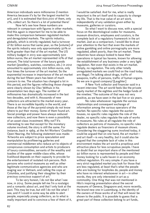American individuals were millionaires (I mention America because it's by far the largest market for art), and it is estimated that 600,000 of them, only 2%, collect art. So there's a lot of potential there!

Now let's see how these numbers are relevant in comparison with figures in other markets. And this again is important for me to be able to make this comparison between regulated markets and deregulated markets. The spirits industry, globally, which is strictly regulated, had a turnover of 82 billion euros that same year, so the [volume] of the spirits industry was only approximately 50% or 60% greater than that of the art market. The US military budget in 2013 was approximately 500 billion euros; the art market represented 10% of that amount. The total turnover of the luxury goods market (jewellery, watches, cosmetics, etc.) in 2012 amounted to approximately 200 billion euros, only four times the turnover of the art market. So the exponential increase in importance of the art market during the last fifteen years has been of much concern to me. The situation has changed a lot in this period, and the figures reflecting those changes were clearly shown by Olav Velthuis in his presentation two days ago. The number of millionaires has dramatically increased in the last two decades, and with it, thousands of new collectors are attracted to the market every year. There is an incredible liquidity in the world, and those at the top of the pyramid simply do not know where to put their money. Some of them found art. Social prestige and power have always seduced new collectors, and now there is even a possibility of an asset-class investment. Why not? It's interesting to see that except for the monetary volume involved, the story is still the same. For instance, back in 1969, at the Art Workers' Coalition Open Hearing, the following statement was made: 'Artworks are subject to price speculation and manipulation by profiteering galleries and commercial middlemen who reduce art to objects of conspicuous consumption and artists to producers of luxury commodities, servants of the wealthy and toadies of the upper middle-class elite, whose livelihood depends on their capacity to provide for the entertainment of isolated rich persons. Rich persons who control museums as well as other legitimate communicative agencies and who are waging war in Vietnam, and calling the cops at Columbia, and justifying their slaughter by their precious conscious support of art.'

To be very honest, I do not like what I see now, in 2014. Some people tell me I'm a nostalgic and a romantic about art, and that I only look at the past. This may be true, but still I do not like what I see, and if I could in some way be able to alert people, especially young collectors, as to what is really important and to convince a few of them of it, I would be satisfied. And for me, what is really important is the art itself and its capacity to change my life. That is the true value of an art work, independently of any validation given either by museums, galleries or curators.

So what I want to discuss now, with a special focus on the deontological codes for museums, museum directors, employees and curators, is the complete lack of a regulatory framework in the art market. Just as a comparison, I would like to draw your attention to the fact that even the markets of online gambling and online pornography are more regulated, albeit poorly, than the art market. These industries have always looked to base their operations in typical tax havens, known for allowing the establishment of any business under a very light regulation. Not even that exists in the art market. Simply, no regulation. The only other totally unregulated markets we could find on the road today are illegal. I'm talking about drugs, traffic of weapons, traffic of persons, traffic of human organs. So we are in good company! [Laughter]

A New York collector and financier said in a recent interview 'The art world feels like the private equity market of the eighties and the hedge funds of the nineties.' The outcome of that was not very positive, as we have seen in the last five or six years.

No rules whatsoever regulate the various relationships and consequent exchange of information among the various operators of the market. No specific rules regulate the auction houses, no specific rules regulate the role of the dealer, no specific rules regulate the sale of works to museums. No rules at all regulate the role of collectors as patrons of museums, no specific rules regulate dealers as financiers of museum shows. Considering the staggering sums involved today, it could be argued that on one hand, the art market and art itself—is very healthy, but it could also be argued that the complete lack of rules in this environment makes the art world a propitious and attractive place for less scrupulous people. I have no doubt that an important share of the mentioned 50 billion euros is represented by people and their money looking for a safe haven in an economy without regulation. It's very simple: if you have a very strict regulated market you look for those that are less regulated, at least that's what the people who are looking for loopholes do, people and money who have no interest whatsoever in art — in other words, they are only interested in art as a commodity. One thing that was not mentioned in Hito's inspiring presentation about the secret museums of Geneva, Singapore and, more recently, the brand new one in Luxemburg, is the identity of the owners of those works of art that will never be shown to the public. It is possible to guess that a great part of these collection belong to art funds,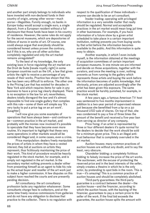and another part simply belongs to individuals who have invested with non-declared funds in their country of origin, among other worse—much worse—illegalities. Funnily enough, no banks in Europe today would accept a single euro, a single deposit, from a European resident without a full disclosure that those funds have been in his country of residence. However, the same rules do not apply for the secret museums, which are depositories of billions of euros in works of art. Of course, one could always argue that everybody should be considered honest unless proven the contrary, but if this is so, why are all other activities completely regulated and only the art market remains unregulated?

To the best of my knowledge, the only existing laws in force regulating the art market are the Droit de Suite [resale royalty right] in some European countries such as the UK, a law that gives artists the right to receive a percentage of any resale of their works. Practice has shown that this law has been very difficult to enforce. The other one is the Pricing Law that has existed for decades in New York and which requires items for sale in any business to have a price tag clearly displayed. There is no exception in the law for art; nevertheless, dealers totally disregard the law and it's almost impossible to find one single gallery that complies with this rule — some of them will simple say 'It's very tacky to put a price tag on an art work'. [Laughter]

I will now give you some examples of operations that have always been—and continue to be—common practice in the art market, and probably with the monies now involved it's possible to speculate that they have become even more routine. It's important to highlight that these very same operations in other markets would all be considered illegal and, in some cases, even a crime.

Price manipulation: dealers freely manipulate the prices of artists in whom they have a vested interest; they bid at auctions on artists they represent, thus fictitiously maintaining the price of their work. This kind of procedure would be heavily regulated in the stock market, for example, and is simply not regulated in the art market. In the secondary market nothing prevents a dealer either from presenting himself as an agent to hide his role as the actual buyer and reseller of the art work just to make a higher commission. A few disputes on this subject have reached the courts and are presently pending decision.

Art consultancy: the art consultancy profession lacks any regulation whatsoever. Some consultants charge fees to collectors, and at the same time freely receive commissions from galleries and do not have any obligation to disclose that practice to the collector. There is no regulation with

respect to the qualification of these individuals anyone can decide to be an art consultant.

Insider trading: operating with privileged information is a very sensible matter that really should be regulated. Normal and acceptable practices in the art market would mean long jail time in other businesses. For example, if you have information of a future show by a given artist scheduled to take place in a certain important institution, nothing prevents you from buying works by that artist before the information becomes available to the public. And this information is quite easy to obtain.

Another example, in which I even include myself, is the information obtained at the meetings of acquisition committees of certain important European museums. In one minute we are informed and decide on those acquisitions, together with the curators, and once the meeting is over, nothing prevents us from running to the gallery which represents those artists and buying the work before the information becomes of public knowledge. And obviously, prices are adjusted accordingly after the artist has been given this exposure. The same practice would be harshly punished, for example, in the stock market.

A few years ago, a famous American TV host was sentenced to five months imprisonment in addition to a two-year period of supervised release just because she benefitted from a tip on a 50 thousand USD sale of shares. On top of that, she was condemned to pay a fine of three times the amount of the benefit and received a five-year ban from serving as director of any company.

Price fixing: if an artist is represented by three or four different dealers it's quite normal for the dealers to decide that the work should be sold for a minimum given price. This is an illegal antitrust behaviour that is completely overruled in the art market.

Auction houses: many common practices of auction houses are without any doubt, and to say the least, very obscure.

Chandelier bidding: a completely fictitious bidding to falsely increase the price of the art works. The auctioneer, with the excuse of protecting the reserved price and in the best interests of the seller, simply creates a theatre in which he is the only actor, by pretending to spot bids in the room. This is true — it's amazing! This is a common practice of auction houses and should be completely abolished.

Third-party guarantees: the third-party guarantee is a contract between the dealer—the auction house—and the financier, according to which the auction house, with the backing of the financier, guarantees to pay a certain price to the seller of the work. If the final bid exceeds the guarantee, the auction house splits the amount with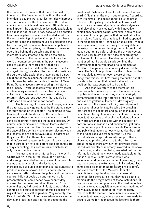the financier. This means that it is in the best interests of the financier to bid without the real intention to buy the work, but just to falsely increase its price. Whenever the financier wins the bid for a specific work which he doesn't want (though this may happen) the actual sale price made available to the public is not the real price, because he's entitled to a financing-fee discount which is deducted from the actual winning bid price. On top of that, these guarantors and the auction house are disrupting the transparency of the auction because the public does not know, in the first place, that there is someone operating behind the curtains and that the guarantors' only interest is to bid up the price.

Museums: the market controls today the world of contemporary art. In the past, museums used to validate the works of art that only afterwards would circulate in the market. This has changed. Today, private collectors, and sometimes the curators who assist them, have created a new situation for the museum. As recently mentioned in an interview by João Fernandes, Director of Museo Reina Sofía, museums are accepting the return of the princes. Private collectors with their own tastes are becoming more and more visible in museum collections. This relevant change—or rather, return—raises various questions that should be addressed here and put up for debate.

The financing of museums in Europe, which in the past was totally guaranteed by the state, is now shared with the private sector. The dilemma is how to accept private funds and, at the same time, preserve independence, a programme that should have as its primary purpose the public interest. Of course, companies and private collectors always expect some return on their 'invested' money, and in the case of Europe this is even more relevant when tax incentives are not as favourable to patrons as they are in the US. There, this reward is straightforward: a huge tax break. It is only natural that in Europe, private collectors and companies are always expecting their own returns, which do not only come from tax breaks.

I've just read a very interesting article by J. J. Charlesworth in the current issue of *Art Review* addressing this and other very relevant matters. He claims that commercial galleries behave increasingly like public institutions, hiring curators to produce museum shows. There is definitely an increase in traffic between the public and the private sectors. I did not decide on any names in this presentation but some cases have been widely covered by the press, so I don't think that I'll be committing any indiscretion. In fact, some of these examples are quite important for this discussion of regulation versus self-regulation. Very recently, the Director of MOCA LA for twenty-two years stepped down, and less than one year later accepted the

position of Partner and Director of the new Hauser Wirth & Schimmel Gallery in Los Angeles. According to Wirth himself, the space (and this is the press release of the gallery, published on its website) would be a commercial gallery but also 'a dynamic, multi-disciplinary arts center', with 'innovative exhibitions, museum-caliber amenites, and a robust schedule of public programs that contextualize the art on view'. Again, this practice, if it had happened in the financial sector—banking or securities—would be subject in any country to very strict regulations, imposing on the person leaving the public sector at least a quarantine before joining the private sector, and also very tough secrecy rules concerning the exchange of information. The director himself clearly mentioned that he would simply continue the programme that he was unable to implement at MOCA in the gallery, so he openly discussed the issue. That's not his problem; it's the problem of the non-regulation. He's not even aware of how dangerous this is, that he's mixing the public and the private, information that he had gathered in a position that was supposed to be public.

And then we return to the theme of this discussion, how can we preserve the independence of public institutions when they are increasingly contaminated by the interference of the new princes and even of galleries? Instead of drawing any conclusion to this sensitive topic, I would prefer to raise several questions addressing the growing interference of collectors and galleries in public institutions. Today, temporary exhibitions in the most important museums and public institutions all over the world are made possible with the support of corporations, individuals and commercial galleries. Is this common practice transparent? Do museums and public institutions seriously scrutinise the origin of the funds received from patrons? Do the individuals and corporations who support these shows have privileged access to the information about them? Is there any law that prevents those individuals directly or indirectly involved in the show from buying works from that given artist before the information about the show is made available to the public? Since a Richter retrospective was announced and finished a couple of years ago, there has been around a 50% increase in his prices. The same could be said for Boetti [Alighiero e Boetti], and even more for Cildo Meireles. If public institutions accept funding from commercial galleries, isn't there a risk that they could begin to manipulate the programmes of these institutions? It has become common practice in the most important museums to have acquisition committees made up of individuals, some of them directly or indirectly related with the market. Those individuals take part in important meetings, where decisions are made to acquire works for the museum collections. Is there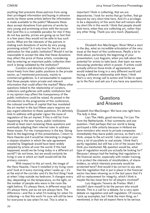anything that prevents those patrons from using their privileged information and buying in advance works by these same artists before the information is made available to the public? Museums these days accept donations from patrons of works by very young and promising artists with the excuse that (and this is a complete paradox for me) if they do not buy quickly, prices are going up so fast that in a few years they would not be able to buy such works. What are the interests of the patrons in making such donations of works by very young, promising artists? Is it only love for the art and admiration for that public institution? Would it not be reasonable to accept the idea that these donations may affect the price of those artists, considering that by entering an important public collection their work is being validated by the institution?

Curators and directors of public institutions move freely from their public positions to the private sector, as I mentioned previously, mainly to commercial galleries. Is it unreasonable to suppose that those people retain private and relevant information that could affect the market? Many other questions linked to the relationship of curators, collectors and galleries with public institutions that in my opinion may affect the transparency of the public institutions could be raised. As posed in the introduction to the programme of this conference, the colossal overflow of capital that has inundated the art market in the last fifteen years requires we pay urgent attention to these questions. It's definitely time to address with greater rigour the issue of regulation of the art market. If this is still far from happening in the near future, public institutions should at least start reviewing these questions and eventually adapting their internal rules to address these issues. For me, transparency is the key. Going back to the beginning of this presentation, I return to Hans Haacke and it would be interesting to imagine a utopian situation in which the sale agreement created by Siegelaub would have been widely adopted by artists all over the world. If this had happened, would we be living today in a different art world? I do not know, but we would certainly be living in one in which art itself would still be the primary concern.

With respect to this art work, the image of the Hans Haacke, I have it installed in my living room and I look at it every morning when I wake up  $-$  it's at the end of the corridor and it's the first thing I look at when I step outside my bedroom. It changes every day, depending on the temperature, on the light, on the number of people who were in the room the night before. It's always there, in different ways but it's always there, just as we are always here. The difference—and this is what I'm looking for when I'm collecting—is that this work I'm sure will still be here for everyone to see when I'm not. This is what is

important I think in collecting, that we are depositories. I look for works that go further, that go beyond my very short time here. And it's a privilege to be a depository of this work that will remain after my short life in this world. I think that people should look more, when they are collecting art, rather than any other thing. Thank you very much. [Applause]

Elizabeth Ann MacGregor: Wow! What a start to the day, what an incredible articulation of the very issue at the heart of this conference. Really a lot to think about, particularly the beginning of your presentation, Luiz Augusto, when you talk about the potential for artists to take back, that topic we were discussing yesterday which is power. If artists could actually enforce those kinds of agreements we would indeed be living in a very different world and having a different relationship with them. I think that's a very strong call to action and I'd like to open up to the floor and ask you if you have any questions.

### **Questions** and Answers

Elizabeth Ann MacGregor: We have one right here. The lady in blue.

Lian The: Hello, good morning. I'm Lian The from the Netherlands. A few comments and one question. I feel perhaps that our world is being portrayed a little unfairly because in Holland we have ministers who move to private companies immediately they leave public service, so that's not, I think, unique to the art world. I also sense in your story a lot of parallels to real estate. I think that's partly regulated, but still has a lot of the issues that I think you mentioned. My question would be, what type of regulation would you actually be looking for? Because I always had the feeling that regulation in the financial sector, especially with insider training, is to protect the interests of stockholders, of shareholders, so which interests precisely would be protected here? And would it be correct to say also that the regulation that is put in place in the financial sector has been showing us in the last years that it's still no replacement for integrity, which I think is maybe the key issue here for all players involved?

Luiz Augusto Teixeira de Freitas: Well, I wouldn't dare myself to be the person who would dictate. This is a call for a debate, for a very open debate on regulation and self-regulation. Of course, I pick up examples, but I think the main thing, as I mentioned, is that we all expect there to be serious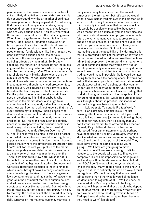people, each in their own business or activities. In spite of that, all activities are regulated so I simply do not understand why the art market should have this exception of not being regulated. I'm not saying that there are not many many curators, many museum directors, many galleries and collectors who are very serious people. You say, who would this affect? This would affect the public in general. When  $\overline{I}$  go to a gallery—and I'm not talking about myself, I don't need a regulation because after fifteen years I think a know a little about how the market operates—I do my research. But most people are not 'professionals' like I am, I mean they don't know the serious people, the serious institutions, the serious galleries, and they may end up being affected by the market. So, broadly speaking, the regulation is necessary for the public in general, for young collectors who are beginning to collect and are very naïve. When you say minority shareholders yes, minority shareholders are the public in general. I'm not talking about the shareholders who own a very important percentage in a company — although they need protection too, these are very well advised by their lawyers and, based on the law, they will protect their interests. But the public, the very very small shareholders, need protection, as I think that anybody who operates in the market does. When I go to an auction house I'm completely naïve, I'm completely new, how can I go there without knowing that there's a guy auctioning fictitiously, finding people who don't exist in the room? It's ridiculous! If there was a regulation, this would be completely banned and eradicated. So, I think the regulation is definitely necessary, irrespective of the serious people who exist in any industry, including the art market.

Elizabeth Ann MacGregor: Over there? Q: Yes. I think it would be nice to think a bit further about what the implications would be of regulation, especially when it comes to insider trading, because I guess that's where the differences are greater. But I don't think for the rest your picture of the market being completely unregulated is fair. I mean there are many general laws; you mentioned one, the Truth-in-Pricing act in New York, which is not in force, but of course other laws, like anti-trust laws are — think of the big lawsuit against Sotheby's and Christie's about their collusion in the late nineties, which almost brought down Sotheby's completely, almost made it go bankrupt. So there are general laws being enforced, and the number of lawsuits in general in the art market that both auction houses and art dealers are involved with has been rising spectacularly over the last decade. But not with the insider trading, so that's really interesting. It's also, by the way, the area in which the art market is really tiny compared to the financial markets. I mean the daily turnover on international currency markets is

many many many times more than the annual turnover on the art market, but let's say we would want to have insider trading laws in the art market. It would be interesting to consider what this means. I think basically it would mean that conferences like this would be absolutely impossible, because it would mean that as a museum you can only disclose information about an exhibition programme in the far future the very moment you make a press release about it and communicate it to the entire public, and until then you cannot communicate it to anybody outside your organisation. So I think what is interesting about the possibility of insider trading is that it is profoundly against the nature of how the art market —and the art world more broadly—functions. I think that deep down, the art world is a market or a world of communications that works by virtue of people permanently communicating in many different ways to each other, and that is exactly what insider trading would make impossible. So it would be interesting to think about the consequences. It would not just be that museum people can no longer talk to market people about what they're doing, but they can no longer talk to anybody about their future exhibition programmes, because that is all insider trading, that is all disclosing information to the non-public, to a non-general audience. So I would be curious to hear your thoughts about the practical implication of insider trading laws being implemented.

Luiz Augusto Teixera de Freitas: Well, I'm sure it's an extremely complex issue; I'm just drawing attention to the situation. But if you start to give this kind of excuses just to avoid thinking about the need for regulation, then it's simply that you don't want this market to be affected. It's a market, it's real, it's 50 billion dollars, so it has to be addressed. Your same arguments could perhaps have been used forty or fifty years ago, when the stock market and securities began to be regulated in the US and then in other parts of the world. They could have given the same excuse as you're giving — 'Well, how are you going to move information now? How are you going to talk to investors, to the people who want to finance my company? This will be impossible to manage and we'll end up without funds. We won't be able to do the IPOs'. I don't know what the system should be, I'm not the one… many people need to think how to regulate but there definitely should be a way. It must be regulated. We can't just say that as we need to talk to each other, otherwise it would all collapse, we don't need to regulate at all — 'Well you see, the drug market in Mexico, you have to be tough on it, but what will happen to all these people who depend on the drug market, this work force? What will they do if we put an end to the drug traffic in Mexico? Perhaps it would be better to leave them, because they need to work'. [Applause]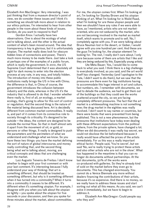Elizabeth Ann MacGregor: Very interesting. I was just thinking that from a museum director's point of view, we do consider these issues and I think it's something we should talk more about in relation to our ethics policies. I'm interested to hear from other people in the room about these kinds of issues. Gordon, do you want to respond to that?

Gordon Knox: I actually have two observations. One is about the ecology of what we're talking about, and the other is the actual content of what's been moved around. The idea that transparency is key is glorious, but it is unfortunately utopian. The market really does look for obscure hidden lines of connections and power. There's much more money to be made there. Just take a look at perhaps one of the examples of a public forum, which is really the government. In 2010, the US Supreme Court determined that it was absolutely all right for dark money to enter into the election process at any rate, in any way, and totally hidden. The introduction of money into these public institutions really brings the US in line with China; the difference is that, in China of course, the government introduces the collusion between industry and the state, whereas in the US it's the industry that is allowed to do that. I wonder whether there really is, first of all, an ecology, a market ecology, that's going to allow for this sort of control or regulation. And the second thing is the nature of the material being discussed here. Art is decidedly different from common market commodities. It really is, and part of it comes from its connective role to society through its criticality. It's designed to be outside — the ideas, the content are designed to be outside the normal flow. So that in itself almost sets it apart from the movement of oil, or gold, or persons or other things. It really is designed to push the parameters and the perimeters of what we understand and challenge what we know. So you have these two things: you have the market defining the sort of nature of global intercourse, and money really controlling that, and the second thing being what we're talking about, moving, are critical concepts and ideas that are challenging even the market.

Luiz Augusto Teixeira de Freitas: I don't know whether to begin with your first comment or with your last comment. It's interesting because I fully understand your way of thinking: that art is something different, that should be treated as something different, but why is it something different when it has turned into a commodity? When it turns into a commodity it ceases to be different. It's different when it's something utopian. For example, I disagree with you when you talk about the utopian so lightly — you spoke about the utopian for five seconds in your discussion, and then you spoke for three minutes about the market, about commodities.

For me, the utopian comes first. When I'm looking at art, I'm looking for Stanley Brown and his utopian thinking of art. What I'm looking for is Walid Raad, what I'm looking for are these utopian people and then we shouldn't have any rules if we were able to have, as I mentioned, artists who are not marketoriented, who are not seduced by the market, who are not becoming involved in the market as market itself, which wants to promote and to sell. No, I completely agree with you. If we were talking about Bruce Nauman lost in the desert, or Gober, I would agree with you one hundred per cent. And these are the guys I'm looking for, the utopian element I'm looking for. The rest, I really don't care about. I only care because some of them are artists that I like and they are being seduced by this. Especially young artists.

Ute Meta Bauer: Yes, I would like to come back to what you said. I think there is a big challenge to everybody involved, as you said, and the art world itself has changed. Yesterday (and I apologise to the Tate, I didn't want to dis them), but we saw that the pressures are there even for big institutions having to accommodate this huge interest in art and culture, fast numbers, etc. I remember with documenta, we had to delude the audience, we had to get them out of the buildings so that they could see the works scattered around the city, so we are facing completely different pressures. The fact that the art market is a whitewashing machine is not something new; the drug market in the eighties was really involved. I don't want to say names or countries, but there were books that were prevented from being published. This is not a new phenomenon, but the pressures that institutions face today even dealing with these different expectations from the political sphere, from the private sphere, have changed a lot. When we did documenta it was really top secret, we could not disclose the list beforehand because it really would have affected the prices of the artists immediately. For us this was a really important ethical factor. People said, 'You're secret', but we said 'No, we're really trying to protect these artists and also other artists who are not in the show'. What has happened in the meantime is that you can no longer do documenta without partnerships. At the last documenta, 50% of the works were co-produced with galleries. So they're already kind of sold on the market before they even go to documenta. This has changed enormously. You cannot do a Venice Biennale any more without dealers financing the contributions of their artists, because it's so expensive. And there is no money, so we really have to address these issues and start sorting out what all this means. As you said, we can't solve it immediately, but we have to begin to address it.

Elizabeth Ann MacGregor: Could people say who they are?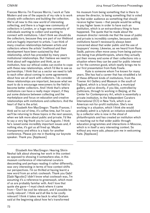Frances Morris: I'm Frances Morris, I work at Tate Modern and one of the aspects of my role is to work closely with collectors and building the collection. We're all new to this new world of interesting collecting, and there is a huge new community of collectors in London, or a huge new community of individuals wanting to collect and wanting to connect with institutions. I don't think we should dis the collectors, because they are part of our lifeblood and are hugely important to artists. I can think of many creative relationships between artists and collectors where the artists' livelihood and their development have been sustained by that relationship, which has preceded by many years institutional relationships. But I believe we need to think about self-regulation and think, as an institution, how our ethical codes can evolve to cope with these new relationships, which I'd like to see as partnerships. I think that as a sector we need to talk to each other about coming to some agreements about how we all work with collectors. I do consider these relationships are important, because what we want to do is encourage newcomers to the field to become better collectors. And I think that's where institutions can have a really major impact, if they put some distance between collecting and the marketplace and focus on education and creative relationships with institutions and collectors. And the heart of that is the artist.

Elizabeth Ann MacGregor: Thanks Frances. I think we're out of time, it's coffee time, but I'm sure we'll be returning to these topics in the next session, when we talk more about public and private. I'd like to say a very big thank you to Luiz Augusto. I think he's raised some incredibly important issues and, if nothing else, it's got us all fired up. Maybe transparency and ethics is a topic for another conference. Please join me in thanking our keynote speaker. Thank you. [Applause]

CIMAM 2014 Annual Conference Proceedings

his museum from being something that is there to amuse the director, to being something that is voted by that wider audience as something that should receive higher taxes — that people would be willing to pay higher taxes in order to have such an institution, which is an extraordinary thing to have happened. The quote that he made about the museum director reminds me that the issue of public and private is incredibly complex, because public institutions haven't necessarily always been concerned about that wider public and the use of taxpayers' money. Likewise, as we heard from Rana Sadik, patrons often move away from being patrons into being true philanthropists, where they actually put their money and some of their collections into a situation where they can be used for public interest or for the common good, which neatly brings me to our first presentation from Kate Fowle.

Kate is someone whom I've known for many years. She has had a career that has straddled a lot of these different kinds of institutions, from the Towner Art Gallery and Museum in the south of England, which is a local authority, a municipal gallery, and so directly, if you like, controlled by politicians, through to working in Beijing, at the Center for Contemporary Art, which is essentially a private institution, to the Independent Curators International (ICI) in New York, which is an American not-for-profit institution. She's now working in a situation, which I think she would probably admit is a hybrid: an initiative established by a collector who is now in the shoal of philanthropists and has created an institution which is reaching out to that wider public through education programmes and interactions in Moscow, which is in itself a very interesting context. So without any more ado, please join me in welcoming Kate. [Applause]

Elizabeth Ann MacGregor: Hearing Shirin Neshat talk about showing her work in this context as opposed to showing it somewhere else, in this museum conference of international curators descending and perhaps reading it rather differently, was very interesting in terms of how context shifts our perspectives. I'm so thrilled at having learnt a new word from an artist: coolwash. Thank you Gabi! [Gabi Ngcobo] I didn't know what coolwash was, I'm assuming it's a reference to greenwash, which most of us are probably familiar with. And I love that quote she gave—I must check where it came from—'Don't be cool be relevant, and if possible be coolly relevant'. I think we'd all like to be coolly relevant! I think it takes me back to what Graham said at the beginning about how he's transformed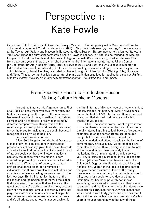# Perspective 1: Kate Fowle

*Biography*: Kate Fowle is Chief Curator at Garage Museum of Contemporary Art in Moscow and Director at Large at Independent Curators International (ICI) in New York. Between 1994 and 1996 she was curator at the Towner Art Gallery and Museum in Eastbourne (East Sussex). Before moving to the United States, in 1996 she formed the curatorial partnership Smith + Fowle in London. In 2002 she co-founded the Masters Program in Curatorial Practice at California College of the Arts (San Francisco), of which she was Chair from that same year until 2007, when she became the first international curator at the Ullens Center for Contemporary Art in Beijing (2007-2008). Between 2009 and 2013 she was Executive Director of Independent Curators International (ICI). Fowle's recent writings include catalogue texts on Doug Aitken, John Baldessari, Harrell Fletcher, Ilya Kabakov, Robert Longo, Ari Marcopoulos, Sterling Ruby, Qiu Zhijie and Althea Thauberger, and articles on curatorship and exhibition practices for publications such as *Parkett*, *Modern Painters*, *Mousse*, *Art in America*, *Manifesta Journal*, *The Exhibitionist* and *Frieze*.

## From Receiving House to Production House: Making Culture Public in Moscow

I've got my timer so I don't go over time. First of all, I'd like to say thank you, two thank yous. The first is for making this the topic of this conference, because it really is, for me, something I think about so much and it's fantastic to really hear so many different perspectives on this question of the relationship between public and private. I also want to say thank you for inviting me to speak, because I recognise it's a privileged position.

Let's see if we can do this.

Slide. So if I'm going to talk about Garage as a case study that can look at new professional practices, which was my given task, I want to create a bit of a frame first because I think it's useful for all of us. We could say that the nineteen nineties is basically the decade when the biennial boom created the possibility for a much wider art world to start to exist. Within that, of course, there was professional development for a number of individuals, and there were also new institutions and structures that were starting, as we've heard in the last few days. But I think that it's the turn of the millennium and the beginning of the two thousands that gives rise to the issues that we have and the questions that we're asking ourselves now, because it's when much bigger amounts of money come into play, the scale of institutions starts to change, the word museum starts to be used much more freely and it's all private scenarios. I'm not sure which is

the first in terms of this new type of privately funded, publicly minded institution, but Mori Art Museum is one of the first in 2003, the Jumex I think it's around 2004 that that started, and then I've got a few others for you to see.

Slide. The second frame I want to give is that of course there is a precedent for this. I think this is a really interesting thing to look back at. I've put two examples up on the screen (there are of course many), but in the United States, the history of privately funded institutions is basically the history of contemporary art museums. I've put up these two examples because I think it's very important to look at the pace at which these privately funded institutions kind of move into the public service, if you like, in terms of governance. If you look at both of them [Whitney Museum of American Art, The Solomon R. Guggenheim Foundation and Museum], it takes thirty years for trustees to become part of the governance structure outside of the family framework. So we could say that, at the time, it took thirty years for people to have decided that the institution that has been privately set up was something they wanted to invest in and they wanted to support, and that it was for the public interest. We could use this argument for now, which means that we all need to wait thirty years, and if we say that it starts at the new millennium then basically we're ten years in to understanding whether any of these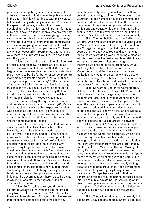privately funded publicly minded institutions of different types will actually be in the public interest in the end. I think it will be fine to wait thirty years, but I'm extremely extremely concerned. Because of the speed and the way in which things are developing, I think that it's really important for us to think about how to support people who are working in these museums, otherwise we're going to end up with a lot of people who are trained in wrong ways or who are involved in things that are complicated; artists who are going to be involved, publics who are subject to whatever it is that people say. So there is a way, not necessarily through rules, but there is a way, there is an urgency if you like — we can't just wait thirty years.

Slide. I also want to give a little bit of context of Russia, and Moscow in particular, looking at these frameworks and at the fact that 1988 is the beginning of the ecosystem that we now understand the art world to be. So for better or worse, there are many many arguments and strife that all of these changes have produced since 1988: the beginning of auctions, art fairs, the first art biennial in 2005 (which many of you I'm sure went to and froze to death at!). That was the first time really that an effort towards creating an international exhibition or international biennial in Moscow was made.

I've been thinking through what this public and private relationship is, and before 1988 it's fair to say that there was no public exposure for what was classed as unofficial art. You have public interest throughout the whole time but there's official art and unofficial art, and I think that this adds another complication to the mix.

Slide. These are the questions that I've been asking myself whilst here. I've started to think that, basically, one of the things we need to try and  $do$ —or what I need to try and  $do$ —is think about infrastructures that enable us to develop public and professional trust, or the trust of professionals, because without trust I don't think there's any possible way to get between this public-private question in the contexts in which I've worked twice now. I also think that we have to stop and look at sustainability, both in terms of human and financial resources. I really do think that it's a case of trying to work on a policy level as well as on the ground. For example, in Russia there's no way that things can change if they're not changed at a government level; there's no way that you can necessarily influence the government but there has to be a way in which you can start creating some kind of structure for change.

Slide. So I'm going to run you through the history of Garage so that you can get the official story from me. It was founded in 2008; basically there are three stages to Garage so far. I've realised that these three stages are quite typical of any

institution actually, when you look at them. If you consider, even going back to the Whitney or to the Guggenheim, the number of building changes, the number of different structures behind the institution, the number of changes in emphasis between exhibitions and education is something that I think seems to relate to the evolution of an institution in general; it's not about public or private necessarily.

Slide. The first building was the Bakhmetesky Garage, which Melnikof designed for Leyland buses in Moscow. You can look at this project—and I do see Garage as being a project at this stage—in a couple of different ways. You could say that what the founders were doing was preserving a piece of architecture that is the best example of Melnikov's work; they were preserving something that otherwise was not going to be preserved. Or you could say that it's the Tate effect, or the Tate Modern effect, and that basically to create an institution they went for an extremely large-scale industrial building. It's probably a combination of the two in terms of the interest and desire to completely reconstruct from scratch a building like this.

Slide. So Garage Center for Contemporary Culture, which is how it was known (that's where it got its name from, the bus garage), was in this building until 2012, and if I was to generalise what those years were, they were chiefly a period of time when the institution was open ten months a year. It was project-oriented, it was introducing very established and well-known artists, and providing a platform for the possibility to see work that you wouldn't otherwise necessarily see in Moscow, with a few exhibitions of Russian artists in between.

Slide. Then in 2012 we moved to Gorky Park, which is much closer to the centre of town as you can see, and the garage became the Jewish Museum and the Center for Tolerance, which it still is to this day. I was learning last night from my colleagues that there are many different institutions that may have gone there which are state-funded, but it's the Jewish Museum in the end. Moving into Gorky Park was actually part of a regeneration programme that was a Moscow city initiative. Again, there are many different stages to the park, but in the nineteen nineties it fell into disrepair and it was no longer a place that people were really visiting because it was dangerous. In 2011 the government decided that they were going to regenerate the park, and so Garage became part of that regeneration project. From the beginning there's been this kind of public-private partnership going on in how to develop leisure in the park, and now the park is jam-packed full all summer with rollerbladers and people having fun half naked, even though it's Russia!

Slide. The building that we are currently in is a temporary pavilion designed by Shigeru Ban, built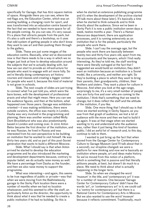specifically for Garage, that has 800 square metres of space. Alongside there you can see, where the red flags are, the Education Center, which was an existing building, a changing room for sport, and was transformed into an education centre based on the fact that we needed to have more space for all the people coming. As you can see, it's very casual. It's a place that attracts people from the park, but it's also a café and there's a bookshop, so it uses that odd system of getting people in who don't know they want to see art and then pushing them through to the gallery.

Slide. These are just some images of the education centre. Basically, what we've discovered now is that there needs to be a way in which we no longer just look at how to develop education around the subjects that we're actually dealing with, but how we can start to provide an infrastructure for people who want to engage with art more fully. So we're literally doing contemporary art history courses and classes and creating a bigger context for people who want it, because this kind of material is not given in schools.

Slide. The next couple of slides are just trying to connect what I've just told you, which were the bare bones, with the development of professional praxis and what that might mean. Here you can see the audience figures, and then at the bottom, what happened over those years. Garage was exhibitionoriented — it was making exhibitions, there were outside curators, the office was mainly in London, Dasha was very involved in the programming and planning, there was another woman called Molly Dent-Brocklehurst who was also predominantly based in London and coming over. In 2010 Anton Belov became the first director of the institution, and he was Russian, he lived in Russia and was interested from his own perspective to be building an institution that he wanted to visit himself. He was thirty-two years old, and so part of this post-Soviet generation that wants to build a different Moscow.

Slide. What I should say is that when Anton arrived he started to develop the education programme and he also introduced the marketing and development departments because, contrary to popular belief, we do actually raise money as well. We have a percentage from Dasha as the founder, and then we also raise money to support the programme.

What was interesting—and again, this seems to be true regardless of public or private—was that when we were moving from the Bakhmetesvky garage to the Gorky Park location there were a number of months when we had no location whatsoever, and this seemed to offer the staff, an particularly Anton as the director, the opportunity to think about what it was that he needed to create a public institution if he had no building. So this is

when he started an extensive publishing programme and it's when the development of the archive started (I'll talk more about these later). It's basically a time when he started to think outwards and to think directly about the audience. Since we've been in Gorky Park it is now a public institution seven days a week, twelve months a year. There's a Human Resources department, there are application processes, and it is running extensively as an institution that is for the people, particularly the people who work there.

Slide. I can't say the average age, but the people who work there are basically between twenty-two and thirty-five years old, apart from me, the accountants and the lawyers, which I find really interesting. As they've told me, the staff working there were literally outraged at the fact that I suggested we would build an institution; they didn't want an institution because an institution is a Soviet model, like a university, and neither are right. So they're building a place to which they want to bring their parents, their grandparents, children, their brothers and sisters. They want a place for culture in Moscow. And when you look at the age range, surprisingly to me, it's a very small number of people who are forty-five and over who are coming to the institution. I think that's something that we need to change, but it does reflect the staff and the attitude of the institution, if you like.

Slide. One more thing that I should say is that once we started working in Gorky Square, as you saw from that graph of audience, we lost a lot of audience with the move and then we had to build it up again. It was at that stage when we started wanting to try and understand who the audience was, rather than it just being this kind of faceless public. I did an awful lot of research and, to this day, continue to talk to them.

I wanted to just bring up the fact that when moved from the Garage Center for Contemporary Culture to Garage Museum (and I'll talk about that in a second), our strapline changed: we were a platform for new thinking and now we're basically an institution where people, art and ideas make history. So we've moved from this notion of a platform, which is something that is passive and that literally jettisons people, at best, but doesn't do much to a place. We need to think about what is actually happening in the longer term.

Slide. So when we changed the word 'museum' in the title, and 'contemporary art' it was for a number of reasons. One because 'Garage Center for Contemporary Culture' didn't have the words 'art', or 'contemporary art' in it; we could call it a 'centre for contemporary art' but there is a National Centre for Contemporary Arts in Moscow. But we also wanted to use the word 'museum' because it reflects commitment. Traditionally, much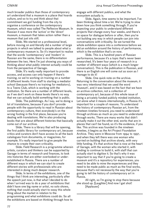much broader publics than those of contemporary art understand that a museum is a place that hoards culture, and so to try and think about that commitment we got funding from the city to organise a conference on the contemporary museum, which was called The Reflexive Museum. In Russian it was more the 'active' or the 'direct' museum, a museum that takes action rather than a museum that just sits still.

Slide. We started on a professional level, before moving on and literally did a number of large projects in which we talked to people about what a contemporary museum is. So it's important to realise that the words 'contemporary' and 'modern' in Russian are the same, there is no differentiation between the two. Here I'm just showing you ways of thinking about what public interest actually could be from the perspective of Garage.

Slide. It's really really important to provide access, and access can only happen if there's training, so we're working on training on a number of different levels: from staff to starting a mediator school (because there's no training for mediators), to a Teens Club, which is working with the institution. So there are a number of different levels, as if we don't work on these levels there's no way that we can actually build something that is public.

Slide. The publishings. As I say, we're doing a lot of translations, because if you don't provide people with the opportunity to read in Russian about contemporary culture, then everybody's on the wrong footing in the first place, because you're dealing with translations. We're also producing books that are about different histories that basically come out of our archive.

Slide. There is a library that will be opening, the first public library for contemporary art, because critics and curators don't have access to all the back catalogues from documenta, or magazines, for example. It's really important to give people the chance to create their own criticality.

Slide. Field Research is a programme wherein artists, curators and thinkers can be supported by Garage in terms of research and finances, to look into histories that are either overlooked or underestablished in Russia. There are a number of different ways in which we can start to create different stories with professionals who are interested in doing much deeper research.

Slide. In terms of the exhibitions, one of the things that I think are interesting, particularly after the speech just now, is that what I decided to do when I arrived was to do a year of exhibitions that didn't have one big name or artist, no solo shows, nothing that could actually start to sway this whole thing about the market in relation to the programming and what exhibitions could do. So all the exhibitions are based on thinking through how to engage with different publics, and what the ecosystem actually is.

Slide. Again, time seems to be important. I've been thinking about time a lot. We're trying to slow down how you think something through. If you're expecting your public to understand different projects that change every four weeks, and there's no space for dialogue before or after, then you're not building any way in which people can join into conversations with criticality. So we turned the whole exhibition space into a conference before we did an exhibition around the history of performance, which is the exhibition that's on now.

Slide. This is a hundred years of Russian performance, because it's a topic that's never been researched. It's been four years of research in a number of different ways (which is a much longer conversation). This is the publication in Russian, and there is an English one will come out as soon as I manage to do it!

Slide. One quick note on the archive. Returning to the conversation about the museum, it was very intentional that we used the word 'museum', and it was based on the fact that we have an archive collection, not a collection of contemporary art, because of this whole issue of being a privately funded publicly minded institution. Let alone what it means internationally, in Russia it's important for a couple of reasons. To understand the history of contemporary Russian art, from the nineteen nineties forward, you need to understand through archives as much as you need to understand through works. There are many works that didn't actually make it out the other end, works that are in places that can't be found, so it's the evidence, if you like. This archive was founded in the nineteen nineties, it begins as the Art Project Foundation Archive. They were in Moscow from 1994 to 1997, and when they left there was one woman who carried on building that archive slowly, with very little funding. It's that archive that is now at the heart of Garage, with the woman who started it, with funding to continue to build it, with staff that can actually start to digitise it. So that's why it was important to say that if you're going to create a museum and it's a repository for experiences, you need to be able to mine the experiences and they need to be made public as much as the final works, because that's not necessarily the way that you're going to tell the history of contemporary art in Russia.

All right, so I'm going to stop there because she stood up. [Laughter] And now I get shot! [Applause]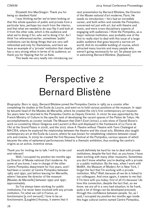Elizabeth Ann MacGregor: Thank you for being so obedient Kate!

I was thinking earlier we've been looking at that this whole question of public and private from a particular lens, perhaps too much from the interior, and that what we needed to do was flip it and look at it from the other side, which is the audience and what we're doing it for, who we're doing it for. As I think I've referenced earlier, sometimes 'public' institutions can be doing things that are very selfreferential and only for themselves, and here we have an example of a 'private' institution that clearly has a very strong ethos in terms of its audience, so thank you for flipping that for us Kate.

This leads me very neatly into introducing our

CIMAM 2014 Annual Conference Proceedings

next presentation by Bernard Blistène, the Director of the Musée national d'art moderne, Paris. He needs no introduction — he's had an incredible career, and both within and outside the Pompidou, concerned not just with art, but with theatre and music, and more cross-disciplinary aspects of engaging with audiences. I think the Pompidou, as a major national institution, was probably one of the first to really start to deal with this issue of a large public audience that goes beyond a narrow art world. And its incredible building of course, which attracted many tourists and many people who weren't going necessarily for art. So please join me in welcoming Bernard Blistène. [Applause]

## Perspective 2 Bernard Blistène

*Biography*: Born in 1955, Bernard Blistène joined the Pompidou Centre in 1983 as a curator after completing his studies at the École du Louvre, and went on to hold various positions at the museum. In 1990 he became head of the Musées de Marseille, where he created the city's first contemporary art museum. Six years later he returned to the Pompidou Centre as Deputy Director. In 2002 he was appointed by the French Ministry of Culture to the specific task of developing the vacant spaces of the Palais de Tokyo. His accomplishments as curator include *The Museum that Didn't Exist* (2002), a solo show of Daniel Buren's work co-curated by Alison Gingeras and Laurent Le Bon and displayed in the framework of *La Force de l'Art* at the Grand Palais in 2006, and the 2007 show *A Theatre without Theatre* with Yann Chateigné at MACBA, where he explored the relationship between the theatre and the visual arts. Blistène also taught contemporary art at the École du Louvre, where he was known for establishing relations between visual arts and cinema. In 2009 he created the first Nouveau Festival at the Pompidou, various spaces of which became the sites of ephemeral performances linked to a thematic exhibition, thus evoking the centre's origins as an active, inventive venue.

Thank you for inviting me to talk. I will try to be cool and relevant!

Well, I occupied my position ten months ago as Director of Musée national d'art moderne. As some of you know, I was in charge of the other Centre Pompidou department for five years, and I had been a curator at Centre Pompidou between 1983 and 1990, just before leaving for Marseille, where I became the director of the museum [Musées de Marseille] between 1990 and 1997, approximately.

So I've always been working for public institutions; I've never been involved with any private institution. I'm what we call in France, *un fonctionnaire* [a civil servant]. I love to be *un fonctionnaire*. [Laughter] Anyway, it seems that it

would definitely be hard for me to deal with private institutions, despite the fact that, as you know, I have been working with many other museums. Sometimes you don't know whether you're dealing with a private or a public institution. By the way, when I work with MoMA, the Museum of Modern Art in New York, I forget the fact that I'm working with a private institution. Why? Well, because all we do is linked to our colleagues. And once again, it seems to me that if I'm here with you today, first of all it's because I do love this connection, despite the fact that, as we know, we are all in a very bad situation, to be frank, quite a lot of things can be developed precisely through this confidence between people. So, as I said, I occupied my position ten months ago inside this huge cultural centre named Centre Pompidou.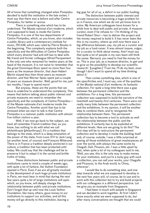All of know that something changed when Pompidou decided to build this institution in the late sixties. I must say that there was a before and after Centre Pompidou, for better or worse.

There is something else which has to be underlined. The Musée national d'art moderne, which I am supposed to lead, is inside the Centre Pompidou. It is one of the two departments of Centre Pompidou, which, as you know, also includes a public library and a contemporary institute for music, IRCAM, which was ruled by Pierre Boulez in the beginning. This complexity explains both the specificity and the difficulties of Centre Pompidou which every director had and still has to deal with. My friend and former colleague Alfred Pacquement is the only one who remained for twelve years at the head of the museum. It is not naïve to remember that the great Dominique Bozo spent no more than four years as the museum director, that Jean-Hubert Martin stayed less than three years as museum director, and that Werner Spies spent just a couple of years as museum director. Well, good for me, just ten months, I hope to spend more!

But anyway, these are the points that we have to underline to understand this complexity. This means that before talking about public interest and private museums we need to remember the specificity and the complexity of Centre Pompidou of the Musée nationale d'art moderne inside the Centre Pompidou. Another point that has to be stressed when we start to talk is that Centre Pompidou is a national, public institution with almost five million visitors a year.

Well, if we now go back to the subject, we must all remember French tradition that, as you know, has nothing to do with what we call *philanthropie* [philanthropy]. It's a tradition that belongs to the state, which is a deep emanation of the power of the state, from Louis XIV to Jack Lang (at another level, of course) and François Mitterand. There is in France a tradition deeply anchored in our culture, a tradition that has been protected until today. We could say that the challenge will be to preserve it but to adapt it to the varied and brittle truths of today.

These distinctions between public and private institutions came to mind a couple of weeks ago, with quite a lot of fanfare, the Vuitton Foundation opened in Paris. Even if we are all greatly involved in the development of such huge private institutions in Paris, we must bear in mind that during the next few years quite a lot of large institutions will open which, as you know, will deeply change the relationship between public and private institutions. Don't forget that up until now the Louis Vuitton Foundation, like many others, gave money to our institutions to support our activities, and all this money will go directly to this institution, leaving a

big gap for all of us, a deficit in our public funding.

The distinction between public interest and private resources is becoming a huge problem for us in France, one which we do not yet know how to solve. My American colleagues have known for a while how to deal with public and private. A museum curator, even if he refuses to  $-i<sup>'</sup>m$  thinking of my friend Robert Storr—has to deliver the project and the money required to build it. It has never been like this in my country, where up until now there was a big difference between, say, my job as a curator and my job as a fund-raiser. It was almost insane, vulgar, for a curator to think about money. And I must say that quite a lot of people in my own team still think the same: 'Bernard, you need to find the money for us. This is your job, as a museum director, to get and to give us the possibility to develop our scientific research'. [Laughter] 'Trust me, I'll do my best, even though I don't want to spend all my time thinking about it.'

Then comes something else, which is one of the specificities and, I must say, one of the qualities of the Musée national d'art moderne: its fantastic collection. For quite a long time there was a gap between the permanent collection and the exhibitions. For a long time, this permanent collection was supposed to build the narrative of the twentieth and twenty-first centuries. There were not really many links between the permanent collection and the exhibitions. In my opinion, it will be another step to combine them, and to reorganise the relationship between them. The permanent collection has to become a tool to activate as well the relationship between the public and the exhibitions. It certainly has to be exploited at different levels. How are we going to do this? The first step will be to restructure the permanent collection and to develop it inside the building itself and, of course, outside. I was a little surprised at seeing all those exhibitions of great masterpieces all over the world, with always the same works by Chagall, Dalí, Picasso, etc. I was a little upset by that, when quite a lot of my colleagues said to me, 'Well, you see, this is the only way to make money for your institution, and you're a lucky guy with such a collection, you can sell your works, your Chagalls and Picassos, to the Arab world, to China, wherever'.

I would like to do something else, and one step towards what we are supposed to develop in the next few years will, of course, be to use and to work with this collection but to try and build projects with our colleagues in a different perspective. Let me give you an example from Singapore.

I had been in touch with people in Singapore and we decided to work together. At first I didn't know exactly what we were supposed to do, but after many conversations we thought that we could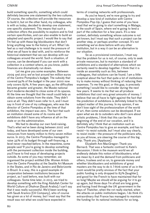build something specific, something which could definitely become one statement by the two cultures. Of course, the collection will provide the resources to build it, but on the other hand, my colleague, who is with us today, decided to develop one statement, one specific statement. This means that such a collection offers the possibility to explore and to find certain specificities, and can also enable to build an adapted and specific project. I would like to say that I'm fed up with these big blockbusters that don't bring anything new to the history of art. What I do feel as a real challenge is to resist the pressure of what we all have to deal with, and to reinforce the historical statement that we can develop with our colleagues around the world. Such a situation, of course, can be developed if you can work with a collection in a context where, as you know, public finances are dramatically run down.

Let me give you some examples. Between 2009 and 2013 we've lost around ten million euros of the Centre Pompidou's budget. The subsidy that covered 94% of the budget in the year 2000 now only covers 83%. A few years ago, as the difficulties became greater and greater, the Musée national d'art moderne decided to close some of its spaces. At the time we thought that the result could help us obtain some solutions from the state. They didn't care at all. They didn't even refer to it, and I must say in front of one of my colleagues, who was the director of Centre Pompidou at the time of that exhibition, the impact was zero. The fact that such an institution closed some of its rooms and exhibitions didn't have any influence at all on the state or on the administration.

We had to develop our own fund-raising. That's what we've been doing between 2007 and today, and have developed some of our own resources from twenty million to thirty-seven million euros. In 2013, the Centre Pompidou managed to raise 35% of its budget through self-financing, a level never reached before. In the meantime, some people said 'If you're going to develop something with the permanent collection inside the building, you'll have to find ways of developing projects outside. As some of you may remember, we organised the project entitled *Elle: Women Artists from the Centre Pompidou* at the Seattle Art Museum in the States, and in Rio de Janeiro and Belorizonte in Brazil. In a way, this is a good example of cooperation between institutions because the project, as I said before, was built with our colleagues. Some time later, in 2013, we tried to develop something with the King Abdullah Center for World Culture at Dhahran [Saudi Arabia]; I can't say that it was really successful. We'd been working with Saudi Aramco [Oil Company], who of course has given us a lot of money, but I must say that the result was not what we could have expected in

terms of creating networks with professionals.

As you've heard, we're now going to try and develop a new kind of institution with Centre Pompidou Pop-Up; I guess that some of you have read that we're going to start something in Malaga, in the south of Spain, where we're going to lend a part of the collection for a few years. It's a new context, definitely something whose outcome is not yet known, but I must say that such a project can be another step, or perhaps another concept. It's not something we've done before with any other institution, but in a way it can be an alternative to our situation.

So as a provisional conclusion, I must say that the problem for us is not, of course, only to seek private resources, but to maintain a standard of exhibitions and a standard of alternatives which we certainly need to develop together. I think that it is inside an assembly such as this, between colleagues, that solutions can be found. I am a little sceptical about the fact that quite a lot of institutions try to make money without thinking of reducing their expenses. To me this goal, or this gap, is precisely something I would like to consider during the next few years. It seems to me that we all produce exhibitions that cost very great amounts of money. I believe that we all have to fight against the fact that the prediction of exhibitions is definitely linked to the subject matter of this journey. In my opinion, if we don't lose sight of the professionalism of the world of art, then some solutions can be developed. If we open what we do to outsiders who don't care about artistic problems, I think that this can be the beginning of the end of our vocation, and it is definitely why I think that an institution such as Centre Pompidou has to give an example, and has to resist—to resist outside, but I must also say clearly, to resist inside—the pressure of the politicians who, as you all know, are steering the course of this big ship. Thank you. [Applause]

Elizabeth Ann MacGregor: Thank you Bernard. That was a fantastic contrast to Kate's discussion. I think in the museum world we all endlessly debate this notion of blockbusters; what we mean by it and the demand from politicians and others, trustees and so on, to generate money and whether blockbusters and exhibitions of great masters are the way to do it. I think some of us in the room would be pretty envious of the fact that your public funding is only dropped to 83% [laughter], and good for the French to have maintained that for so long! Maybe we should all be arguing for it to go up again, but those days I'm afraid are long gone, and having lived through the UK government in the days of Thatcher, when the rot really started, when the attacks on public institutions began, I do think it's extraordinary that France has managed to maintain the funding for its national institutions for so long.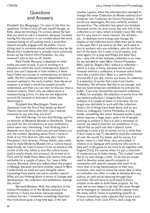## **Questions** and Answers

Elizabeth Ann Macgregor: I'm open to the floor for questions. I'd like to kick off one myself though, to Kate, about terminology. I'm curious about the fact that you want to call it a museum, because I've been having this discussion in our context about the word museum being an off-putting word, a word that doesn't actually engage with the public. You're sitting next to someone whose institution may be the Musée d'art moderne but is actually more commonly known as the Centre d'Art Pompidou. So, why museum? Just to kick us off, thanks.

Kate Fowle: Because it depends on what battle you want to pick. If you're working in a situation in which the word contemporary doesn't exist, you can't separate it from modern; if there hasn't been any access to contemporary art before 1988, the first contemporary art department in a museum opened in the early nineties, then the word museum is at least a word that people actually understand, and then you can start to discuss what a museum means. That's why we talked about a museum being active, it's why we use adjectives around the museum to activate it rather than deactivate it.

Elizabeth Ann MacGregor: Thank you. Questions from the floor? Any hands up there? There's one over there, Ann-Sofi. Can I remind everyone to say who they are first?

Ann-Sofi Noring: I'm Ann-Sofi Noring, and I'm co-director at Moderna Museet in Stockholm. Thank you both for the introductions to your institutions, which were very interesting. I was thinking that it depends very much on when you are and where you are, the context. Speaking about Paris, I came to think of our first director, who was also Centre Pompidou's first director, Pontus Hultén, who really tried to make Moderna Museet into a 'culture house'. Specifically, he tried to move it from an island to the centre of the city, which is now the culture house (and is pretty empty, but anyway), he moved on to Paris and he made these ideas and visions true and workable for a couple of years. So, I was a little curious, Bernard, when you talked about the project in Malaga, because you have another space in Metz I understand, so what are your thoughts about expanding from where you are to another space? What are you thinking about in terms of change and development, the collection and exhibitions, making this move?

Bernard Blistène: Well, the collection of the Centre Pompidou, or of the Musée national d'art moderne, is funny you know, because people confuse the two. I remember something important that took place quite a long time ago, in the late

nineties I guess, when the administration decided to change the name 'Collection du Musée national d'art moderne' into 'Collection du Centre Pompidou'. If the words are meaningful, this was certainly another perspective. The collection has about one hundred thousand works, no, even more, but only 2% of the collection is on view, which is totally crazy! We tried, but it's very hard for many reasons, the workers, etc., to dedicate more energy and change the display of the collection more often than we've done in the past. But if we want to do that, we'll need to turn to workers who are outsiders, who do not form part of the team. So it costs a lot of money, and, once again, it's a loop and things are what they are — only 2% of this fantastic collection is on view. So we decided to open Metz, Centre Pompidou Metz, built by Shigeru Ban, without a collection which in a way is funny, because we've built a museum without a collection, a museum which looks more like a *centre d'art*. Metz is a *centre d'art*, structurally if you like, and as you know, its collection is a selection of works that come from Centre Pompidou. We all know that this is not enough, and that we need temporary exhibitions to activate the public. If we only showed the permanent collection in Metz, for example, the selection of works from the permanent collection, I imagine that it would collapse in a couple of years or even less. So our target was definitely to work with the collection. Quite a lot of things have been done, and as you know as colleagues, Centre Pompidou is a big lender, something like seven thousand works a year, which requires a huge team, quite a lot of people working to achieve it. But it is also a necessity of course, we need to lend for our exhibitions. If you add all this up you'll see that it doesn't solve anything, it costs a lot of money, so for a while they (I don't want to say 'I') decided to send the collection all over the world. For better and for worse. For better, when it is well done, very articulated, in relation or in dialogue with someone who wants to take part in the game as we tried to do together with Eugene [Tan]. For worse, when it's just a selection of masterpieces to make money. This is what I would like to try and change a little. To do this we would need to develop some specific projects in connection with specific people who want to do more than to bring masterpieces to their own countries; who want to share the same idea of what an institution can offer, in order to develop let's say culture, art and social meaning through their activities. We will have to work hard to find a solution to be able to build these projects. As I've said, we've now begun to do that. But even though we've managed to retained an 83% subsidy from the state, which I know is something specific to France, something really relevant that forms a part of our culture, from Louis XIV to Jack Lang, the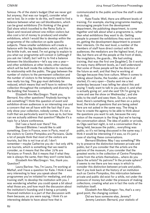famous 1% of the state's budget (that we never got but anyway, that was our target), consider what we've lost. So in order to do this, we'll need to find a balance between what we call blockbusters, which can be great exhibitions (I'm thinking of the great Dalí show which travelled to the Reina Sofía in Spain and received almost one million visitors but also cost a lot of money to produce) and smaller exhibitions, which I would like to develop within the programme of the collection on quite specific subjects. These smaller exhibitions will create a balance with the big blockbusters which, and this is the brittle truth, we need. I'm not going to explain to you what our programme will consist in (although if you ask me I shall), but I will try to find a balance between the blockbusters—let's say one a year and other exhibitions at other levels; other shows which will be built inside the collection to reactivate its relationship with the public. The gap between the number of visitors to the permanent collection and the number of visitors to the temporary exhibitions was really too big. This gap must definitely be reduced, which means that we'll have to redirect the collection throughout the complexity and diversity of the building that houses it.

Elizabeth Ann MacGregor: Thank you, Bernard. Any other questions? Anybody burning to ask something? I think this question of event and exhibition-driven audiences is an interesting one and a concern that we all have with the fact that if you only show your collection, nobody comes. It's not a truth that we particularly want to face up to, but how can we actually address that question? Maybe it's a topic for a future conference.

Did I see a hand over there? Yes.

Bernard Blistène: I would like to add something. Even in France, even in Paris, most of the visitors to Centre Pompidou are Parisians. Quite a lot of people think that most of the visitors are tourists, but this is not true at all. I don't remember—maybe Catherine you do—but only 28% are tourists, which is something that we need to consider, as it means that the other 72% are Parisians or French. But it means that if what they see is always the same, then they won't come back.

Elizabeth Ann MacGregor: Yes, thank you. Question?

Laura Barlow: Yes, I'm Laura, I'm working at Mathaf, and I have a question for Kate. I think it was very interesting to hear you speak about the programmes you've initiated for mediating, and also training staff, to develop the institution with you. I was wondering whether you could speak a bit about what those are, and how much the discussion about the institution's founding and it being a privately financed institution is a part of that discussion with them because, as you were saying, I think it's an interesting debate to have about how that is

communicated to the public and how the staff is able to do that.

Kate Fowle: Well, there are different levels of training. For example, starting programme meetings, encouraging people from the development department, the publishing department, to come together and talk about what a programme is, rather than what exhibitions they want to do. Getting people to present the exhibitions they want to work on, getting the development department to present their interests. On the next level, a number of the members of staff have direct contact with the audiences; the mediators are the highest level, if you like, but there are all the people at the front of desk, the invigilators, the guards… We had smiling training, that was the first one [laughter]. So it works on many many different levels, as I well understand that some of those people will be the directors of the future as well, and that they're working at Garage because they love culture. When it comes to talking about Dasha, the founder, and how it all started, it's very open — Dasha sent me a text yesterday because I was telling her about this and saying 'I really want to talk to you about it, and what is actually going on', and she said 'Oh I'm going to come and see the show on Wednesday', and she talks to the staff and sees them. So, on a human level, there's something there, and then on a policy level, the kinds of questions that are being asked here are not asked in the same way. The thing is how to create the agency to be able to think about the questions you want to ask, because the very notion of the museum is the thing that we're having the conversation about. The idea of public or private, as Olga said last night, is not a conversation that is being held, because the public… everything was public, so it's not being discussed in the same way. I think it would be interesting if it was, so it's just a case of starting these conversations.

Bernard Blistène: May I say something? We try to preserve the distinction between private and public, but if you consider that the artists are the patrons of the museum, if you consider that the greatest works in the collection of Centre Pompidou come from the artists themselves… where do you place the artists? As patrons? In the private sphere? It seems to me there are two ways in which to consider this distinction between private and public, that if you look back at the history of an institution such as Centre Pompidou, this imbrication between private and public did exist for a while, not under the pressure of money but under the pressure of making collections, creating what are in fact the roots of the institution itself.

Elizabeth Ann MacGregor: Yes, that's a very good point, the changing context.

Did we have someone else, Jeremy? Jeremy Lewison: Bernard, your statistic of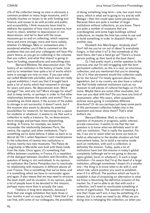2% of the collection being on view is obviously a common problem to many large museums, and it actually touches on issues to do with funding and finance, and issues to do with private and public, and accessibility. I think museums have tried to address the question of how much to preserve, how much to retain, whether to deaccession or not deaccession, and fail to deal with the issue: museums go on and on collecting, which requires more and more storage, more and more outlets, whether it's Malaga, Metz or somewhere else. I wondered whether you'd like to comment on the problems that you and your colleagues will face fifty years hence, as you go on collecting in the volumes that you collect, and what that impact is going to have on funding, expenditures and everything else.

Bernard Blistène: No deaccession ever. The history of an institution is the history of taste. Look and try to remember how quite a lot of works which were in storage are now on view. If you saw what we called *Modernités plurielles*, which was not really a great exhibition, I must say that it brought back quite a lot of works which had remained in storage for years and years. No deaccession ever. More storage? Yes, and why not? More storage for what? Just to keep works, or perhaps in order to find other relationships between the public and works? This is something we think about: if the access of the public to storage is not successful, it doesn't work, but if the museum also wants to develop its potential possibilities for research, for becoming too a space for students or whatever, it seems to me that such a collection is really a treasure. So, no deaccession, more storage and perhaps more dispatching, lending. In France, for example, we need to reconsider the relationship between Paris, the centre, the capital, and other institutions. That's something we've done before; it takes us back to Le décret de l'An I, when Napoleon I sent masterpieces to the collections of twenty-two institutions in France, twenty-two new museums. The Palais de Longchamp in Marseille was built with these funds from the state. Once again, it's something that differs between countries; in France it's a repetition of the dialogue between Jacobins and Girondins, the question of being or not centralised. In my opinion, an institution like Centre Pompidou has to reactivate its relationship with museums in different places all over France. This is something that we've done, and it is something which we have to reconsider again and again. It also means that we may need to structure the team itself, and its vocation. In my opinion, quite a lot of people have to be devoted to this mission, perhaps many more than is actually the case.

I believe in long-term deposits, because I think that one single exhibition that lasts three or four months is just *un coup* [a stunt]. I think that if we can find, with some of our colleagues, the possibility

of doing something long-term—one, two even more years, which is what we're going to try and do with Malaga—then this could open some perspectives. Because there are quite a number of large institutions without collections, as you know. There are quite a number of museums that are overdesigned, and some huge buildings without collections, so maybe the time has come to use and to build something in order to dispatch things in another way.

Elizabeth Ann MacGregor: Anybody else? Don't tell me you've run out of ideas! Is everybody hungry, is that what it is? Is that somebody at the back there, did I see a hand go up? There's a brave person putting up their hand at the back there!

Q: I had pretty much a similar question to the previous one, but I'm still struggling with the term permanent collection, as this is a vast, an enormous collection, and you mentioned that you're showing 2% of it. How permanent would this collection really be for the future? I'm totally ignorant about this legislation, but in my country we also have a cultural law that forbids national institutions such as our museum to sell pieces of cultural heritage, so it's the same. Maybe there are some other examples, but how can you deal with this? Do you have any kind of assessment, after fifty years, when acquisition policies were going in completely different directions? Or do you perhaps just keep some parts of this permanent collection hidden low in the basement and never show them? That's what bothers me.

Bernard Blistène: Well, to return to the question of museums in progress, public interest, private resources, it seems to me that the real question is to know what we definitely want to do with our institution. That is really the question. For me, if we are to resist what we know we have to build an alternative to the double situation we find everywhere today. So to build a narrative inside such an institution, with such a collection, is definitely the mission. Today, quite a lot of institutions have lost this mission in today's global complexity (although we're not going to discuss again global, local, or whatever). In such a large institution—I'm aware that I'm at the head of a large institution, although sometimes I dream it's a smaller one—the thing is to know what to do with it, and which role, which position you want to establish, even if it is difficult. The position which we have to establish is that of proposing an alternative to what we know is becoming the definitive invasion of the market. So, if we're able to do that with such a collection, we'll need to rearticulate something in terms of signification. The question of meaning is one that I hope we'll win; it may be something of a dream, but it is what we need to do. What we are doing now is rehanging the collection, so when you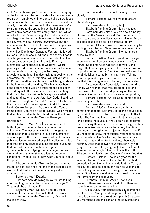visit Paris in March you'll see a complete rehanging of the historical collection, inside which some twenty rooms will remain open in order to build a new focus every six months open to art criticism, to the history of art, to debates and so on. In the meantime, we're trying to expand the space inside the building, and we've come across approximately 2000 m2, which is not a lot but it's something. As  $\overline{\mathsf{I}}$  told you, we're also beginning to rearticulate some of the temporary rooms, what we call *galeries contemporaines*, for instance, will be divided into two parts: one part will be devoted to contemporary exhibitions (the next one will be Dominique Gonzalez Foerster, followed by Jean-Luc Moulène, etc.); the other part will focus on a large ensemble of works in the collection, I'm not sure yet but something like Arte Povera, Mnimalism, Conceptualism or whatever, where painting is today, for instance, which we will connect with other departments, to give lectures, to articulate something. I'm also making a deal with the university, the Centre Pompidou will deliver not a Ph.D. but something similar which will bring students to the interior of the building. This has never been done before and it will give students the possibility of working with the collections. This is something that has to be quite visible, let's say as an artistic and cultural statement. As Jean-Luc Godard said, 'La culture est la règle et l'art est l'exception' [Culture is the rule, and art is the exception]. And it fits, even inside Centre Pompidou. By the way, the Centre Pompidou is 'Centre d'art et de culture', which means that we have to deal both with art and with culture.

Elizabeth Ann MacGregor: Thank you. Bartomeu?

Bartomeu Marí: Yes, I have a question for both of you. It concerns the management of collections. The museum I work for belongs to an association that is going to initiate a movement of opinion against the rental of works of art from any public collection to any other public collection. It is a fact that not only large museums but also museums that depend on municipalities or regional governments, are obliging their managers to rent works of art out when they are loaned to other exhibitions. I would like to know what you think about this policy.

Elizabeth Ann MacGregor: So you mean the institution charges a fee instead of the exchange of works of art that would have monetary value attached to it?

Bartomeu Marí: Exactly.

Elizabeth Ann MacGregor: You're not talking about renting them out to corporations, are you? That might be a bit radical!

Bartomeu Marí: No, no, no, to any other museum. It's not about the costs that are involved.

Elizabeth Ann MacGregor: No, it's about making money.

Bartomeu Marí: It's about making money, clearly.

Bernard Blistène: Do you want an answer about Malaga?

Bartomeu Marí: No. [Laughter]

Elizabeth Ann MacGregor: It's a nuance.

Bartomeu Marí: Not at all, it's about a policy. I know that the Musée national d'art moderne is asked to do so, but smaller museums all over Europe are also asked to do so. It's a general policy.

Bernard Blistène: We never request money for lending the collection. Never never. We never did so.

Elizabeth Ann MacGregor: No, but there's pressure now.

Bernard Blistène: No, it's good because you know even the director sometimes misses a few things! So tell me what happened to you. Don't forget that behind you you have the former director of production of Centre Pompidou, so I will need her help! No jokes, no, the brittle truth here! Tell me what happened to you, I need an answer! It seems to me that this dialogue has to be very concrete also.

Bartomeu Marí: Concretely, it was a work, a film by Gil Wolman, that was asked on loan and there was a fee requested depending on the time of the exhibition of this film and we ended up pirating it.

Bernard Blistène: Ah, it's about films and it's something specific.

Bartomeu Marí: Well, it's a work.

Bernard Blistène: No, come on, this is something specific. Bartomeu is talking about a film by Gil Wolman, the Lettrist artist, the great Lettrist artist. The films we have in the collection we cannot lend outside the museum. We've only got the rights for screening them inside. This is something that has been done like this in France for a very long time. We acquire the rights for projecting them inside. If you request to show them outside, you need to deal with the estate. That's why they charge you for a film, but it has nothing to do with us, absolutely nothing. Does that answer your question? I'm not lying. This is the truth. [Laughter] Come on, I can lie, even in front of you, but I'm not, this is the truth. Elizabeth Ann MacGregor: Okay, we've clarified that.

Bernard Blistène: The same goes for the video collection. You must know that this fantastic collection, I don't know how you do it at the Tate, but for us, the video collection can only be used inside the building; we cannot use the rights for any kind of loans. So when you lend videos you need to request the rights from the producer.

Elizabeth Ann MacGregor: Thank you Bernard. There are issues around film. I think we have time for one more question.

Colin Dune, from Bucharest: You mentioned two locations, Malaga and Singapore. I understand there is a more intense relationship with Singapore, you mentioned Eugene Tan and the conversations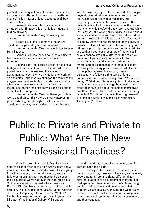you had. But the question still remains open: is there a strategy for different locations? Is it a matter of chance? Is it a matter of local expectations? How does this build up?

Bernard Blistène: Malaga is a political strategy, and Singapore is an artistic strategy. Is that an answer?

Elizabeth Ann MacGregor: Yes, a good answer!

Bernard Blistène: But maybe the answer could be… Eugene, do you want to answer?

Elizabeth Ann MacGregor: I would like to hear from Eugene.

Bernard Blistène: Yes, it could be exciting to learn when we met, how we decided to work together.

Eugene Tan: Yes, I guess Bernard and I have both joined our institutions recently, and when we joined them when we realised there was an agreement between the two institutions to work on an exhibition. I suppose we changed the terms of the engagement, and we both co-curated an exhibition which we felt was relevant to both for us as institutions, rather than just showing the collections of the Centre Pompidou.

Elizabeth Ann MacGregor: Thank you. I think we're out of time. I think there's a very interesting point surfacing here though, which is about this question of money, the monetisation of collections.

We all know that big institutions now do tend to go beyond the old-fashioned idea of a fee, a touring fee, which we all knew covered costs, into something which actually makes money for the institution, which of course exacerbates the power relations to which we've already referred. And while that may be valid when you're talking perhaps about a major initiative, how soon will it be before it does begin to creep into individual loans? So if we want to borrow work from the Pompidou or the Tate, or anywhere else, will we eventually have to pay for it? I think it's probably a topic for another time. I'd like you to thank both our presenters of today. You'll have a chance again this afternoon, the topic will continue. Hopefully we'll come back to the provocation we had this morning about the art market and its relationship with the public sector. Two very interesting perspectives on what we mean by the public interest. I'm looking forward particularly to following that topic at future conferences: who are we doing it for? Why are we doing it? What constitutes our public? And maybe that's a better way of thinking about institutions rather than thinking about institutions themselves and their ethics policies, not that ethics is not very important. So please join me in thanking Bernard Blistène and Kate Fowle, and enjoy your lunch. Thank you. [Applause]

# Public to Private and Private to Public: What Are The New Professional Practices?

Mami Kataoka: My name is Mami Kataoka and I'm chief curator of the Mori Art Museum and a new board member of CIMAM as well. This is going to be Discussion 3, our last discussion, and will follow our morning's conversation and also cover the discussions we've had over the last three days. So I have invited Luiz Augusto, Kate Fowle and Bernard Blistène from the morning sessions and, in addition, I have invited Fionn Meade, Senior Curator of Cross-Disciplinary Platforms at the Walker Art Center, Minneapolis, on our right, and Eugene Tann, Director of the National Gallery of Singapore,

second from right, to enrich our conversation for another hour and a half.

Looking at this issue of private and public, public and private, it seems to have a great diversity according to different regions, different times, different stages in the development of institutions. Perhaps rather than the issue of institutions being public or private we would need to see what problem we are dealing with here and what really matters. So, I will start with some of the responses from Fionn and Eugene from the morning session, and then continue.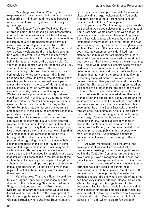May I begin with Fionn? What is your response, not from a museum but from an art centre, and bearing in mind too the differences between American and European systems of collecting and governing?

Fionn Meade: Yes, sure. Well, what Kate offered in part at the beginning of her presentation about a lot of the museums in the States having been founded by patrons who had private collections is correct, so a private beginning and a gradual move towards board governance is true of the Walker (hence the name Walker, T. B. Walker), and we're actually celebrating the institution's seventyfifth year. The seventy-five years consider when T. B. Walker offered his collection and building to the twin cities as an art centre—he actually said, 'Do you want it as a centre?' and the response was 'Yes'. That led to a movement towards the kind of multidisciplinary, interdisciplinary production and commission-oriented work that certainly Martin Friedman and Kathy Halbreich, who as you all know, were leading figures in that regard over a period of almost thirty years, in the case of Martin, and more like seventeen in that of Kathy. But there is a moment, inevitably, when the collecting of the Walker reached a point of intentionality and, we could say verticality of resonance and trajectories that then led to the Walker becoming a museum. In essence, Bernard also reflected on this, as the Centre Pompidou has the museum of modern art embedded in it. In this case, the art centre reached a point where, in a sense, it also took on the responsibility of a museum, and since then has continued to collect work in a very artist-centred way, with a focus on the terms of production of its time. I bring this up to say that there is a surprising kind of overlapping element in those two things that Kate mentioned in her reference to the private turning into the public, and also in Bernard's presentation regarding the national museum being in essence embedded in the art centre. and in some ways a challenge to make it more visible again, to surface it in a different way, as he was saying. If you've been to the Pompidou it's tangible — in a way, it seems as if it's been elided in the structure of the architecture. Those are just a couple of thoughts, although there are perhaps more points of shared or mutual comprehension. It's not so divisive in that regard. I think it's about finding how to narrativise these questions.

Mami Kataoka: Thank you Fionn. I would like to invite Eugene Tann, not only because he's the director of the forthcoming National Art Gallery in Singapore but because he's the Programme Director at the Singapore Economic Development Board, and has contributed to the development of the cluster of galleries and art institutions called the Gillman Barracks, where Ute Meta Bauer's gallery

is. This is another example or model of a museum situated within a larger cultural policy. You could probably talk about the different conditions of museums in South East Asia in general.

Eugene Tann: Yes, I'm going to try and relate part of what we've been discussing to the context of South East Asia. Contemporary art was one of the main ways in which art was introduced to publics in South East Asia, and as witnessed by many public institutions in many countries in the region, this was done primarily through the market, through auctions, art fairs. Because of the way in which the market does this, the contemporary is de-linked from history, so the publics that are beginning to learn about art from the contemporary art market do not get a sense of the history, of where the art is coming from. This is what I hope will change when we open next year, as our focus is very much on the art histories of Singapore and South East Asia from the nineteenth century up to the present. In addition to presenting these art histories, we also seek to connect them to other parts of the world, hence the project that Bernard and I are working on together. This sense of history is therefore one of the results of how art has been introduced to the publics in South East Asia through the market. Another result of that is that the publics don't really understand the value of what art is, and it's important to know that the private sector has played an important role in developing the arts in South East Asia, primarily through artist-run initiatives. Artists in this part of the world have been working without public support, by and large, for most of the second half of the twentieth century. Public support only came in around the nineteen nineties in countries like Singapore. So it's very hard to draw the distinction between private and public in this respect, when many of these artist-run initiatives engage in commercial activities in order to support these activities.

As Mami mentioned, I also thought of the development of Gillman Barracks district in Singapore, consisting of international galleries as well as the Centre for Contemporary Art that Ute is now running. It was a recognition that in order for the art scene in Singapore, and indeed in South East Asia, to grow, major parts of a holistic ecosystem (a term that has been used a lot during these discussions) need to be in place. One of these is the commercial art scene, primarily dominated by auctions and art fairs and where the role of galleries had been very much overlooked. Hence this was an attempt to bring the role of galleries into the ecosystem. The last thing I would like to say is that when considering private commercial activities, it's very important to look specifically at how they relate to the local context. One example I would like to discuss is Art Jak, which is an art fair set up in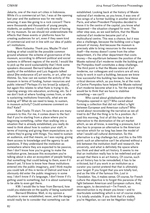Jakarta, one of the main art cities in Indonesia. While it's a commercial art fair, I was at the opening last year and the audience was for me really amazing, it was like going to a rock concert! There were thousands and thousands of young people, students, an audience I could only dream of having for my museum. So we should not underestimate the effects that these events or platforms have for creating audiences for art, even if they seem kind of commercial and not in line with our idea of public art institutions.

Mami Kataoka: Thank you. Maybe I'll start looking at what could be the possible common ground whatever the scheme of governance of the museum, according to different political and social systems in different regions of the world. I would like to pick up the word sustainability that I think some speakers discussed. Bernard talked about the quality of the exhibition and Luiz Augusto talked about [the endurance of] art works, or art, after our lifetime. So, how can we sustain the activity of the museum in terms of funding, human resources and public interest? Perhaps it's too broad [a subject], but again this relates to what Kate is trying to do, injecting energy into education, archiving, etc. So if we don't look at where funding comes from, or who is sustaining institutions financially, what are we looking at? What do we need to keep, to sustain, in museum activity? Could someone comment on this? Kate?

Kate Fowle: I'll start. I'm sure there are many answers to this. For me, it comes down to the fact that if you're starting from a place where you're beginning something, rather than walking into a situation that is already established, you really do need to think about how to sustain your staff, in terms of training and giving them expectations as to where they're going with things. You need to sustain an audience, and that means, as I was saying, giving them access to knowledge and the agency to ask questions. If they understand the institution as somewhere where they are expected to be passive, then I don't know how you're going to make the institution grow, because this ecosystem you're talking about is also an ecosystem of people feeling that something that could belong to them, even if it doesn't yet. I'd love to know how these institutions entered into the public imaginary, and I think maybe you could talk of this in terms of Detroit and how it obviously did enter the public imaginary in some way. I don't know if it's language, I don't know if it's getting used to something, but it is about sustaining to be able to even get there.

KM: I would like to hear from Bernard, how could you elaborate on the quality of being sustained?

Bernard Blistène: Well, in my opinion a situation is never established, never, and the danger would really be to consider that something can be

established. Looking back at the history of Musée national d'art moderne, as you know, it was one of two wings of a former building in another district of Paris, and when President Pompidou decided to move it to the centre of the capital, you know what happened — the situation changed for ever. The other step was, as we said before, that the Musée national d'art moderne became part of a multicultural centre. This was a chance, but it was also a challenge, because the building cost a huge amount of money. And because the museum is precisely able to bring resources to the museum itself—the money doesn't come from the other department, it's the other department that costs money—the equilibrium between the position of the Musée national d'art moderne inside the building and the Pompidou itself constitutes a deep challenge. The third point is that the Musée national d'art moderne, our colleagues and curators are all very lucky to work in such a building, because we know how successful this building has been, how these critical devices which, as you know, lie at the roots of Centre Pompidou have helped the Musée national d'art moderne become what it is. Yet the worst thing would be to think that we have to stabilise something — we can't!

Who cared about globalisation when the Pompidou opened in 1977? Who cared about forming a collection that did not reflect a fight between European and American culture? Who cared about reconsidering the narrative as we all tried to do? But the thing is to fix a position. As I said this morning, first of all this has to be an alternative to the domination of the art market which, as we all know, is exerting a pressure, but it also has to propose an alternative to the American narrative which for so long has been the model of what I would call cultural domination. So this alternative is a big challenge but, and this is the fifth point: such an alternative can't be attained without a link between the institution itself and research, the university, and what is definitely the space where you think and deal with art history. It seems to me that an institution really has to be redefined and yet accept that there is an art history. Of course, such an art history has to be remodelled, it has to be criticised, but if you work in an institution as a curator you cannot pretend that that is ultimately your target. If you forget that you are totally lost, and as the title of the famous film, *Lost in Translation*. Yes, it makes sense. Of course, for French culture the objective is to forget this paranoia of the fight between American and European culture. And, once again, to deconstruct—I'm French, so deconstruction is my dream you know—and to rearticulate something which is not of course stable. It is totally unstable. If you think that it's stable, you're Hegelian, so can we be Hegelian today?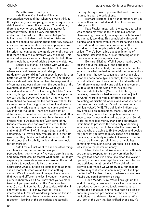Mami Kataoka: Thank you.

Kate Fowle: Can I just ask? In your presentation, you said that when you were thinking through what you were going to do with Eugene, you didn't want to present the same old Chagall — i.e., there is a way for you to develop an interest for different works. I feel it's very important to understand the history or the canon that you're talking about, but also to add in other histories. Maybe we should be talking about histories, because it's important to understand, as some people were saying on day one, how we start to write our own histories that can be put alongside some of these, so that there actually is a different way of seeing. This is related to your idea of not being stable, but I think there should be a way of adding these new histories.

Bernard Blistène: I do agree with what you say, but it seems to me that we all have to know where we stand. We're not just talking randomly — we're talking from a specific position, for better or worse. In my case, I know that I'm talking from a national institution that has the responsibility of summarising our culture from the beginning of the twentieth century to today. I know what we've missed, and what we're still missing, but I don't mind missing things. It seems to me that the more precise we can be, the deeper we can delve into what we think should be developed, the better we will be. But as we all know, the thing is that all such institutions around the world seem to have the same problems, which is not true at all. There are quite a lot of differences, even in France, between Paris and other regions. I spent six years of my life in the south of France, where we built things (with some of my friends who are here and were involved with the institutions as patrons), and we know that it's not stable at all. When I left, I thought that I could fix something. Ask my friends, who are here in the fifth row, what they think about what happened later! So it's all about this instability, which I think we should reflect more on.

Kate Fowle: I just want to ask one other thing, as I think it's very important to hear your perspective. 1989 is twenty-five years ago this year, and many museums, no matter what scale—although especially large-scale museums— around the world are trying to consider this kind of moment, addressing what is in their collections in relation to such a moment, when we all know something shifted. We all have different perspectives on what that was, and different stories. I wonder if you could just talk about this a bit as I know that you've made (well not you personally, but the Pompidou has made) an exhibition that is trying to deal with this. I know that MoMA is, I know that the Tate is interested in it. I'm just wondering, because this is a time when suddenly these histories are coming together — looking at the collections and actually

thinking through how to present that kind of rupture in time, through the collections.

Bernard Blistène: I don't understand what you mean with rupture, what kind of rupture are you talking about?

Kate Fowle: I mean with the status quo, what was happening with the fall of communism, the changes in government, the ways in which the world was actually working. This coincided with social, political and cultural events that were taking place in the world and that were also reflected in the art world and in the people participating in it, in the artists. There's been a big question in terms of collecting internationally, or just reflecting on it, in the case of a temporary exhibition.

Bernard Blistène: Well, I guess maybe you're talking about the display of the permanent collection, which is actually on view, which tried to summarise what we had acquired during one century from all over the world. When you look precisely at what has been done, [you see that] these are deeply individual histories. It was not a political matter of fact; there was not really any political involvement. Quite a lot of people within what we call the Ministère de la Culture [Ministry of Culture], the curators, those described as *fonctionnaires* [civil servants] were involved in different aspects of collecting, of artistic situations, and what you see is the result of this mixture. It's not the result of a political *volonté* [will]. The political will didn't exert any pressure on acquisitions, thank God! And in a way it's funny to see that the public pressure is, of course, less powerful than private pressure. So I do prefer to have less money than some big private institutions to preserve the possibility of deciding what we acquire, than to be under the pressure of patrons who are going to fix the position and decide for you what you have to push. These are perhaps the limits, but nobody is perfect. It seems to me that there are still more possibilities of articulating something with such a structure than to be linked, let's say, to the power of money.

Mami Kataoka: I'd like to ask Fionn, although you can also respond to this conversation, but I thought that since it is some time since the Walker opened, what has been kept, besides the collection and activities, what remains? The spirit of the activities, perhaps? Or whether, as a regional art centre, maybe it was the community that has kept the Walker? And from there, to where you are now. Maybe you could comment on that.

Fionn Meade: Sure. When I brought up this kind of duality, I considered it as a kind of a tension, a productive, constructive tension — to be an art centre and a museum, and to have that as a kind of constantly revised proposition at the centre of an institutional mandate or mission, in a sense. When you look at the way that has shifted over time, it's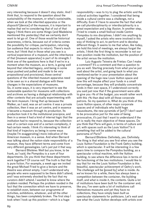very interesting because it doesn't stay static. And I think that, to respond to the question about the sustainability of the museum, or what's sustainable, when we look at the inherited apparatus or the *dispositif* [device] of the museum, it is important to realise that we're considering that of out of that legacy I think there are some things (and Madeleine mentioned this yesterday) that we certainly don't want to let go of. One of those would be historical awareness, criteria, because out of criteria comes the possibility for critique, participation, returning (an audience that expects to return). There's much more, but I think that in those what you see is a vertical experience of a museum, and the inheritance of that [museum apparatus] is part of its strength. I think one of the questions here is that if we're in a moment when the museum, as a term, is going well beyond that inherited legacy, and being in some ways pushed and pulled and made to be very propositional and provisional, those central questions of the inherited museum apparatus need to be seen as in a shared dialogue with these changes in the expectations of museums. So, in some ways, it is very important to see the sustainable question for museums with collections and archives as having a dialogical relationship with other contexts that are actually experimenting with the term museum. I bring that up because the Walker, as I said, was an art centre: it was a private collection, then it was an art centre, and in essence it became a museum through its production. Its production took it to the institutional precipice, and then in a sense it had a kind of internal logic that the institution had to respond to, because the collection was of a certain size and of a certain complexity, it had certain needs. I think it's interesting to think of that kind of trajectory as being in some ways (maybe I'm exaggerating) more indicative of the American museum, in a sense. And when Bernard was talking about the nation-state responsibility of a museum, they have different terms and come from very different genealogies. Let's just put it that way.

Bernard Blistène: Well but you know, to be frank, as I said, the Pompidou is a sum of four departments. Do you think that these departments work together? Of course not! The truth is that that is pure fiction. For example, a week ago we invited the great Michael Fried to give a lecture and the theatre was almost empty. I can't understand why people who were supposed to be there didn't attend, and I was extremely shocked by the fact that my curators didn't attend. I wanted to know where the problem resided. Perhaps the problem resided in the fact that the connection which we have to preserve, to establish even, between our programme of activities, exhibitions, whatever, and all the other things, has been completely broken. The first step I took when I took up this position—which is a huge

responsibility—was to try to plug the artistic and the cultural activities together. I considered that being inside a cultural centre was a challenge, not a difficulty. Even if I have to assume the fact that what we call pluridisciplinarity or interdisciplinarity is a great expectation and a big illusion. In another step, I tried to create a small festival inside Centre Pompidou to mix disciplines. I didn't mix anything by myself, I asked the artists who were involved in this way of thinking to act, to perform and to develop different things. It seems to me that when, like today, we hold this kind of meetings, we always forget the artists. I think the first thing to reconsider is not our own position inside the institution, but the position of the artist versus the institution.

Luiz Augusto Teixeira de Frietas: Can I make a comment? It's a comment and then a question to you as well. Starting precisely from what you've just said about the artist, and going back to what you mentioned earlier in your presentation about the opening of the huge new Louis Vuitton space and how this will maybe affect your funds in a small percentage, because they will probably concentrate funds in their own space, if I understood correctly you said just now that if the government were able to give you 1% of the budget, you would rather work with this 1% than deal with all those corporate patrons. So my question is, What do you think of this Louis Vuitton space, of other major corporate spaces and of individuals who build huge mausoleums, the new pyramids of [art]? I don't want to be provocative just for the sake of being provocative, it's just that I want to understand if the art is really the main objective of these spaces. Do you think that Paris will gain, in terms of culture and art. with spaces such as the Louis Vuitton? Is it something that will be added to the cultural panorama of Paris?

Bernard Blistène: Definitely, yes. Definitely. The thing is that what you see first when you see the Louis Vuitton Foundation is the Frank Gehry building, which is spectacular. It will be interesting in a few years time to compare the Pompidou building, as a spectacular critical machine, with the Vuitton building, to see where the difference lies in terms of the functioning of the two institutions. I would like to say that for me the Louis Vuitton Foundation is this beautiful, spectacular achievement of Gehry's work. The challenge will be [posed by] what is inside. As we've known for a while, there has always been a competition between the container, the building itself, and what is inside it, the contents. Quite a lot of institutions have been built for the container and, like you, I've seen quite a lot of institutions call themselves museums and yet they have no collections, they have simply been built as spectacular statements for politicians. Let's wait and see what the Louis Vuitton develops with artists over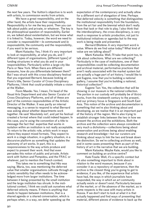the next few years. The Vuitton's objective is to work with artists, to commission works from artists.

We have a great responsibility, and on the other hand, the artists have their responsibility. Responsibility is for me the key point. Then you can talk about public and private, or whatever. The key is the philosophical question of responsibility. Earlier on, we talked about existentialism, but we know what it is linked to. Today, however, the word we need to consider is *responsabilité* — *la communauté* and *la responsabilité*, the community and the responsibility, if you want to be serious.

Mami Kataoka: Yes, I think it's very important to look at responsibility, at what you do, and T different types of organisations, [different types] of funding structures in what you do and in your responsibilities. Particularly within a large city like Paris or New York. When there are different museums, how do you differentiate between them? But I was struck with this cross-disciplinary festival that you organised Bernard, because looking at Fionn's title, Senior Curator of Cross-Disciplinary Platforms, I think that could probably initiate a vision at the Walker.

Fionn Maede: Yes. I mean, I'm head of the Visual Arts Department and also Senior Curator of Cross-Disciplinary Platforms, and all of these are part of the common responsibilities of the Artistic Director of the Walker. It was partly an internal messaging, in a sense to respond to what Bernard was asking about whether departments work together. He said 'Absolutely not', and yet his festival created a format where that could indeed happen. In this case, you're using the convention of a title to message the fact that expertise that works in isolation within an institution is not really acceptable. To return to the artistic role, artists work in ways where they expect mixed formats. They expect to work in a stage situation, in a gallery situation, in a discursive platform as something that updates the autonomy of art works. In part, this is a responsiveness to the way artists produce and expect to present their work. And that even pervades this notion of public and private. Artists work with Vuitton and Pompidou, and the FRAC or whatever, just to mention the French context.

This takes me to something that Hito was saying. Maria, too, was mentioning the deferred value that smaller organisations cultivate through an artistic sensibility that often needs to be acknowledged more from larger institutions. The time between it being presented by the small institution and the large institution has shrunk. In the institutional context, I think we could ask ourselves what deferred velocity means. If there is anything that needs to happen between institutions, that is a shared agenda or a shared conversation, which is perhaps when, in a way, we defer speeding up the

expectation of the contemporary and actually allow for a different sort of elongation of time. Perhaps that deferred velocity is something that distinguishes the institutional responsibility from the foundation, from the art fair and the biennial which don't really have that task or that role to play. I also think that the interdisciplinary, the cross-disciplinary, is very much a response to artistic production, not just to institutional initiatives or agendas but to the way work is being made and presented.

Bernard Blistène: A very important word is value. Where do we find value today? What kind of value are we talking about?

Mami Kataoka: Well, I'll take that point too, to talk about collections. What are we collecting? Particularly in the case of institutions, one of their responsibilities could be collecting documentation and archival material, performative practices that aren't really associated with the market system but are actually a huge part of art history. I would like to ask Eugene, now that you're building a national gallery, I assume that you're building a national, historical collection?

Eugene Tan: Yes, the collection that will be showing in our museum is the national collection. The portion in our custody will probably be of 8000 works, from the nineteenth century to the present, and our primary focus is Singapore and South East Asia. This notion of the archive and documentation is something that we're also thinking about and developing, as we realise that it is an important part of the history of the region. We're also trying to establish stronger links between the two in how we present the archive and the exhibitions. Both the archive and the collection were always considered very much a dichotomy—collections being about preservation and archives being about enabling research and knowledge—but our curators are thinking about ways to link the two and break down the distinction. So we're collecting archives as well, and in some cases presenting them as part of the history of art in the narrative that we are building.

Mami Kataoka: Maybe Kate, would you like to comment on building an archive centre?

Kate Fowle: Well, it's a specific context but it's also something important to think about in relation to the word museum, because if you consider it as a repository of experience, then the archive is the closest thing you're going to get to evidence, if you like, of the experience that artists have had, the ways in which journalists have responded, the way in which an art community actually exists or doesn't exist. Particularly because of the market, or of the absence of the market, as in some respects is the case with many artists in Russia. If we don't start to look at what it is that actually happened and find ways of presenting that material, different pieces of evidence to back up the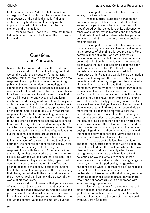CIMAM 2014 Annual Conference Proceedings

fact that an artist said 'I did this but it could be underground', or 'I did this but the works no longer exist because of the political situation', then an archive is truly fundamental. It's really really important to start to build a kind of collective memory of the institution.

Mami Kataoka: Thank you. Given that there is half an hour left, I would like to open the discussion to you all.

## **Questions** and Answers

Mami Kataoka: Frances Morris, in the front row.

Frances Morris: I'd just like to suggest that we continue with this discussion for a moment, because I think that we're beginning to touch on the responsibilities of public institutions, or aspiring public institutions, in relation to collecting, and it seems to me that there is a consensus around our responsibilities towards the public, our responsibilities to art and its value, and to history. And I think that we're all, in our different ways, small and large institutions, addressing what constitutes history now, at this moment in time, for our different audiences in a changing world. But we also have a private collector on the stage, and I'd like to ask Luiz, What are the responsibilities attached to collecting outside the public sector? Do you feel the same moral obligation to put together a coherent collection? Does it need to address history? Does it need to be equitable? Or can it be pure indulgence? What are our responsibilities, in a way, to address the same kind of questions that our institutional colleagues are addressing?

Luiz Augusto Teixeira de Freitas: I can only talk about myself of course, but for me to collect is definitely one hundred per cent responsibility. In the case of the works in my collection, my first responsibility is with the artist. During my lifetime I am merely holding these works of art for the future. I like living with the works of art that I collect. I lend them extensively. They are completely open — not open to be seen at my home or at my office, but open to be lent to the public, to public institutions. I think that is one hundred per cent the responsibility that I have, first of all with the artist and then with the art work. I feel that I am only the trustee of the works of art that I own.

Frances Morris: I presume that you are aware of a word that I think hasn't been mentioned in this forum yet, and that's provenance. And of course the provenance of a work of art, where it comes from, through whose hands it has passed also affects value, not just the cultural value but the market value too.

Luiz Augusto Teixera de Freitas: But in that sense, I don't know how…

Frances Morris: I suppose it's that bigger question of responsibility, that a work of art that enters into a particular collection is then sort of reconfigured by that collection, by its adjacency to other works of art, by the histories and the context of that collection. I just wondered whether you could comment on whether that enters into your decisionmaking process.

Luiz Augusto Teixera de Freitas: Yes, you see that's interesting because I've changed and am now in the process of changing this idea precisely. For a certain number of years I was working with a curator who guided me, but the idea was to build a coherent collection that one day in the future could be shown to the public as something that has been built. So the idea was to… it's difficult to say in English because we use the same word, but in Portuguese or in French you would have a distinction between collecting with the purpose of building a collection, and gathering things over the course of a lifetime, things that we like and that at a certain moment, twenty, thirty or forty years later, would be seen as a collection. Let's say, for instance, that you're a jazz fan and you buy jazz DVDs throughout your life. You don't have the intention of building a jazz collection but, thirty years on, you look back at your shelf and see that you have a collection. What I did was not that, and I think that this second idea is more interesting than the first from a personal, individual perspective. What I did the first ten years was build a collection, a structured collection, with the idea of bringing together a series of works that would make sense with each other. I understand that this phase is over, and now I just want to continue buying things that I like though not necessarily with this responsibility of coherence. Maybe one day I'll look back and see that I have a collection.

I first read about this idea from a catalogue, and then I had a brief conversation with a collector, the collector I admire the most and who is still alive, Herman Daled, and this is exactly what he was saying. He had never had any intention to build a collection, he would just talk to friends, most of whom were artists, and would start buying things. In the end, when he stopped buying things (which happened to be when Broodthaers died) he realised that he had built a collection, but it was not deliberate. So I like to make this distinction, and now I'm trying to be in this second phase, buying more freely and not necessarily with a coherence with what I've bought previously.

Mami Kataoka: Luiz Augusto, may I just ask, since you mentioned that you want your art [collection] to continue even after your lifetime, have you ever thought where the collected works could eventually go? [Laughter]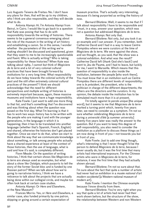Luiz Augusto Teixera de Freitas: No. I don't have any plans for then, that will be up to my children, who I think are also responsible, and they will decide what to do.

Antonia Alampi: Hi. I'm Antonia Alampi from Beirut, in Cairo. I would like to go back to a question that Kate was posing that has to do with responsibility towards the writing of histories. There seems to be a general consensus emerging about the role of the museum in the writing of art history and establishing a canon. So in this sense, I wonder whether the parameters of this writing we're making shouldn't be discussed and questioned, given that they seem to me to be increasingly questionable and fluent. Who is actually writing? Who is taking responsibility for these histories? When Kate was talking about 1989, I cannot but think of *Magiciens de la terre* and a lot of very colonial cultural practices that have been brought forward by institutions for a very long time. What responsibility do we have today towards the colonial activity of the past and the still often extremely colonial cultural practices of the present? I think we should acknowledge that the need for different perspectives and multiple writing of histories is extremely important because, again, these massive museums and institutions have a huge responsibility.

Kate Fowle: I just want to add one more thing to that list, and that's something that I've discovered and was thinking about when the question was posed on the first day. What I'm learning is that it has to work two ways: history has to be written with the people who are making it and with the younger generations, in the language in which it is happening; then it has to be translated into another language (whether that's Spanish, French, English) and shared, otherwise the histories don't get placed together. Once we start to do that, when we start to think about the way that we communicate knowledge about something, or talk among people who actually have a shared experience at least of the context of those histories, then the use of language, what is said and how it's said, is completely different.

Fionn Meade: On the question of writing histories, I think that certain shows like *Magiciens de la terre* are always used as examples, but what about a show like *Ostalgia*, which purports to tell the story of the former Soviet bloc and is funded by one Russian patron? When we talk about how we're going to narrativise history, I think we have a reticence to talk about the projects that are actually being done within our collegial circle, and maybe too often look back at certain case studies.

Antonia Alampi: Or *Here and Elsewhere*, at the New Museum?

Frances Morris: Yes, or *Here and Elsewhere*, a similar case, also funded primarily by one patron, skipping or going around a certain expectation of

museum practice. That's actually very interesting, because it's being purported as writing the history of now.

Bernard Blistène: Well, it seems to me that if I talk about responsibility I have to be responsible and I must, in a way, answer your question, which was not a question but addressed *Magiciens de la terre*.

Antonia Alampi: Not only that.

Bernard Blistène: Not only, but you took it as an example and I can answer. If you remember, both Catherine David and I had in a way to leave Centre Pompidou where we were curators at the time of *Magiciens de la terre*. We were against the show, and we thought, as you said, that the show was a colonial exhibition. And what was the result? Catherine David left (thank God she's back!) and went to Jeu de Paume, and I had to leave, but luckily for me, I went to Marseille. Which means that this question of responsibility is also inside the institution, between the people [who work there]. You must know that in an institution such as Centre Pompidou there are different levels of responsibility: one is *le président*, the president, who is the politician in charge of the different departments; the others are the directors and the curators. In my opinion, the debate inside the institution has to be stimulated much more than it is at present.

I'm totally against *la parole unique* [the unique word], but it seems to me that *Magiciens de la terre* marked a turning point which, twenty-five years later, we need to consider as a symptom. I'm not so sure whether celebrating *Magiciens de la terre* during a *université d'êté* [a summer university] twenty-five years later was really the answer to the question. But if you want to keep this degree of self-responsibility, you also need to consider the institution as a platform to discuss these things as I am now doing in front of you — not towards you but in front of you.

Kate Fowle: Just to add one thing though, what's interesting is that I never thought I'd be the person to defend *Magiciens de la terre*, because I never usually do, but it was the first time that many artists had international exposure. For the Chinese artists who were in *Magiciens de la terre*, for instance, it was the first time that they had actually shown abroad.

Bernard Blistène: I'm not so sure about that. I'm sure about the fact that quite a number of artists had never had an exhibition in a *musée national d'art modern occidental* [a Western national museum of modern art].

Kate Fowle: I mention the Chinese example because I know directly from them.

Bernard Blistène: You're very right when you say that quite a lot of artists had never had their work shown before, but the structure of the show, the relationship between Western and non-Western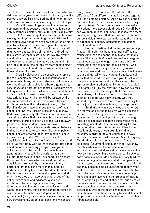should be discussed today. I don't think that what we did twenty-five years later, a few months ago, was the perfect answer. This is something that I want to say, and I have no problem in discussing it in front of you.

Mami Kataoka: Eugene, would you like to comment on that, because you're now building not only Singapore's history but South-East Asian history.

ET: Yes, we thought very hard about how we were going to go about writing the art histories for the region, given that we are only one of ten or more countries. But at the same time, given the underresearched nature of South-East Asian art, we felt that we were a starting point and we realised that this history, or these histories, that we are writing constitute an ongoing process that has to start somewhere, and present what we understand it to be at this point in time before we start questioning it in order to evaluate and refine how we understand these different histories.

Olga Sviblova: We're discussing the topic of the relationships between public institutions and private institutions, but when talking about museums we should start with collections before going on to *kunsthalles* and different art centres. Basically we're talking about collections, which are the foundation of art history. In his poems, Russian poet Parschikov was writing history — history will be written by the last to be born. This is true, and reveals how an institution such as the Tetryakov Gallery or the Pushkin Museum have changed the name of their collections. So, the Pushkin Museum would know that it was [previously] the Museum of Stalin or the Tetryakov Gallery that only collected Social Realism, then timidly started to open up to the Russian avantgarde, and then the department for new contemporary art, which was underground before it had had the chance to be shown. So, when public collections are created today, my question is how are we buying works? Who decides which acquisitions will make history? Where is the history? Here I agree totally with Bernard that storage space could become increasingly larger if we go on collecting and collecting, for this gives future generations the possibility of writing their own history, their own versions — we need to give them this possibility to see what we are doing. When acquisitions are made by private institutions, to a certain extent they have more money and to a certain extent they have more freedom. Sometimes the choices are made by individual people, and at other times they are made by a small group of the collector's friends and advisers. When it is institutions that are buying works, they have different acquisition boards or commissions, and when these change, this change can be reflected in our opinions. Sometimes we depend on the government (now, for instance, we are waiting for a new government), on political decisions, which are

really private decisions too. So, where is the difference? Can different institutions come together to offer a common history? And how can we open our collections? I think this was a very interesting topic in Bernard's discussion. How can we make collections more accessible through CIMAM? How can we open up local contexts? Because we are, of course, looking for art that will not be conditioned by our own vision. How can we understand the meaning of national collections, international collections, private and public?

Bernard Blistène: Let me tell you something. At a certain point, it's becoming more difficult to refuse gifts than to accept them. Does that make sense? It's incredible! I would never have imagined that it would take me longer, days and days, to refuse gifts than to accept them. Perhaps I was naïve, but it is something that in a way follows on from what we said this morning and which is the key to our debate, which is private and public. We all know that most art dealers now agree to sell a work to a private collector, and that the same collector agrees to give another to an institution. It's a plot! It's a family plot, by the way. But, how can we resist these invaders? I must tell you that after three committees, it took me longer to find the words to explain to people who knew exactly why they wanted to give us works that we were refusing the works [than it would have taken] to accept them.

So, that's why in a way I would love to return to archives and all the things we were discussing earlier. Especially if you've been involved with Conceptual Art and such practices, it is no longer possible to separate collecting such works from collecting visual arts. For me, everything has to come together. From Bartomeu and Manolo (and I miss Manolo today of course) I learnt that a museum, in order to be a museum, has to have vitrines. I remember Bartomeu and Manolo saying, 'We do these vitrines because we don't have a collection'. [Laughter]. But in any event, we know that this articulation, these connections between vitrines, between what we call archives —which is now perhaps becoming a wrong word, like *cinéma doc* or *documentaire*, [doc or documentary film] that means nothing when we see what is happening in film today—and all these roots have to be explored, and may perhaps help us understand deeply what we have to do and what we have to refuse. So for me, collecting today definitely means becoming more and more involved in the process of making art, of criticising art, and all these materials are on the same level. The question will be how to exhibit, how to display them and how to make them accessible. One of the great challenges of our institution, or institutions, is really to use all kinds of supports—the Internet or whatever—to make these things accessible.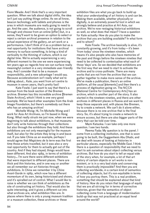Fionn Meade: And I think that's a very important question. When we talk about digital shifts, the idea isn't just say putting things online. As we all know, beacon technology with tablets and phones is the area in which museums are really going to need to go. And the user, the audience, is not going to scroll through and choose from an online [offer] but, in a sense, they'll want to be given an option to select or reject a certain archival presence in relation to the actual experience of the gallery, an art work or a performance. I don't think of it as a problem but as a real opportunity for institutions that have archival memory to surface something, to bring a kind of verticality to the thinning of culture, which is our digital time. We're actually experiencing a very different moment to the one we were experiencing ten years ago as regards how we can surface really meaningful content in a very immediate user-friendly way. And I consider that to be a museum responsibility, and a new advantage I would say. Because accelerationism isn't really what we're talking about… Kate, you went from art centre to museum in seven years, that's pretty fast!

Kate Fowle: I just want to say that there's a woman from the book section of the Bremen archive. Bremen has this incredible archive [Bremen State Archive], which I think is one very good example. We've heard other examples from the Arab Image Foundation, but there's somebody out there who has an amazing archive!

Michelle Wong: Hi, I'm Michelle Wong and I work for Asia Art Archives, so I'm based in Hong Kong. What really struck me just now, when we were beginning to talk about exhibitions, is that museums don't only write histories through their collections but also through the exhibitions they hold. And these exhibitions are not only meaningful for the museum itself, but also for the artists they bring in and leave out. If you take China as an example, perhaps I would agree that *Magiciens de la terre* was the first time those artists travelled, but it was also a very real opportunity for them to actually get out of the country. And if they had stayed, things would have been different. And also 1989, in terms of exhibition history... I'm sure there were different exhibitions that were important to different places. There are thick and thin histories, and in one way or another we all remember our art histories through exhibitions. In China we remember it by *China Avant-Garde* in 1989, which now has a different momentum of its own, being historicised and shown, and it's spiralled out of control. What I would like to raise is whether we can think of exhibitions as the site of constructing art history. That would also be quite interesting, and it gives a different cut into what archives are, what exhibition files are. In places where there is only a young museum tradition or a museum collection, these archives or these

exhibition files are what you go back to build up what your understanding of art history is and can be. Making them available, whether physically or digitally, is an extremely powerful tool in which we strongly believe and practice at Art Asia, our archive. We're now restaging historical exhibitions as well, so what does that mean? I have a question for Kate actually: How do you plan to make the archive that you are building available? In what form and to whom?

Kate Fowle: The archive basically is alive, it's constantly growing, and it's from today — it's been 'from today' since the nineteen nineties, which means it's also people who also have memories of the past and things before the nineteen nineties that need to be collected to contextualise what each of those 'days' are. So we decided that exhibitions are the first way that we need to start to activate the archive and to cross-pollinate. There are many works that are not from the archive that we can gather together to make more sense of the archive. We've made a publication, there's an online platform, all the usual [elements] and then there's a process of digitisation going on. The NCCA [National Centre for Contemporary Arts] has an archive, which is another part of the story. It also started in the nineteen nineties, and there are other archives in different places in Russia and we want to keep those separate and, with places like Bremen, try to create a network. We can't do it alone either, because there is no one archive that is the final story. So, it's about trying to create a network to ensure access, but there are also bigger parts of the story that can be told over time.

Mami Kataoka: I can take only one more question. I see two hands.

Reema Fada: My question is to the panel. I come from a collecting institution, one that is soon going to be built, the Guggenheim Abu Dhabi, and we deal with issues of looking at histories in particular places, especially the Middle East. I think there is a question of responsibility that we need to start to ask ourselves about object collecting versus archives. But how do you start to tell an equal side of the story when, for example, a lot of that art history of certain objects or art works is nonexistent, or is in a very bad state and conserving them is practically impossible? And then you are collecting worldwide, in a certain kind of semantics of collecting objects, but it's non-equitable in terms of how you portray them. This is a real problem, something that should be explained about that kind of history. How do you retain that language of equity that we are all striving for in terms of corrective histories, given that the semantics of object collecting come from a language of modernisation build-up that was not practiced at an equal level around the world?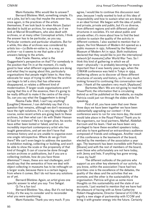Mami Kataoka: Who would like to answer?

Bernard Blistène: Well, something simple. It's not a joke, but let's say that maybe the answer lies, once again, in the practices of the artists themselves. If we look back to when Akram Zaatari decided to build an archive, for example, or if we look at Marcel Broodthaers, who also dealt with archives, or at many other Conceptual artists, I think the answer has to be particular, as you say. Particular contexts and particular situations. But for a while, this idea of archives was considered by artists too—*La Boîte-en-valise* is, in a way, an archive—so it seems to me that quite a lot of answers belong to the artists.

Kate Fowle: Reema, what is the Guggenheim's perspective on that? For somebody in the position that I'm in at the moment, it's really good to hear what different organisations are doing and what they're saying about this, particularly organisations that people might listen to. How they advocate for ways of trying to shift how the archive can begin to tell a story that has otherwise disappeared, or relates a different kind of modernisation. If larger-scale organisations aren't saying that this is of the essence, then it's going to be really difficult to make it the centre of the story. So, can you say what the Guggenheim is doing?

Reema Fada: Well, I can't say anything! [Laughter] However, I can definitely say that it's a question that remains, although we don't necessarily have the right solutions. It's a very big challenge. Of course, some recent artists are going back to these archives, but then what can I do with Shakir Hassan Al Said for instance? He's no longer alive, his works have either been looted or faked, and he's an incredibly important contemporary artist who has taught generations, and yet we don't have that immense history and so are unable to organise even one single retrospective. Where do we go from there? We can't even begin to address the question in exhibition making, collecting or building, and won't be able to show the scale or the propensity of that kind of thought. It can of course be done through certain archives or publications, but if you are a collecting institute, how do you face those dilemmas? I mean, these are real challenges, and I would say that the semantics of how we deal with object collecting in museums has to be rethought on a larger scale, because there is a certain legacy from where it comes. But I do not have any solutions as of yet.

Bernard Blistène: Again, an artist gives one specific answer to what you say: Tino Sehgal.

Q: I'm a fan too!

Bernard Blistène: Yes, okay. But it's not being tricky; it's the way to consider and to reconsider what you were questioning.

Mami Kataoka: Thank you very much. If you

agree, I would like to continue this discussion next year, because I really wanted to look at this idea of responsibility and how to sustain what we are doing in an ideal format. We began with the idea of public and private, private and public, but it's so diverse, from different regions and with different political structures in societies. It's not about public and private either; it's more about how to find the best solution to sustain the quality of the activity in different contexts. I also wanted to mention that in Japan, the first Museum of Modern Art opened as a public museum in 1951, followed by the National Museum of Modern Art in 1952. Both institutions declared that they would like to join the international network [of museums] after World War Two. So I think this kind of gathering in which we all meet—physically—is probably becoming far more important than it was twenty years ago, when the CIMAM conference was held in Tokyo in 1994. Gathering allows us to discover all these different structures of society and history, so I'm very much looking forward to continuing this conversation next year. I thank all the speakers very much. [Applause]

Bartomeu Marí: We are not going to read the PowerPoint; the information that is circulating behind us will be published on the website, so maybe Patricia could just run through the slides while I'm speaking.

First of all, you have seen that over these three days we have been together we have been substantially upgrading our context—if the conference were to run for one more day, the event would take place in the Royal Palace! Thank you to the organisers, our local partners, Mathaf, Abdellah Karroum and his team. I feel we have been very privileged to have these excellent speakers today, and also to have gathered an extraordinary audience composed of friends and colleagues. Another result of this conference is the teamwork of the board, elected by the members of the association a year ago. The teamwork has been incredible with Patricia [Sloane] and with the rest of members of the board, even those who unfortunately are not here today, with Jenny and Inés. If anything has gone wrong, it was my fault!

The different outlooks of the patrons who support us are other key elements of our activity. As you know, within the association I have had two priorities: one is the excellence of the debates, the quality of the ideas and the activities that we promote; and the other is the sustainability of the organisation. Patricia will give us some more thoughts on this sustainability and the state of our accounts. I just wanted to mention that we have had the pleasure of having with us Anne-Catherine Robert-Hauglustaine, Director General of ICOM, to signify a new stage of partnership with ICOM and bring it with greater energy into the future. Certainly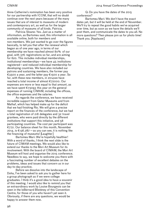Anne-Catherine's nomination has been very positive for our partnership with ICOM, that will no doubt continue over the next years because of the many issues that are of interest to museums of modern and contemporary art, as well as for the larger community of museums of all kinds. Patricia.

Patricia Sloane: Yes. Just as a matter of information, as Bartomeu said, this information is all available online, both for members and non-members. We just wanted to go over the figures basically, to tell you that after the renewal which began as of one year ago, in terms of our membership we have reached almost 80% of our goal, with 376 registrations so far, and are aiming for 620. This includes individual memberships, institutional memberships—we have 45 institutions registered—and reduced individual membership for developing countries. We have also included our patrons and sustaining members, the former pay €3500 a year, and the latter pay €1500 a year. So far, with these new members, in 2014we have reached a total income of almost €72000. Our expenses are more or less equal to that amount, as we have spent €73093 this year on the general expenses of running CIMAM, including the offices, the office expenses and the salaries.

As regards the conference, we have received incredible support from Qatar Museums and from Mathaf, which has helped make up for the deficit that we had finishing Rio. We will give a precise report on the finances of the conference, but we had a total registration of 218 delegates and 32 travel grantees, who were paid directly by the different institutions that support this initiative, and 58 participating countries. The cost per participant was €772. Our balance sheet for this month, November 2014, is  $\epsilon$ 136.287 — as you can see, it is nothing like the financing of museums! [Laughter]

Bartomeu Marí: We're hopefully healthier! With a word of thanks, I think the next slide is the future of CIMAM meetings. We would also like to extend our thanks to the Mori Art Museum for its involvement. With the board of CIMAM, the Mori Art Museum will host and organise the 2015 conference. Needless to say, we hope to welcome you there with a fascinating number of excellent debates on the problems, ideas and issues that concern us in our day-to-day practice.

Before we dissolve into the landscape of Doha, I've been asked to ask you to gather here for a group photograph as if we were college graduates. I think it's a good idea to have a souvenir of this meeting. I would also like to remind you that an extraordinary work by Louise Bourgeois can be seen in the loBernard Blistèney of this Convention Centre, for those of you who haven't yet seen it. Obviously, if there are any questions, we would be happy to answer them now.

Q: Do you have the dates of the 2015 conference?

Bartomeu Marí: We don't have the exact dates yet, but it will be held at the end of November. We'll try to repeat the good habits we've acquired over time, but as soon as we have the details we'll post them, and communicate the dates to you all. No more questions? Then please join us for photo time! Thank you. [Applause]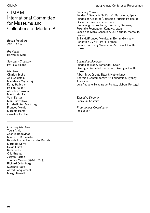## CIMAM International Committee for Museums and Collections of Modern Art

*Board Members 2014–2016*

*President*  Bartomeu Marí

*Secretary-Treasurer*  Patricia Sloane

*Members* Charles Esche Ann Goldstein Madeleine Grynsztejn Kathy Halbreich Philipp Kaiser Abdellah Karroum Mami Kataoka Vasif Kortun Kian Chow Kwok Elizabeth Ann MacGregor Frances Morris Marcela Römer Jaroslaw Suchan

*Honorary Members* Tuula Arkio Zdenka Badovinac Manuel J. Boria-Villel Renilde Hamecher van der Brande María de Corral David Elliott Rudi Fuchs Olle Granath Jürgen Harten Thomas Messer (1920–2013) Richard Oldenburg Suzanne Pagé Alfred Pacquement Margit Rowell

CIMAM 2014 Annual Conference Proceedings

*Founding Patrons*

Fundació Bancaria "la Caixa", Barcelona, Spain Fundación Cisneros/Colección Patricia Phelps de Cisneros, Caracas, Venezuela Sammlung Falckenberg, Hamburg, Germany Fukutake Foundation, Kagawa, Japan Josée and Marc Gensollen, La Fabrique, Marseille, France Erika HofFrances Morrisann, Berlin, Germany Fondation LVMH, Paris, France Leeum, Samsung Museum of Art, Seoul, South Korea

*Sustaining Members* Fundación Botín, Santander, Spain Gwangju Biennale Foundation, Gwangju, South Korea Albert M.A. Groot, Sittard, Netherlands Sherman Contemporary Art Foundation, Sydney, Australia Luiz Augusto Teixeira de Freitas, Lisbon, Portugal

*Executive Director* Jenny Gil Schmitz

*Programmes Coordinator* Inés Jover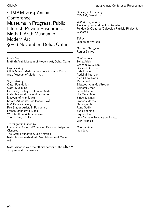CIMAM 2014 Annual **Conference** Museums in Progress: Public Interest, Private Resources? Mathaf: Arab Museum of Modern Art 9—11 November, Doha, Qatar

*Hosted by* Mathaf: Arab Museum of Modern Art, Doha, Qatar

*Organised by* CIMAM in CIMAM in collaboration with Mathaf: Arab Museum of Modern Art

*Supported by* Qatar Foundation Qatar Museums University College of London Qatar Qatar National Convention Center Museum of Islamic Art Katara Art Center, Collection TAJ QM Katara Gallery Fire Station Artists in Residence French Embassy in Doha W Doha Hotel & Residencies The St. Regis Doha

*Travel grants funded by* Fundación Cisneros/Colección Patricia Phelps de Cisneros The Getty Foundation, Los Angeles Qatar Museums/Mathaf: Arab Museum of Modern Art

Qatar Airways was the official carrier of the CIMAM 2014 Annual Conference

*Online publication by* CIMAM, Barcelona

*With the support of* The Getty Foundation, Los Angeles Fundación Cisneros/Colección Patricia Phelps de **Cisneros** 

*Editor* Josephine Watson

*Graphic Designer* Rogier Delfos

*Contributors* Zeina Arida Graham W. J. Beal Bernard Blistène Kate Fowle Abdellah Karroum Kian Chow Kwok Maria Lind Elizabeth Ann MacGregor Bartomeu Marí Fionn Meade Ute Meta Bauer Salwa Mikdadi Frances Morris Gabi Ngcobo Rana Sadik Suha Shoman Eugene Tan Luiz Augusto Teixeira de Freitas Olav Velthuis

*Coordination* Inés Jover